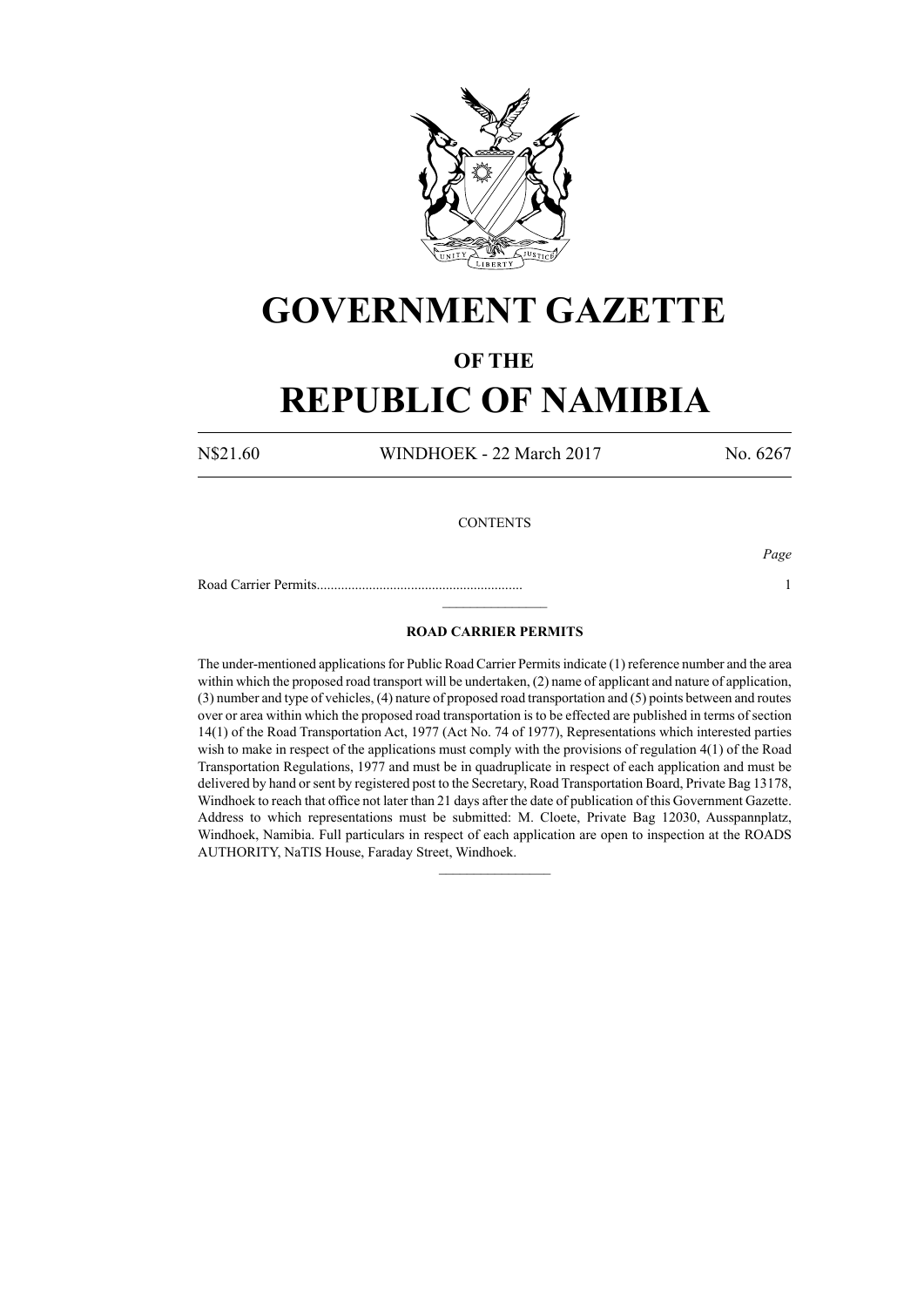

## **GOVERNMENT GAZETTE**

### **OF THE**

# **REPUBLIC OF NAMIBIA**

N\$21.60 WINDHOEK - 22 March 2017 No. 6267

### **CONTENTS**

Road Carrier Permits........................................................... 1

*Page*

#### **ROAD CARRIER PERMITS**

 $\frac{1}{2}$ 

The under-mentioned applications for Public Road Carrier Permits indicate (1) reference number and the area within which the proposed road transport will be undertaken, (2) name of applicant and nature of application, (3) number and type of vehicles, (4) nature of proposed road transportation and (5) points between and routes over or area within which the proposed road transportation is to be effected are published in terms of section 14(1) of the Road Transportation Act, 1977 (Act No. 74 of 1977), Representations which interested parties wish to make in respect of the applications must comply with the provisions of regulation 4(1) of the Road Transportation Regulations, 1977 and must be in quadruplicate in respect of each application and must be delivered by hand or sent by registered post to the Secretary, Road Transportation Board, Private Bag 13178, Windhoek to reach that office not later than 21 days after the date of publication of this Government Gazette. Address to which representations must be submitted: M. Cloete, Private Bag 12030, Ausspannplatz, Windhoek, Namibia. Full particulars in respect of each application are open to inspection at the ROADS AUTHORITY, NaTIS House, Faraday Street, Windhoek.

 $\frac{1}{2}$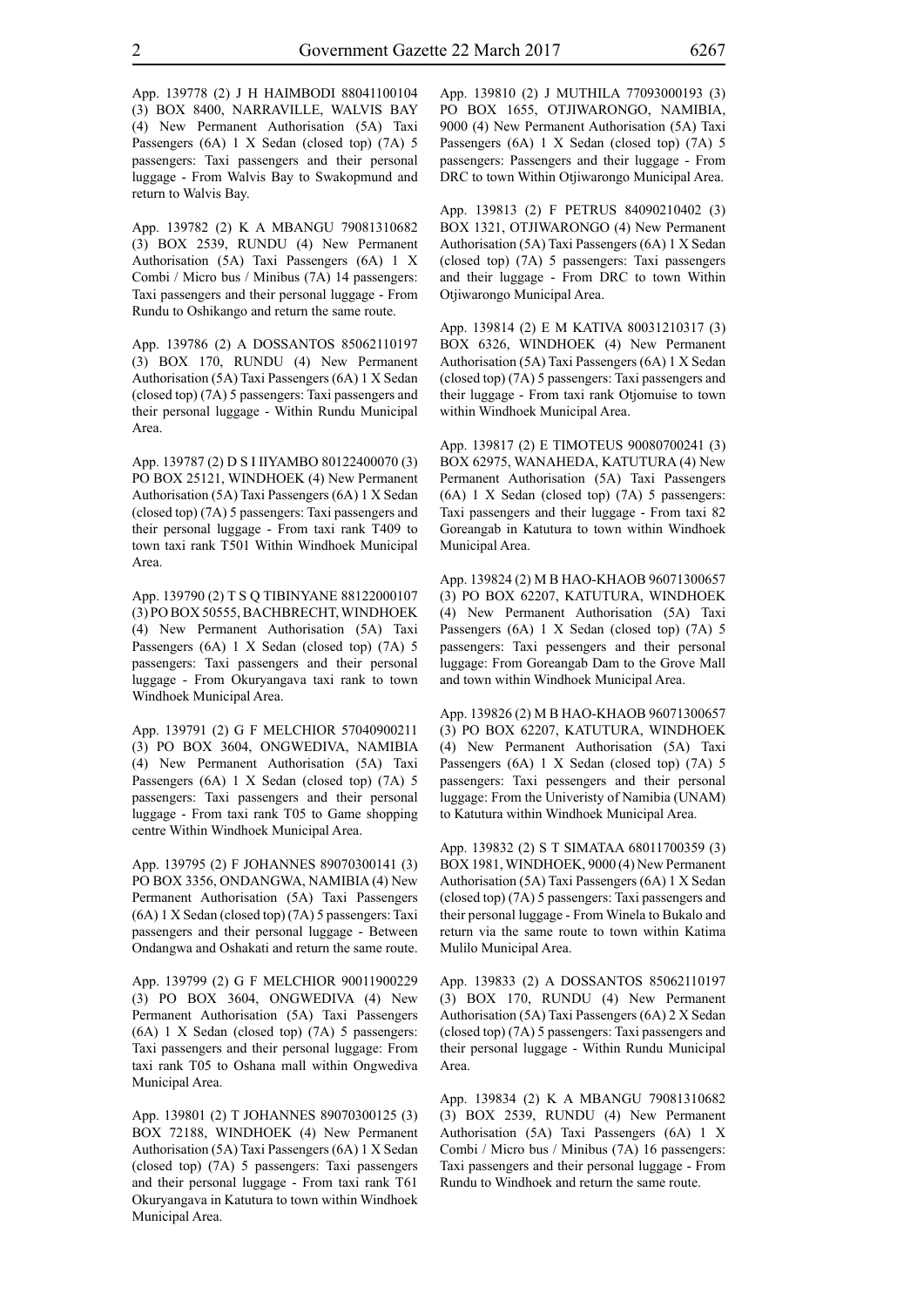App. 139778 (2) J H HAIMBODI 88041100104 (3) BOX 8400, NARRAVILLE, WALVIS BAY (4) New Permanent Authorisation (5A) Taxi Passengers (6A) 1 X Sedan (closed top) (7A) 5 passengers: Taxi passengers and their personal luggage - From Walvis Bay to Swakopmund and return to Walvis Bay.

App. 139782 (2) K A MBANGU 79081310682 (3) BOX 2539, RUNDU (4) New Permanent Authorisation (5A) Taxi Passengers (6A) 1 X Combi / Micro bus / Minibus (7A) 14 passengers: Taxi passengers and their personal luggage - From Rundu to Oshikango and return the same route.

App. 139786 (2) A DOSSANTOS 85062110197 (3) BOX 170, RUNDU (4) New Permanent Authorisation (5A) Taxi Passengers (6A) 1 X Sedan (closed top) (7A) 5 passengers: Taxi passengers and their personal luggage - Within Rundu Municipal Area.

App. 139787 (2) D S I IIYAMBO 80122400070 (3) PO BOX 25121, WINDHOEK (4) New Permanent Authorisation (5A) Taxi Passengers (6A) 1 X Sedan (closed top) (7A) 5 passengers: Taxi passengers and their personal luggage - From taxi rank T409 to town taxi rank T501 Within Windhoek Municipal Area.

App. 139790 (2) T S Q TIBINYANE 88122000107 (3) PO BOX 50555, BACHBRECHT, WINDHOEK (4) New Permanent Authorisation (5A) Taxi Passengers (6A) 1 X Sedan (closed top) (7A) 5 passengers: Taxi passengers and their personal luggage - From Okuryangava taxi rank to town Windhoek Municipal Area.

App. 139791 (2) G F MELCHIOR 57040900211 (3) PO BOX 3604, ONGWEDIVA, NAMIBIA (4) New Permanent Authorisation (5A) Taxi Passengers (6A) 1 X Sedan (closed top) (7A) 5 passengers: Taxi passengers and their personal luggage - From taxi rank T05 to Game shopping centre Within Windhoek Municipal Area.

App. 139795 (2) F JOHANNES 89070300141 (3) PO BOX 3356, ONDANGWA, NAMIBIA (4) New Permanent Authorisation (5A) Taxi Passengers (6A) 1 X Sedan (closed top) (7A) 5 passengers: Taxi passengers and their personal luggage - Between Ondangwa and Oshakati and return the same route.

App. 139799 (2) G F MELCHIOR 90011900229 (3) PO BOX 3604, ONGWEDIVA (4) New Permanent Authorisation (5A) Taxi Passengers (6A) 1 X Sedan (closed top) (7A) 5 passengers: Taxi passengers and their personal luggage: From taxi rank T05 to Oshana mall within Ongwediva Municipal Area.

App. 139801 (2) T JOHANNES 89070300125 (3) BOX 72188, WINDHOEK (4) New Permanent Authorisation (5A) Taxi Passengers (6A) 1 X Sedan (closed top) (7A) 5 passengers: Taxi passengers and their personal luggage - From taxi rank T61 Okuryangava in Katutura to town within Windhoek Municipal Area.

App. 139810 (2) J MUTHILA 77093000193 (3) PO BOX 1655, OTJIWARONGO, NAMIBIA, 9000 (4) New Permanent Authorisation (5A) Taxi Passengers (6A) 1 X Sedan (closed top) (7A) 5 passengers: Passengers and their luggage - From DRC to town Within Otjiwarongo Municipal Area.

App. 139813 (2) F PETRUS 84090210402 (3) BOX 1321, OTJIWARONGO (4) New Permanent Authorisation (5A) Taxi Passengers (6A) 1 X Sedan (closed top) (7A) 5 passengers: Taxi passengers and their luggage - From DRC to town Within Otjiwarongo Municipal Area.

App. 139814 (2) E M KATIVA 80031210317 (3) BOX 6326, WINDHOEK (4) New Permanent Authorisation (5A) Taxi Passengers (6A) 1 X Sedan (closed top) (7A) 5 passengers: Taxi passengers and their luggage - From taxi rank Otjomuise to town within Windhoek Municipal Area.

App. 139817 (2) E TIMOTEUS 90080700241 (3) BOX 62975, WANAHEDA, KATUTURA (4) New Permanent Authorisation (5A) Taxi Passengers (6A) 1 X Sedan (closed top) (7A) 5 passengers: Taxi passengers and their luggage - From taxi 82 Goreangab in Katutura to town within Windhoek Municipal Area.

App. 139824 (2) M B HAO-KHAOB 96071300657 (3) PO BOX 62207, KATUTURA, WINDHOEK (4) New Permanent Authorisation (5A) Taxi Passengers (6A) 1 X Sedan (closed top) (7A) 5 passengers: Taxi pessengers and their personal luggage: From Goreangab Dam to the Grove Mall and town within Windhoek Municipal Area.

App. 139826 (2) M B HAO-KHAOB 96071300657 (3) PO BOX 62207, KATUTURA, WINDHOEK (4) New Permanent Authorisation (5A) Taxi Passengers (6A) 1 X Sedan (closed top) (7A) 5 passengers: Taxi pessengers and their personal luggage: From the Univeristy of Namibia (UNAM) to Katutura within Windhoek Municipal Area.

App. 139832 (2) S T SIMATAA 68011700359 (3) BOX 1981, WINDHOEK, 9000 (4) New Permanent Authorisation (5A) Taxi Passengers (6A) 1 X Sedan (closed top) (7A) 5 passengers: Taxi passengers and their personal luggage - From Winela to Bukalo and return via the same route to town within Katima Mulilo Municipal Area.

App. 139833 (2) A DOSSANTOS 85062110197 (3) BOX 170, RUNDU (4) New Permanent Authorisation (5A) Taxi Passengers (6A) 2 X Sedan (closed top) (7A) 5 passengers: Taxi passengers and their personal luggage - Within Rundu Municipal Area.

App. 139834 (2) K A MBANGU 79081310682 (3) BOX 2539, RUNDU (4) New Permanent Authorisation (5A) Taxi Passengers (6A) 1 X Combi / Micro bus / Minibus (7A) 16 passengers: Taxi passengers and their personal luggage - From Rundu to Windhoek and return the same route.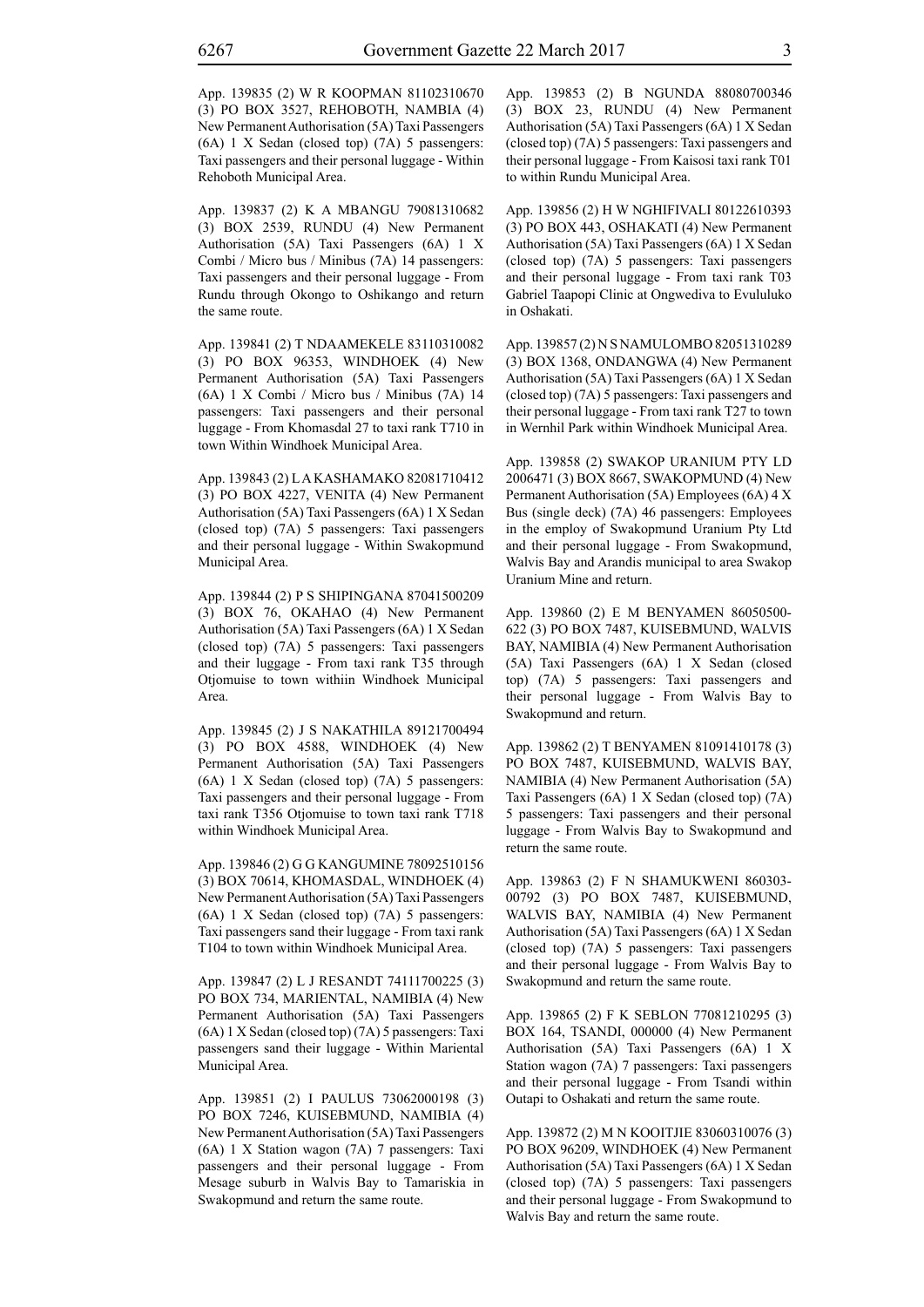App. 139835 (2) W R KOOPMAN 81102310670 (3) PO BOX 3527, REHOBOTH, NAMBIA (4) New Permanent Authorisation (5A) Taxi Passengers (6A) 1 X Sedan (closed top) (7A) 5 passengers: Taxi passengers and their personal luggage - Within Rehoboth Municipal Area.

App. 139837 (2) K A MBANGU 79081310682 (3) BOX 2539, RUNDU (4) New Permanent Authorisation (5A) Taxi Passengers (6A) 1 X Combi / Micro bus / Minibus (7A) 14 passengers: Taxi passengers and their personal luggage - From Rundu through Okongo to Oshikango and return the same route.

App. 139841 (2) T NDAAMEKELE 83110310082 (3) PO BOX 96353, WINDHOEK (4) New Permanent Authorisation (5A) Taxi Passengers (6A) 1 X Combi / Micro bus / Minibus (7A) 14 passengers: Taxi passengers and their personal luggage - From Khomasdal 27 to taxi rank T710 in town Within Windhoek Municipal Area.

App. 139843 (2) L A KASHAMAKO 82081710412 (3) PO BOX 4227, VENITA (4) New Permanent Authorisation (5A) Taxi Passengers (6A) 1 X Sedan (closed top) (7A) 5 passengers: Taxi passengers and their personal luggage - Within Swakopmund Municipal Area.

App. 139844 (2) P S SHIPINGANA 87041500209 (3) BOX 76, OKAHAO (4) New Permanent Authorisation (5A) Taxi Passengers (6A) 1 X Sedan (closed top) (7A) 5 passengers: Taxi passengers and their luggage - From taxi rank T35 through Otjomuise to town withiin Windhoek Municipal Area.

App. 139845 (2) J S NAKATHILA 89121700494 (3) PO BOX 4588, WINDHOEK (4) New Permanent Authorisation (5A) Taxi Passengers (6A) 1 X Sedan (closed top) (7A) 5 passengers: Taxi passengers and their personal luggage - From taxi rank T356 Otjomuise to town taxi rank T718 within Windhoek Municipal Area.

App. 139846 (2) G G KANGUMINE 78092510156 (3) BOX 70614, KHOMASDAL, WINDHOEK (4) New Permanent Authorisation (5A) Taxi Passengers (6A) 1 X Sedan (closed top) (7A) 5 passengers: Taxi passengers sand their luggage - From taxi rank T104 to town within Windhoek Municipal Area.

App. 139847 (2) L J RESANDT 74111700225 (3) PO BOX 734, MARIENTAL, NAMIBIA (4) New Permanent Authorisation (5A) Taxi Passengers (6A) 1 X Sedan (closed top) (7A) 5 passengers: Taxi passengers sand their luggage - Within Mariental Municipal Area.

App. 139851 (2) I PAULUS 73062000198 (3) PO BOX 7246, KUISEBMUND, NAMIBIA (4) New Permanent Authorisation (5A) Taxi Passengers (6A) 1 X Station wagon (7A) 7 passengers: Taxi passengers and their personal luggage - From Mesage suburb in Walvis Bay to Tamariskia in Swakopmund and return the same route.

App. 139853 (2) B NGUNDA 88080700346 (3) BOX 23, RUNDU (4) New Permanent Authorisation (5A) Taxi Passengers (6A) 1 X Sedan (closed top) (7A) 5 passengers: Taxi passengers and their personal luggage - From Kaisosi taxi rank T01 to within Rundu Municipal Area.

App. 139856 (2) H W NGHIFIVALI 80122610393 (3) PO BOX 443, OSHAKATI (4) New Permanent Authorisation (5A) Taxi Passengers (6A) 1 X Sedan (closed top) (7A) 5 passengers: Taxi passengers and their personal luggage - From taxi rank T03 Gabriel Taapopi Clinic at Ongwediva to Evululuko in Oshakati.

App. 139857 (2) N S NAMULOMBO 82051310289 (3) BOX 1368, ONDANGWA (4) New Permanent Authorisation (5A) Taxi Passengers (6A) 1 X Sedan (closed top) (7A) 5 passengers: Taxi passengers and their personal luggage - From taxi rank T27 to town in Wernhil Park within Windhoek Municipal Area.

App. 139858 (2) SWAKOP URANIUM PTY LD 2006471 (3) BOX 8667, SWAKOPMUND (4) New Permanent Authorisation (5A) Employees (6A) 4 X Bus (single deck) (7A) 46 passengers: Employees in the employ of Swakopmund Uranium Pty Ltd and their personal luggage - From Swakopmund, Walvis Bay and Arandis municipal to area Swakop Uranium Mine and return.

App. 139860 (2) E M BENYAMEN 86050500- 622 (3) PO BOX 7487, KUISEBMUND, WALVIS BAY, NAMIBIA (4) New Permanent Authorisation (5A) Taxi Passengers (6A) 1 X Sedan (closed top) (7A) 5 passengers: Taxi passengers and their personal luggage - From Walvis Bay to Swakopmund and return.

App. 139862 (2) T BENYAMEN 81091410178 (3) PO BOX 7487, KUISEBMUND, WALVIS BAY, NAMIBIA (4) New Permanent Authorisation (5A) Taxi Passengers (6A) 1 X Sedan (closed top) (7A) 5 passengers: Taxi passengers and their personal luggage - From Walvis Bay to Swakopmund and return the same route.

App. 139863 (2) F N SHAMUKWENI 860303- 00792 (3) PO BOX 7487, KUISEBMUND, WALVIS BAY, NAMIBIA (4) New Permanent Authorisation (5A) Taxi Passengers (6A) 1 X Sedan (closed top) (7A) 5 passengers: Taxi passengers and their personal luggage - From Walvis Bay to Swakopmund and return the same route.

App. 139865 (2) F K SEBLON 77081210295 (3) BOX 164, TSANDI, 000000 (4) New Permanent Authorisation (5A) Taxi Passengers (6A) 1 X Station wagon (7A) 7 passengers: Taxi passengers and their personal luggage - From Tsandi within Outapi to Oshakati and return the same route.

App. 139872 (2) M N KOOITJIE 83060310076 (3) PO BOX 96209, WINDHOEK (4) New Permanent Authorisation (5A) Taxi Passengers (6A) 1 X Sedan (closed top) (7A) 5 passengers: Taxi passengers and their personal luggage - From Swakopmund to Walvis Bay and return the same route.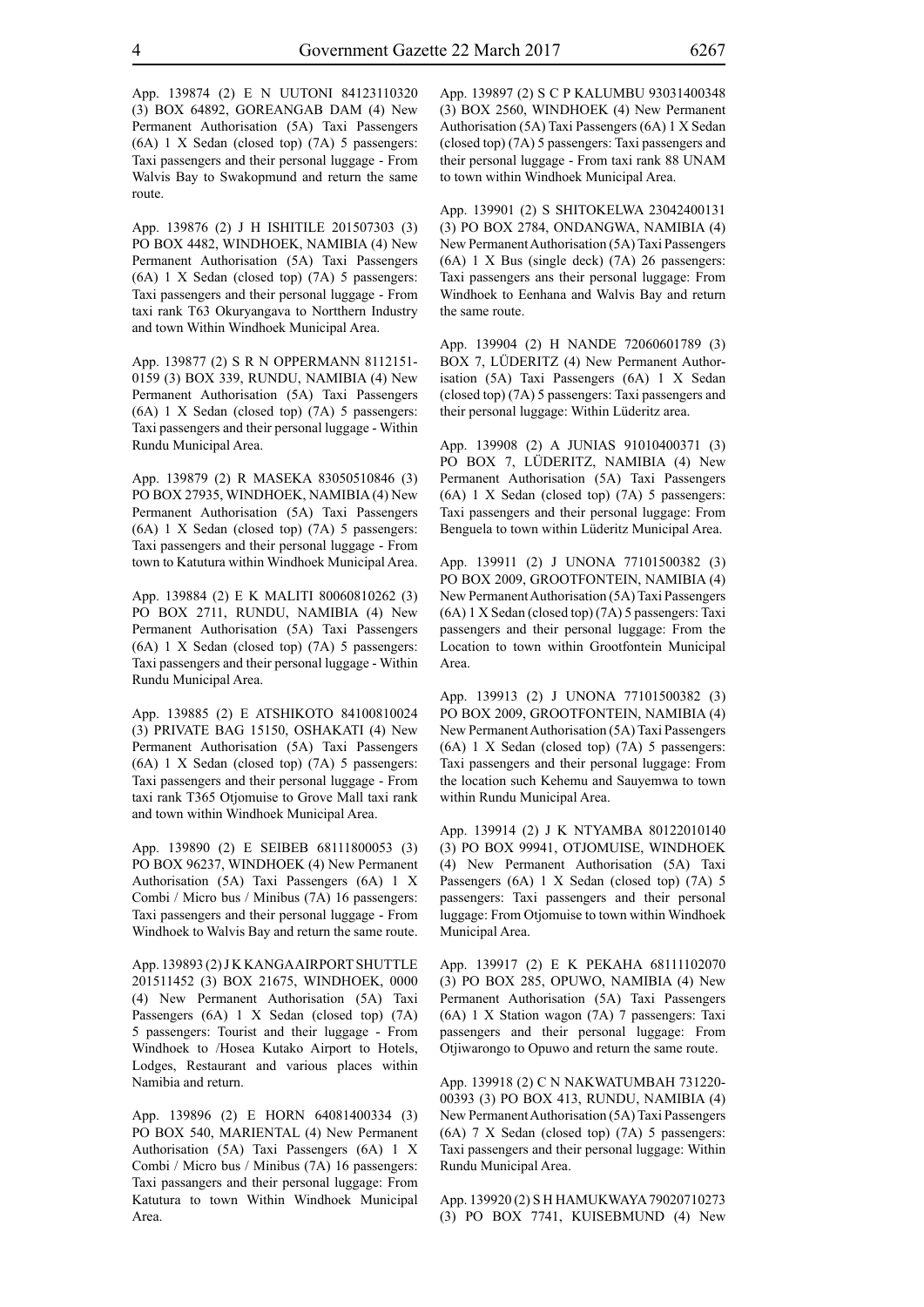App. 139874 (2) E N UUTONI 84123110320 (3) BOX 64892, GOREANGAB DAM (4) New Permanent Authorisation (5A) Taxi Passengers (6A) 1 X Sedan (closed top) (7A) 5 passengers: Taxi passengers and their personal luggage - From Walvis Bay to Swakopmund and return the same route.

App. 139876 (2) J H ISHITILE 201507303 (3) PO BOX 4482, WINDHOEK, NAMIBIA (4) New Permanent Authorisation (5A) Taxi Passengers (6A) 1 X Sedan (closed top) (7A) 5 passengers: Taxi passengers and their personal luggage - From taxi rank T63 Okuryangava to Nortthern Industry and town Within Windhoek Municipal Area.

App. 139877 (2) S R N OPPERMANN 8112151- 0159 (3) BOX 339, RUNDU, NAMIBIA (4) New Permanent Authorisation (5A) Taxi Passengers (6A) 1 X Sedan (closed top) (7A) 5 passengers: Taxi passengers and their personal luggage - Within Rundu Municipal Area.

App. 139879 (2) R MASEKA 83050510846 (3) PO BOX 27935, WINDHOEK, NAMIBIA (4) New Permanent Authorisation (5A) Taxi Passengers (6A) 1 X Sedan (closed top) (7A) 5 passengers: Taxi passengers and their personal luggage - From town to Katutura within Windhoek Municipal Area.

App. 139884 (2) E K MALITI 80060810262 (3) PO BOX 2711, RUNDU, NAMIBIA (4) New Permanent Authorisation (5A) Taxi Passengers (6A) 1 X Sedan (closed top) (7A) 5 passengers: Taxi passengers and their personal luggage - Within Rundu Municipal Area.

App. 139885 (2) E ATSHIKOTO 84100810024 (3) PRIVATE BAG 15150, OSHAKATI (4) New Permanent Authorisation (5A) Taxi Passengers (6A) 1 X Sedan (closed top) (7A) 5 passengers: Taxi passengers and their personal luggage - From taxi rank T365 Otjomuise to Grove Mall taxi rank and town within Windhoek Municipal Area.

App. 139890 (2) E SEIBEB 68111800053 (3) PO BOX 96237, WINDHOEK (4) New Permanent Authorisation (5A) Taxi Passengers (6A) 1 X Combi / Micro bus / Minibus (7A) 16 passengers: Taxi passengers and their personal luggage - From Windhoek to Walvis Bay and return the same route.

App. 139893 (2) J K KANGA AIRPORT SHUTTLE 201511452 (3) BOX 21675, WINDHOEK, 0000 (4) New Permanent Authorisation (5A) Taxi Passengers (6A) 1 X Sedan (closed top) (7A) 5 passengers: Tourist and their luggage - From Windhoek to /Hosea Kutako Airport to Hotels, Lodges, Restaurant and various places within Namibia and return.

App. 139896 (2) E HORN 64081400334 (3) PO BOX 540, MARIENTAL (4) New Permanent Authorisation (5A) Taxi Passengers (6A) 1 X Combi / Micro bus / Minibus (7A) 16 passengers: Taxi passangers and their personal luggage: From Katutura to town Within Windhoek Municipal Area.

App. 139897 (2) S C P KALUMBU 93031400348 (3) BOX 2560, WINDHOEK (4) New Permanent Authorisation (5A) Taxi Passengers (6A) 1 X Sedan (closed top) (7A) 5 passengers: Taxi passengers and their personal luggage - From taxi rank 88 UNAM to town within Windhoek Municipal Area.

App. 139901 (2) S SHITOKELWA 23042400131 (3) PO BOX 2784, ONDANGWA, NAMIBIA (4) New Permanent Authorisation (5A) Taxi Passengers (6A) 1 X Bus (single deck) (7A) 26 passengers: Taxi passengers ans their personal luggage: From Windhoek to Eenhana and Walvis Bay and return the same route.

App. 139904 (2) H NANDE 72060601789 (3) BOX 7, LÜDERITZ (4) New Permanent Authorisation (5A) Taxi Passengers (6A) 1 X Sedan (closed top) (7A) 5 passengers: Taxi passengers and their personal luggage: Within Lüderitz area.

App. 139908 (2) A JUNIAS 91010400371 (3) PO BOX 7, LÜDERITZ, NAMIBIA (4) New Permanent Authorisation (5A) Taxi Passengers (6A) 1 X Sedan (closed top) (7A) 5 passengers: Taxi passengers and their personal luggage: From Benguela to town within Lüderitz Municipal Area.

App. 139911 (2) J UNONA 77101500382 (3) PO BOX 2009, GROOTFONTEIN, NAMIBIA (4) New Permanent Authorisation (5A) Taxi Passengers (6A) 1 X Sedan (closed top) (7A) 5 passengers: Taxi passengers and their personal luggage: From the Location to town within Grootfontein Municipal Area.

App. 139913 (2) J UNONA 77101500382 (3) PO BOX 2009, GROOTFONTEIN, NAMIBIA (4) New Permanent Authorisation (5A) Taxi Passengers (6A) 1 X Sedan (closed top) (7A) 5 passengers: Taxi passengers and their personal luggage: From the location such Kehemu and Sauyemwa to town within Rundu Municipal Area.

App. 139914 (2) J K NTYAMBA 80122010140 (3) PO BOX 99941, OTJOMUISE, WINDHOEK (4) New Permanent Authorisation (5A) Taxi Passengers (6A) 1 X Sedan (closed top) (7A) 5 passengers: Taxi passengers and their personal luggage: From Otjomuise to town within Windhoek Municipal Area.

App. 139917 (2) E K PEKAHA 68111102070 (3) PO BOX 285, OPUWO, NAMIBIA (4) New Permanent Authorisation (5A) Taxi Passengers (6A) 1 X Station wagon (7A) 7 passengers: Taxi passengers and their personal luggage: From Otjiwarongo to Opuwo and return the same route.

App. 139918 (2) C N NAKWATUMBAH 731220- 00393 (3) PO BOX 413, RUNDU, NAMIBIA (4) New Permanent Authorisation (5A) Taxi Passengers (6A) 7 X Sedan (closed top) (7A) 5 passengers: Taxi passengers and their personal luggage: Within Rundu Municipal Area.

App. 139920 (2) S H HAMUKWAYA 79020710273 (3) PO BOX 7741, KUISEBMUND (4) New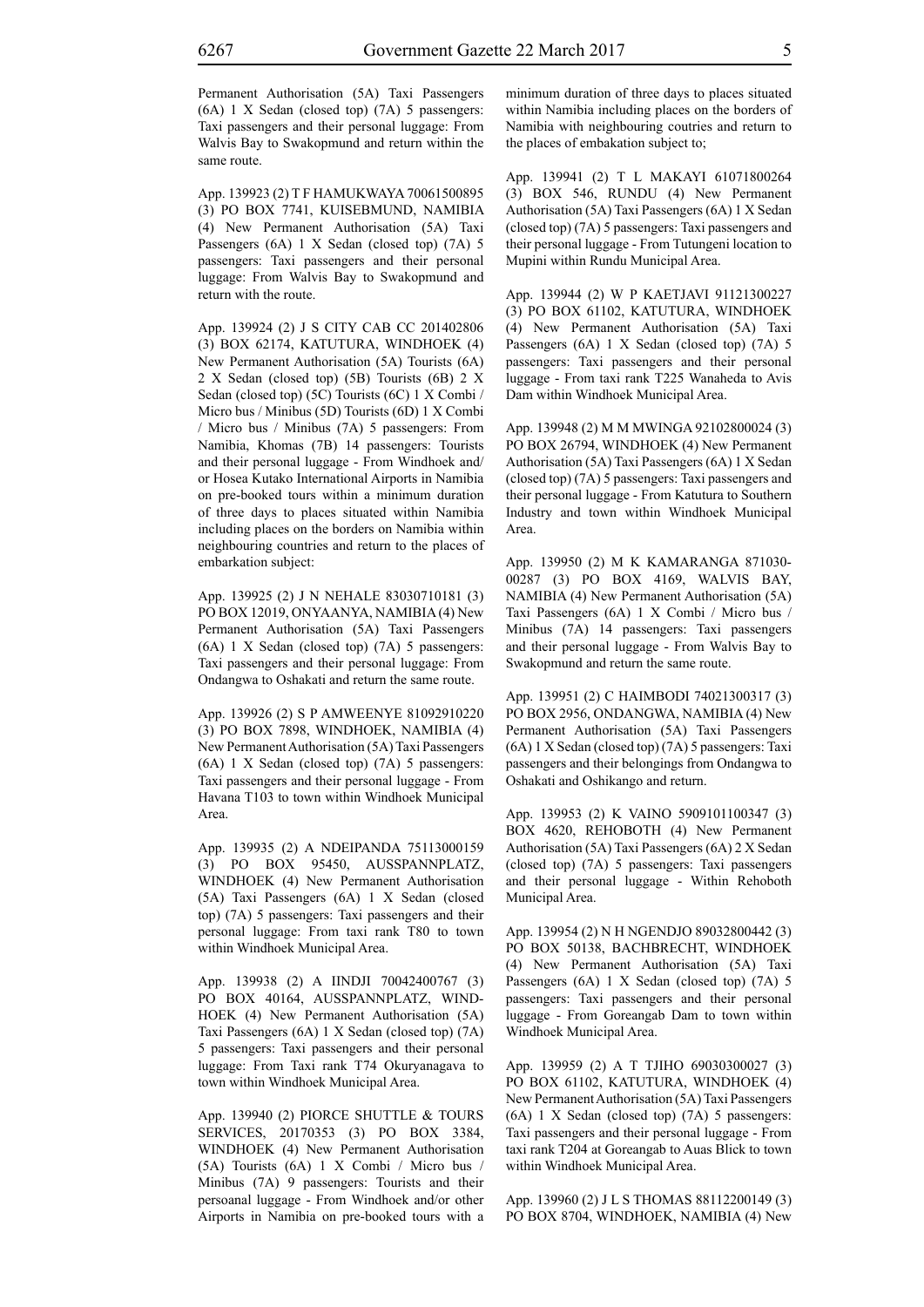App. 139923 (2) T F HAMUKWAYA 70061500895 (3) PO BOX 7741, KUISEBMUND, NAMIBIA (4) New Permanent Authorisation (5A) Taxi Passengers (6A) 1 X Sedan (closed top) (7A) 5 passengers: Taxi passengers and their personal luggage: From Walvis Bay to Swakopmund and return with the route.

App. 139924 (2) J S CITY CAB CC 201402806 (3) BOX 62174, KATUTURA, WINDHOEK (4) New Permanent Authorisation (5A) Tourists (6A) 2 X Sedan (closed top) (5B) Tourists (6B) 2 X Sedan (closed top) (5C) Tourists (6C) 1 X Combi / Micro bus / Minibus (5D) Tourists (6D) 1 X Combi / Micro bus / Minibus (7A) 5 passengers: From Namibia, Khomas (7B) 14 passengers: Tourists and their personal luggage - From Windhoek and/ or Hosea Kutako International Airports in Namibia on pre-booked tours within a minimum duration of three days to places situated within Namibia including places on the borders on Namibia within neighbouring countries and return to the places of embarkation subject:

App. 139925 (2) J N NEHALE 83030710181 (3) PO BOX 12019, ONYAANYA, NAMIBIA (4) New Permanent Authorisation (5A) Taxi Passengers (6A) 1 X Sedan (closed top) (7A) 5 passengers: Taxi passengers and their personal luggage: From Ondangwa to Oshakati and return the same route.

App. 139926 (2) S P AMWEENYE 81092910220 (3) PO BOX 7898, WINDHOEK, NAMIBIA (4) New Permanent Authorisation (5A) Taxi Passengers (6A) 1 X Sedan (closed top) (7A) 5 passengers: Taxi passengers and their personal luggage - From Havana T103 to town within Windhoek Municipal Area.

App. 139935 (2) A NDEIPANDA 75113000159 (3) PO BOX 95450, AUSSPANNPLATZ, WINDHOEK (4) New Permanent Authorisation (5A) Taxi Passengers (6A) 1 X Sedan (closed top) (7A) 5 passengers: Taxi passengers and their personal luggage: From taxi rank T80 to town within Windhoek Municipal Area.

App. 139938 (2) A IINDJI 70042400767 (3) PO BOX 40164, AUSSPANNPLATZ, WIND-HOEK (4) New Permanent Authorisation (5A) Taxi Passengers (6A) 1 X Sedan (closed top) (7A) 5 passengers: Taxi passengers and their personal luggage: From Taxi rank T74 Okuryanagava to town within Windhoek Municipal Area.

App. 139940 (2) PIORCE SHUTTLE & TOURS SERVICES, 20170353 (3) PO BOX 3384, WINDHOEK (4) New Permanent Authorisation (5A) Tourists (6A) 1 X Combi / Micro bus / Minibus (7A) 9 passengers: Tourists and their persoanal luggage - From Windhoek and/or other Airports in Namibia on pre-booked tours with a minimum duration of three days to places situated within Namibia including places on the borders of Namibia with neighbouring coutries and return to the places of embakation subject to;

App. 139941 (2) T L MAKAYI 61071800264 (3) BOX 546, RUNDU (4) New Permanent Authorisation (5A) Taxi Passengers (6A) 1 X Sedan (closed top) (7A) 5 passengers: Taxi passengers and their personal luggage - From Tutungeni location to Mupini within Rundu Municipal Area.

App. 139944 (2) W P KAETJAVI 91121300227 (3) PO BOX 61102, KATUTURA, WINDHOEK (4) New Permanent Authorisation (5A) Taxi Passengers (6A) 1 X Sedan (closed top) (7A) 5 passengers: Taxi passengers and their personal luggage - From taxi rank T225 Wanaheda to Avis Dam within Windhoek Municipal Area.

App. 139948 (2) M M MWINGA 92102800024 (3) PO BOX 26794, WINDHOEK (4) New Permanent Authorisation (5A) Taxi Passengers (6A) 1 X Sedan (closed top) (7A) 5 passengers: Taxi passengers and their personal luggage - From Katutura to Southern Industry and town within Windhoek Municipal Area.

App. 139950 (2) M K KAMARANGA 871030- 00287 (3) PO BOX 4169, WALVIS BAY, NAMIBIA (4) New Permanent Authorisation (5A) Taxi Passengers (6A) 1 X Combi / Micro bus / Minibus (7A) 14 passengers: Taxi passengers and their personal luggage - From Walvis Bay to Swakopmund and return the same route.

App. 139951 (2) C HAIMBODI 74021300317 (3) PO BOX 2956, ONDANGWA, NAMIBIA (4) New Permanent Authorisation (5A) Taxi Passengers (6A) 1 X Sedan (closed top) (7A) 5 passengers: Taxi passengers and their belongings from Ondangwa to Oshakati and Oshikango and return.

App. 139953 (2) K VAINO 5909101100347 (3) BOX 4620, REHOBOTH (4) New Permanent Authorisation (5A) Taxi Passengers (6A) 2 X Sedan (closed top) (7A) 5 passengers: Taxi passengers and their personal luggage - Within Rehoboth Municipal Area.

App. 139954 (2) N H NGENDJO 89032800442 (3) PO BOX 50138, BACHBRECHT, WINDHOEK (4) New Permanent Authorisation (5A) Taxi Passengers (6A) 1 X Sedan (closed top) (7A) 5 passengers: Taxi passengers and their personal luggage - From Goreangab Dam to town within Windhoek Municipal Area.

App. 139959 (2) A T TJIHO 69030300027 (3) PO BOX 61102, KATUTURA, WINDHOEK (4) New Permanent Authorisation (5A) Taxi Passengers (6A) 1 X Sedan (closed top) (7A) 5 passengers: Taxi passengers and their personal luggage - From taxi rank T204 at Goreangab to Auas Blick to town within Windhoek Municipal Area.

App. 139960 (2) J L S THOMAS 88112200149 (3) PO BOX 8704, WINDHOEK, NAMIBIA (4) New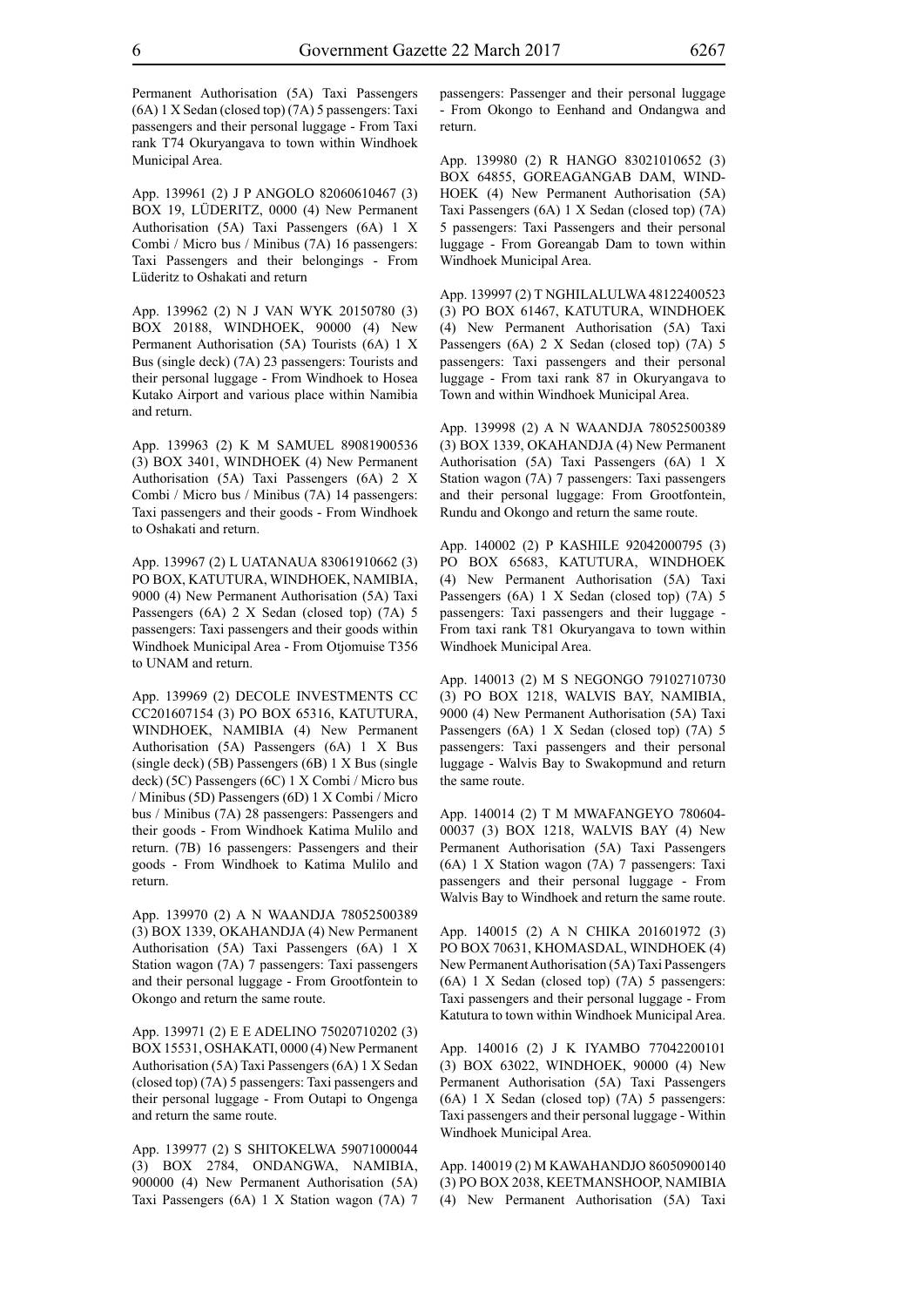Permanent Authorisation (5A) Taxi Passengers (6A) 1 X Sedan (closed top) (7A) 5 passengers: Taxi passengers and their personal luggage - From Taxi rank T74 Okuryangava to town within Windhoek Municipal Area.

App. 139961 (2) J P ANGOLO 82060610467 (3) BOX 19, LÜDERITZ, 0000 (4) New Permanent Authorisation (5A) Taxi Passengers (6A) 1 X Combi / Micro bus / Minibus (7A) 16 passengers: Taxi Passengers and their belongings - From Lüderitz to Oshakati and return

App. 139962 (2) N J VAN WYK 20150780 (3) BOX 20188, WINDHOEK, 90000 (4) New Permanent Authorisation (5A) Tourists (6A) 1 X Bus (single deck) (7A) 23 passengers: Tourists and their personal luggage - From Windhoek to Hosea Kutako Airport and various place within Namibia and return.

App. 139963 (2) K M SAMUEL 89081900536 (3) BOX 3401, WINDHOEK (4) New Permanent Authorisation (5A) Taxi Passengers (6A) 2 X Combi / Micro bus / Minibus (7A) 14 passengers: Taxi passengers and their goods - From Windhoek to Oshakati and return.

App. 139967 (2) L UATANAUA 83061910662 (3) PO BOX, KATUTURA, WINDHOEK, NAMIBIA, 9000 (4) New Permanent Authorisation (5A) Taxi Passengers (6A) 2 X Sedan (closed top) (7A) 5 passengers: Taxi passengers and their goods within Windhoek Municipal Area - From Otjomuise T356 to UNAM and return.

App. 139969 (2) DECOLE INVESTMENTS CC CC201607154 (3) PO BOX 65316, KATUTURA, WINDHOEK, NAMIBIA (4) New Permanent Authorisation (5A) Passengers (6A) 1 X Bus (single deck) (5B) Passengers (6B) 1 X Bus (single deck) (5C) Passengers (6C) 1 X Combi / Micro bus / Minibus (5D) Passengers (6D) 1 X Combi / Micro bus / Minibus (7A) 28 passengers: Passengers and their goods - From Windhoek Katima Mulilo and return. (7B) 16 passengers: Passengers and their goods - From Windhoek to Katima Mulilo and return.

App. 139970 (2) A N WAANDJA 78052500389 (3) BOX 1339, OKAHANDJA (4) New Permanent Authorisation (5A) Taxi Passengers (6A) 1 X Station wagon (7A) 7 passengers: Taxi passengers and their personal luggage - From Grootfontein to Okongo and return the same route.

App. 139971 (2) E E ADELINO 75020710202 (3) BOX 15531, OSHAKATI, 0000 (4) New Permanent Authorisation (5A) Taxi Passengers (6A) 1 X Sedan (closed top) (7A) 5 passengers: Taxi passengers and their personal luggage - From Outapi to Ongenga and return the same route.

App. 139977 (2) S SHITOKELWA 59071000044 (3) BOX 2784, ONDANGWA, NAMIBIA, 900000 (4) New Permanent Authorisation (5A) Taxi Passengers (6A) 1 X Station wagon (7A) 7 passengers: Passenger and their personal luggage - From Okongo to Eenhand and Ondangwa and return.

App. 139980 (2) R HANGO 83021010652 (3) BOX 64855, GOREAGANGAB DAM, WIND-HOEK (4) New Permanent Authorisation (5A) Taxi Passengers (6A) 1 X Sedan (closed top) (7A) 5 passengers: Taxi Passengers and their personal luggage - From Goreangab Dam to town within Windhoek Municipal Area.

App. 139997 (2) T NGHILALULWA 48122400523 (3) PO BOX 61467, KATUTURA, WINDHOEK (4) New Permanent Authorisation (5A) Taxi Passengers (6A) 2 X Sedan (closed top) (7A) 5 passengers: Taxi passengers and their personal luggage - From taxi rank 87 in Okuryangava to Town and within Windhoek Municipal Area.

App. 139998 (2) A N WAANDJA 78052500389 (3) BOX 1339, OKAHANDJA (4) New Permanent Authorisation (5A) Taxi Passengers (6A) 1 X Station wagon (7A) 7 passengers: Taxi passengers and their personal luggage: From Grootfontein, Rundu and Okongo and return the same route.

App. 140002 (2) P KASHILE 92042000795 (3) PO BOX 65683, KATUTURA, WINDHOEK (4) New Permanent Authorisation (5A) Taxi Passengers (6A) 1 X Sedan (closed top) (7A) 5 passengers: Taxi passengers and their luggage - From taxi rank T81 Okuryangava to town within Windhoek Municipal Area.

App. 140013 (2) M S NEGONGO 79102710730 (3) PO BOX 1218, WALVIS BAY, NAMIBIA, 9000 (4) New Permanent Authorisation (5A) Taxi Passengers (6A) 1 X Sedan (closed top) (7A) 5 passengers: Taxi passengers and their personal luggage - Walvis Bay to Swakopmund and return the same route.

App. 140014 (2) T M MWAFANGEYO 780604- 00037 (3) BOX 1218, WALVIS BAY (4) New Permanent Authorisation (5A) Taxi Passengers (6A) 1 X Station wagon (7A) 7 passengers: Taxi passengers and their personal luggage - From Walvis Bay to Windhoek and return the same route.

App. 140015 (2) A N CHIKA 201601972 (3) PO BOX 70631, KHOMASDAL, WINDHOEK (4) New Permanent Authorisation (5A) Taxi Passengers (6A) 1 X Sedan (closed top) (7A) 5 passengers: Taxi passengers and their personal luggage - From Katutura to town within Windhoek Municipal Area.

App. 140016 (2) J K IYAMBO 77042200101 (3) BOX 63022, WINDHOEK, 90000 (4) New Permanent Authorisation (5A) Taxi Passengers (6A) 1 X Sedan (closed top) (7A) 5 passengers: Taxi passengers and their personal luggage - Within Windhoek Municipal Area.

App. 140019 (2) M KAWAHANDJO 86050900140 (3) PO BOX 2038, KEETMANSHOOP, NAMIBIA (4) New Permanent Authorisation (5A) Taxi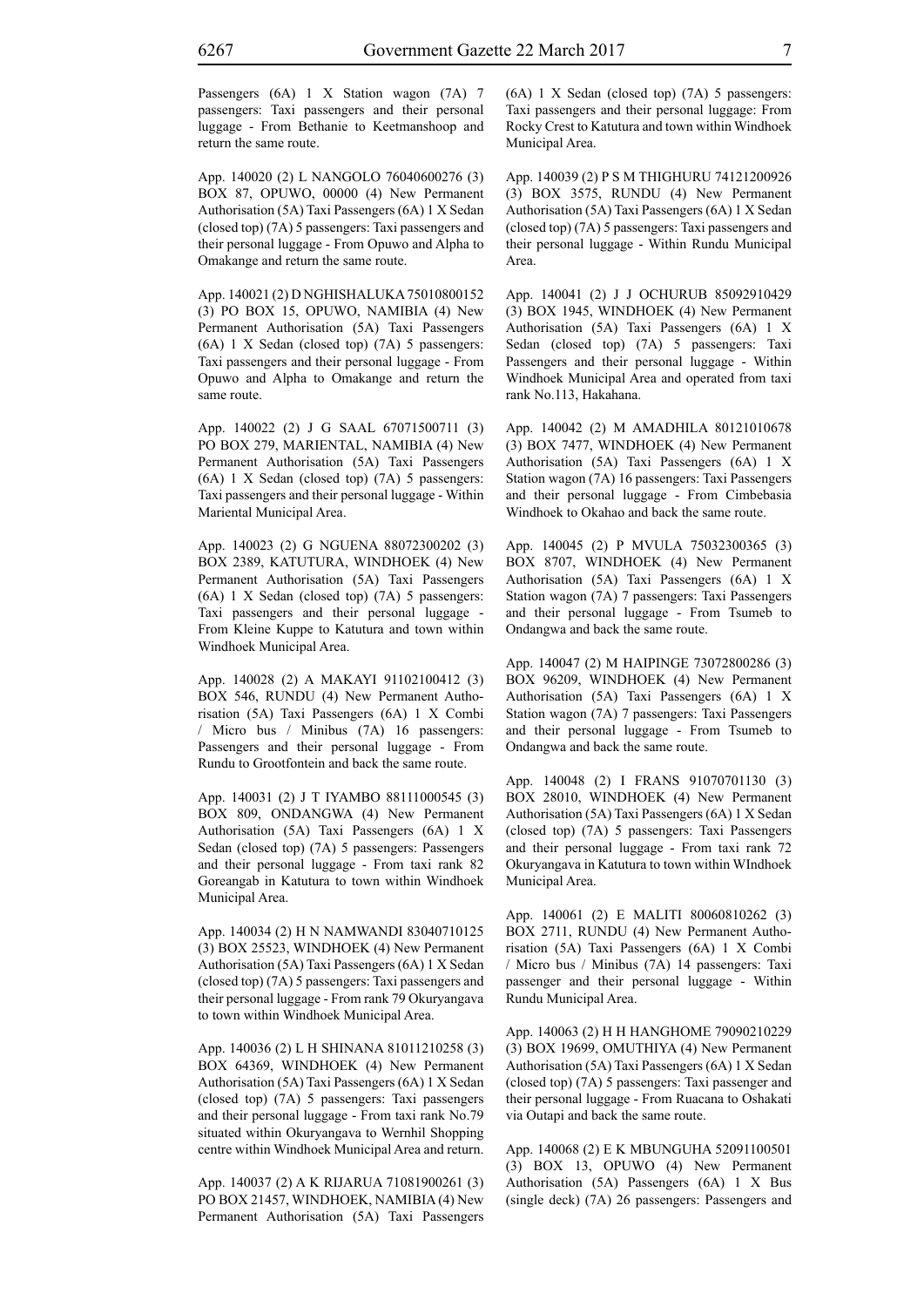Passengers (6A) 1 X Station wagon (7A) 7 passengers: Taxi passengers and their personal luggage - From Bethanie to Keetmanshoop and return the same route.

App. 140020 (2) L NANGOLO 76040600276 (3) BOX 87, OPUWO, 00000 (4) New Permanent Authorisation (5A) Taxi Passengers (6A) 1 X Sedan (closed top) (7A) 5 passengers: Taxi passengers and their personal luggage - From Opuwo and Alpha to Omakange and return the same route.

App. 140021 (2) D NGHISHALUKA 75010800152 (3) PO BOX 15, OPUWO, NAMIBIA (4) New Permanent Authorisation (5A) Taxi Passengers (6A) 1 X Sedan (closed top) (7A) 5 passengers: Taxi passengers and their personal luggage - From Opuwo and Alpha to Omakange and return the same route.

App. 140022 (2) J G SAAL 67071500711 (3) PO BOX 279, MARIENTAL, NAMIBIA (4) New Permanent Authorisation (5A) Taxi Passengers (6A) 1 X Sedan (closed top) (7A) 5 passengers: Taxi passengers and their personal luggage - Within Mariental Municipal Area.

App. 140023 (2) G NGUENA 88072300202 (3) BOX 2389, KATUTURA, WINDHOEK (4) New Permanent Authorisation (5A) Taxi Passengers (6A) 1 X Sedan (closed top) (7A) 5 passengers: Taxi passengers and their personal luggage - From Kleine Kuppe to Katutura and town within Windhoek Municipal Area.

App. 140028 (2) A MAKAYI 91102100412 (3) BOX 546, RUNDU (4) New Permanent Authorisation (5A) Taxi Passengers (6A) 1 X Combi / Micro bus / Minibus (7A) 16 passengers: Passengers and their personal luggage - From Rundu to Grootfontein and back the same route.

App. 140031 (2) J T IYAMBO 88111000545 (3) BOX 809, ONDANGWA (4) New Permanent Authorisation (5A) Taxi Passengers (6A) 1 X Sedan (closed top) (7A) 5 passengers: Passengers and their personal luggage - From taxi rank 82 Goreangab in Katutura to town within Windhoek Municipal Area.

App. 140034 (2) H N NAMWANDI 83040710125 (3) BOX 25523, WINDHOEK (4) New Permanent Authorisation (5A) Taxi Passengers (6A) 1 X Sedan (closed top) (7A) 5 passengers: Taxi passengers and their personal luggage - From rank 79 Okuryangava to town within Windhoek Municipal Area.

App. 140036 (2) L H SHINANA 81011210258 (3) BOX 64369, WINDHOEK (4) New Permanent Authorisation (5A) Taxi Passengers (6A) 1 X Sedan (closed top) (7A) 5 passengers: Taxi passengers and their personal luggage - From taxi rank No.79 situated within Okuryangava to Wernhil Shopping centre within Windhoek Municipal Area and return.

App. 140037 (2) A K RIJARUA 71081900261 (3) PO BOX 21457, WINDHOEK, NAMIBIA (4) New Permanent Authorisation (5A) Taxi Passengers (6A) 1 X Sedan (closed top) (7A) 5 passengers: Taxi passengers and their personal luggage: From Rocky Crest to Katutura and town within Windhoek Municipal Area.

App. 140039 (2) P S M THIGHURU 74121200926 (3) BOX 3575, RUNDU (4) New Permanent Authorisation (5A) Taxi Passengers (6A) 1 X Sedan (closed top) (7A) 5 passengers: Taxi passengers and their personal luggage - Within Rundu Municipal Area.

App. 140041 (2) J J OCHURUB 85092910429 (3) BOX 1945, WINDHOEK (4) New Permanent Authorisation (5A) Taxi Passengers (6A) 1 X Sedan (closed top) (7A) 5 passengers: Taxi Passengers and their personal luggage - Within Windhoek Municipal Area and operated from taxi rank No.113, Hakahana.

App. 140042 (2) M AMADHILA 80121010678 (3) BOX 7477, WINDHOEK (4) New Permanent Authorisation (5A) Taxi Passengers (6A) 1 X Station wagon (7A) 16 passengers: Taxi Passengers and their personal luggage - From Cimbebasia Windhoek to Okahao and back the same route.

App. 140045 (2) P MVULA 75032300365 (3) BOX 8707, WINDHOEK (4) New Permanent Authorisation (5A) Taxi Passengers (6A) 1 X Station wagon (7A) 7 passengers: Taxi Passengers and their personal luggage - From Tsumeb to Ondangwa and back the same route.

App. 140047 (2) M HAIPINGE 73072800286 (3) BOX 96209, WINDHOEK (4) New Permanent Authorisation (5A) Taxi Passengers (6A) 1 X Station wagon (7A) 7 passengers: Taxi Passengers and their personal luggage - From Tsumeb to Ondangwa and back the same route.

App. 140048 (2) I FRANS 91070701130 (3) BOX 28010, WINDHOEK (4) New Permanent Authorisation (5A) Taxi Passengers (6A) 1 X Sedan (closed top) (7A) 5 passengers: Taxi Passengers and their personal luggage - From taxi rank 72 Okuryangava in Katutura to town within WIndhoek Municipal Area.

App. 140061 (2) E MALITI 80060810262 (3) BOX 2711, RUNDU (4) New Permanent Authorisation (5A) Taxi Passengers (6A) 1 X Combi / Micro bus / Minibus (7A) 14 passengers: Taxi passenger and their personal luggage - Within Rundu Municipal Area.

App. 140063 (2) H H HANGHOME 79090210229 (3) BOX 19699, OMUTHIYA (4) New Permanent Authorisation (5A) Taxi Passengers (6A) 1 X Sedan (closed top) (7A) 5 passengers: Taxi passenger and their personal luggage - From Ruacana to Oshakati via Outapi and back the same route.

App. 140068 (2) E K MBUNGUHA 52091100501 (3) BOX 13, OPUWO (4) New Permanent Authorisation (5A) Passengers (6A) 1 X Bus (single deck) (7A) 26 passengers: Passengers and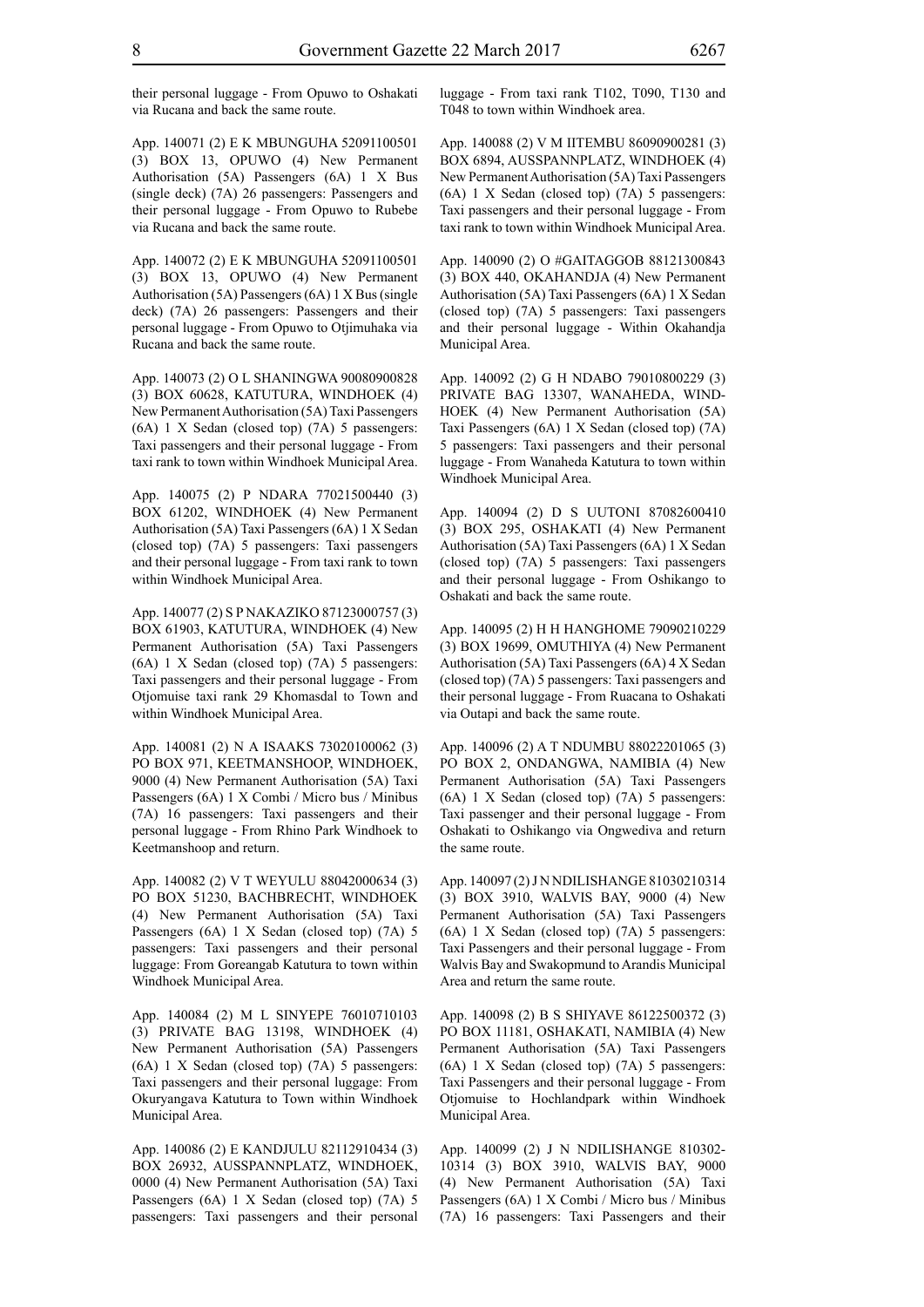their personal luggage - From Opuwo to Oshakati via Rucana and back the same route.

App. 140071 (2) E K MBUNGUHA 52091100501 (3) BOX 13, OPUWO (4) New Permanent Authorisation (5A) Passengers (6A) 1 X Bus (single deck) (7A) 26 passengers: Passengers and their personal luggage - From Opuwo to Rubebe via Rucana and back the same route.

App. 140072 (2) E K MBUNGUHA 52091100501 (3) BOX 13, OPUWO (4) New Permanent Authorisation (5A) Passengers (6A) 1 X Bus (single deck) (7A) 26 passengers: Passengers and their personal luggage - From Opuwo to Otjimuhaka via Rucana and back the same route.

App. 140073 (2) O L SHANINGWA 90080900828 (3) BOX 60628, KATUTURA, WINDHOEK (4) New Permanent Authorisation (5A) Taxi Passengers (6A) 1 X Sedan (closed top) (7A) 5 passengers: Taxi passengers and their personal luggage - From taxi rank to town within Windhoek Municipal Area.

App. 140075 (2) P NDARA 77021500440 (3) BOX 61202, WINDHOEK (4) New Permanent Authorisation (5A) Taxi Passengers (6A) 1 X Sedan (closed top) (7A) 5 passengers: Taxi passengers and their personal luggage - From taxi rank to town within Windhoek Municipal Area.

App. 140077 (2) S P NAKAZIKO 87123000757 (3) BOX 61903, KATUTURA, WINDHOEK (4) New Permanent Authorisation (5A) Taxi Passengers (6A) 1 X Sedan (closed top) (7A) 5 passengers: Taxi passengers and their personal luggage - From Otjomuise taxi rank 29 Khomasdal to Town and within Windhoek Municipal Area.

App. 140081 (2) N A ISAAKS 73020100062 (3) PO BOX 971, KEETMANSHOOP, WINDHOEK, 9000 (4) New Permanent Authorisation (5A) Taxi Passengers (6A) 1 X Combi / Micro bus / Minibus (7A) 16 passengers: Taxi passengers and their personal luggage - From Rhino Park Windhoek to Keetmanshoop and return.

App. 140082 (2) V T WEYULU 88042000634 (3) PO BOX 51230, BACHBRECHT, WINDHOEK (4) New Permanent Authorisation (5A) Taxi Passengers (6A) 1 X Sedan (closed top) (7A) 5 passengers: Taxi passengers and their personal luggage: From Goreangab Katutura to town within Windhoek Municipal Area.

App. 140084 (2) M L SINYEPE 76010710103 (3) PRIVATE BAG 13198, WINDHOEK (4) New Permanent Authorisation (5A) Passengers (6A) 1 X Sedan (closed top) (7A) 5 passengers: Taxi passengers and their personal luggage: From Okuryangava Katutura to Town within Windhoek Municipal Area.

App. 140086 (2) E KANDJULU 82112910434 (3) BOX 26932, AUSSPANNPLATZ, WINDHOEK, 0000 (4) New Permanent Authorisation (5A) Taxi Passengers (6A) 1 X Sedan (closed top) (7A) 5 passengers: Taxi passengers and their personal luggage - From taxi rank T102, T090, T130 and T048 to town within Windhoek area.

App. 140088 (2) V M IITEMBU 86090900281 (3) BOX 6894, AUSSPANNPLATZ, WINDHOEK (4) New Permanent Authorisation (5A) Taxi Passengers (6A) 1 X Sedan (closed top) (7A) 5 passengers: Taxi passengers and their personal luggage - From taxi rank to town within Windhoek Municipal Area.

App. 140090 (2) O #GAITAGGOB 88121300843 (3) BOX 440, OKAHANDJA (4) New Permanent Authorisation (5A) Taxi Passengers (6A) 1 X Sedan (closed top) (7A) 5 passengers: Taxi passengers and their personal luggage - Within Okahandja Municipal Area.

App. 140092 (2) G H NDABO 79010800229 (3) PRIVATE BAG 13307, WANAHEDA, WIND-HOEK (4) New Permanent Authorisation (5A) Taxi Passengers (6A) 1 X Sedan (closed top) (7A) 5 passengers: Taxi passengers and their personal luggage - From Wanaheda Katutura to town within Windhoek Municipal Area.

App. 140094 (2) D S UUTONI 87082600410 (3) BOX 295, OSHAKATI (4) New Permanent Authorisation (5A) Taxi Passengers (6A) 1 X Sedan (closed top) (7A) 5 passengers: Taxi passengers and their personal luggage - From Oshikango to Oshakati and back the same route.

App. 140095 (2) H H HANGHOME 79090210229 (3) BOX 19699, OMUTHIYA (4) New Permanent Authorisation (5A) Taxi Passengers (6A) 4 X Sedan (closed top) (7A) 5 passengers: Taxi passengers and their personal luggage - From Ruacana to Oshakati via Outapi and back the same route.

App. 140096 (2) A T NDUMBU 88022201065 (3) PO BOX 2, ONDANGWA, NAMIBIA (4) New Permanent Authorisation (5A) Taxi Passengers (6A) 1 X Sedan (closed top) (7A) 5 passengers: Taxi passenger and their personal luggage - From Oshakati to Oshikango via Ongwediva and return the same route.

App. 140097 (2) J N NDILISHANGE 81030210314 (3) BOX 3910, WALVIS BAY, 9000 (4) New Permanent Authorisation (5A) Taxi Passengers (6A) 1 X Sedan (closed top) (7A) 5 passengers: Taxi Passengers and their personal luggage - From Walvis Bay and Swakopmund to Arandis Municipal Area and return the same route.

App. 140098 (2) B S SHIYAVE 86122500372 (3) PO BOX 11181, OSHAKATI, NAMIBIA (4) New Permanent Authorisation (5A) Taxi Passengers (6A) 1 X Sedan (closed top) (7A) 5 passengers: Taxi Passengers and their personal luggage - From Otjomuise to Hochlandpark within Windhoek Municipal Area.

App. 140099 (2) J N NDILISHANGE 810302- 10314 (3) BOX 3910, WALVIS BAY, 9000 (4) New Permanent Authorisation (5A) Taxi Passengers (6A) 1 X Combi / Micro bus / Minibus (7A) 16 passengers: Taxi Passengers and their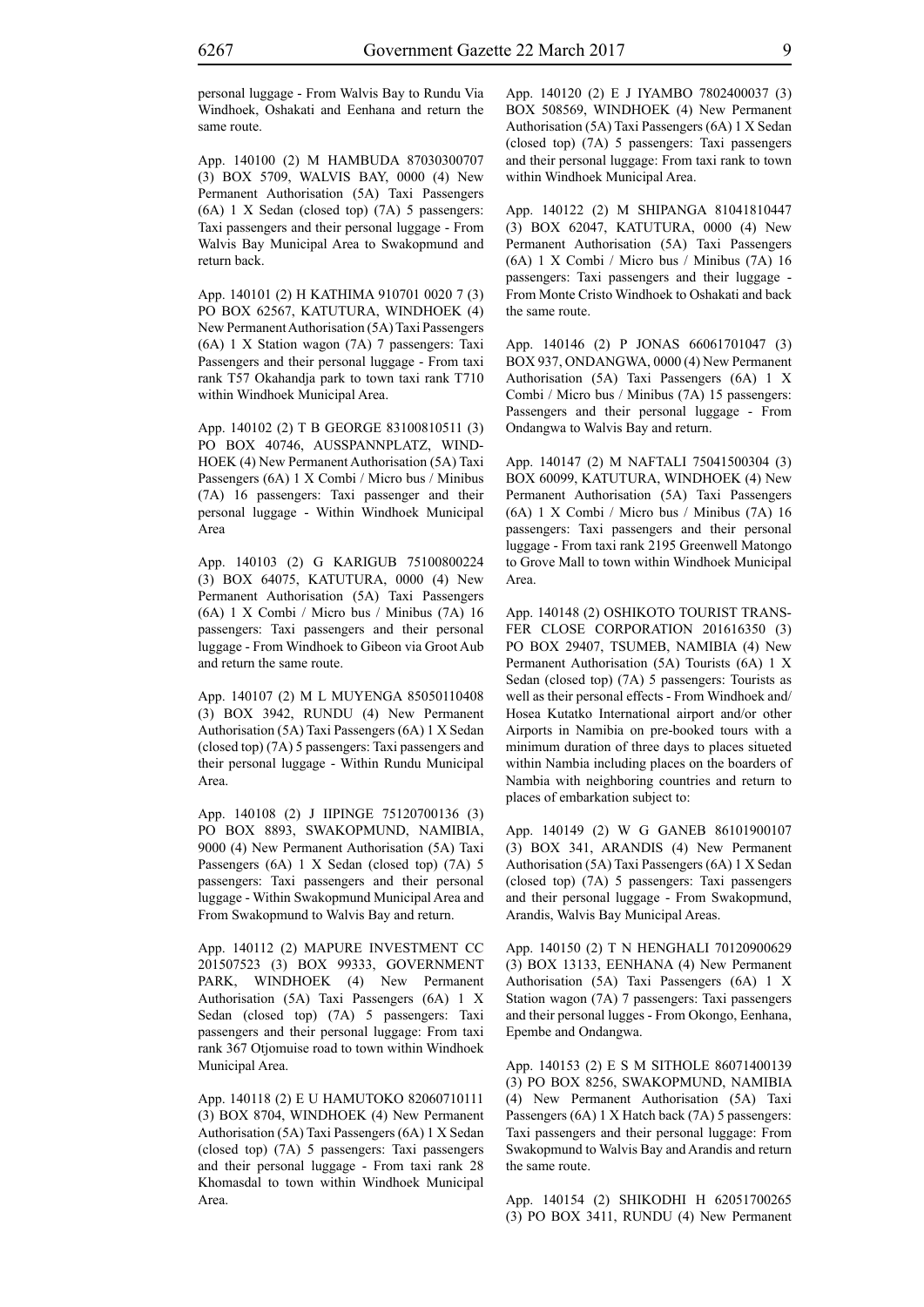App. 140100 (2) M HAMBUDA 87030300707 (3) BOX 5709, WALVIS BAY, 0000 (4) New Permanent Authorisation (5A) Taxi Passengers (6A) 1 X Sedan (closed top) (7A) 5 passengers: Taxi passengers and their personal luggage - From Walvis Bay Municipal Area to Swakopmund and return back.

App. 140101 (2) H KATHIMA 910701 0020 7 (3) PO BOX 62567, KATUTURA, WINDHOEK (4) New Permanent Authorisation (5A) Taxi Passengers (6A) 1 X Station wagon (7A) 7 passengers: Taxi Passengers and their personal luggage - From taxi rank T57 Okahandja park to town taxi rank T710 within Windhoek Municipal Area.

App. 140102 (2) T B GEORGE 83100810511 (3) PO BOX 40746, AUSSPANNPLATZ, WIND-HOEK (4) New Permanent Authorisation (5A) Taxi Passengers (6A) 1 X Combi / Micro bus / Minibus (7A) 16 passengers: Taxi passenger and their personal luggage - Within Windhoek Municipal Area

App. 140103 (2) G KARIGUB 75100800224 (3) BOX 64075, KATUTURA, 0000 (4) New Permanent Authorisation (5A) Taxi Passengers (6A) 1 X Combi / Micro bus / Minibus (7A) 16 passengers: Taxi passengers and their personal luggage - From Windhoek to Gibeon via Groot Aub and return the same route.

App. 140107 (2) M L MUYENGA 85050110408 (3) BOX 3942, RUNDU (4) New Permanent Authorisation (5A) Taxi Passengers (6A) 1 X Sedan (closed top) (7A) 5 passengers: Taxi passengers and their personal luggage - Within Rundu Municipal Area.

App. 140108 (2) J IIPINGE 75120700136 (3) PO BOX 8893, SWAKOPMUND, NAMIBIA, 9000 (4) New Permanent Authorisation (5A) Taxi Passengers (6A) 1 X Sedan (closed top) (7A) 5 passengers: Taxi passengers and their personal luggage - Within Swakopmund Municipal Area and From Swakopmund to Walvis Bay and return.

App. 140112 (2) MAPURE INVESTMENT CC 201507523 (3) BOX 99333, GOVERNMENT PARK, WINDHOEK (4) New Permanent Authorisation (5A) Taxi Passengers (6A) 1 X Sedan (closed top) (7A) 5 passengers: Taxi passengers and their personal luggage: From taxi rank 367 Otjomuise road to town within Windhoek Municipal Area.

App. 140118 (2) E U HAMUTOKO 82060710111 (3) BOX 8704, WINDHOEK (4) New Permanent Authorisation (5A) Taxi Passengers (6A) 1 X Sedan (closed top) (7A) 5 passengers: Taxi passengers and their personal luggage - From taxi rank 28 Khomasdal to town within Windhoek Municipal Area.

App. 140120 (2) E J IYAMBO 7802400037 (3) BOX 508569, WINDHOEK (4) New Permanent Authorisation (5A) Taxi Passengers (6A) 1 X Sedan (closed top) (7A) 5 passengers: Taxi passengers and their personal luggage: From taxi rank to town within Windhoek Municipal Area.

App. 140122 (2) M SHIPANGA 81041810447 (3) BOX 62047, KATUTURA, 0000 (4) New Permanent Authorisation (5A) Taxi Passengers (6A) 1 X Combi / Micro bus / Minibus (7A) 16 passengers: Taxi passengers and their luggage - From Monte Cristo Windhoek to Oshakati and back the same route.

App. 140146 (2) P JONAS 66061701047 (3) BOX 937, ONDANGWA, 0000 (4) New Permanent Authorisation (5A) Taxi Passengers (6A) 1 X Combi / Micro bus / Minibus (7A) 15 passengers: Passengers and their personal luggage - From Ondangwa to Walvis Bay and return.

App. 140147 (2) M NAFTALI 75041500304 (3) BOX 60099, KATUTURA, WINDHOEK (4) New Permanent Authorisation (5A) Taxi Passengers (6A) 1 X Combi / Micro bus / Minibus (7A) 16 passengers: Taxi passengers and their personal luggage - From taxi rank 2195 Greenwell Matongo to Grove Mall to town within Windhoek Municipal Area.

App. 140148 (2) OSHIKOTO TOURIST TRANS-FER CLOSE CORPORATION 201616350 (3) PO BOX 29407, TSUMEB, NAMIBIA (4) New Permanent Authorisation (5A) Tourists (6A) 1 X Sedan (closed top) (7A) 5 passengers: Tourists as well as their personal effects - From Windhoek and/ Hosea Kutatko International airport and/or other Airports in Namibia on pre-booked tours with a minimum duration of three days to places situeted within Nambia including places on the boarders of Nambia with neighboring countries and return to places of embarkation subject to:

App. 140149 (2) W G GANEB 86101900107 (3) BOX 341, ARANDIS (4) New Permanent Authorisation (5A) Taxi Passengers (6A) 1 X Sedan (closed top) (7A) 5 passengers: Taxi passengers and their personal luggage - From Swakopmund, Arandis, Walvis Bay Municipal Areas.

App. 140150 (2) T N HENGHALI 70120900629 (3) BOX 13133, EENHANA (4) New Permanent Authorisation (5A) Taxi Passengers (6A) 1 X Station wagon (7A) 7 passengers: Taxi passengers and their personal lugges - From Okongo, Eenhana, Epembe and Ondangwa.

App. 140153 (2) E S M SITHOLE 86071400139 (3) PO BOX 8256, SWAKOPMUND, NAMIBIA (4) New Permanent Authorisation (5A) Taxi Passengers (6A) 1 X Hatch back (7A) 5 passengers: Taxi passengers and their personal luggage: From Swakopmund to Walvis Bay and Arandis and return the same route.

App. 140154 (2) SHIKODHI H 62051700265 (3) PO BOX 3411, RUNDU (4) New Permanent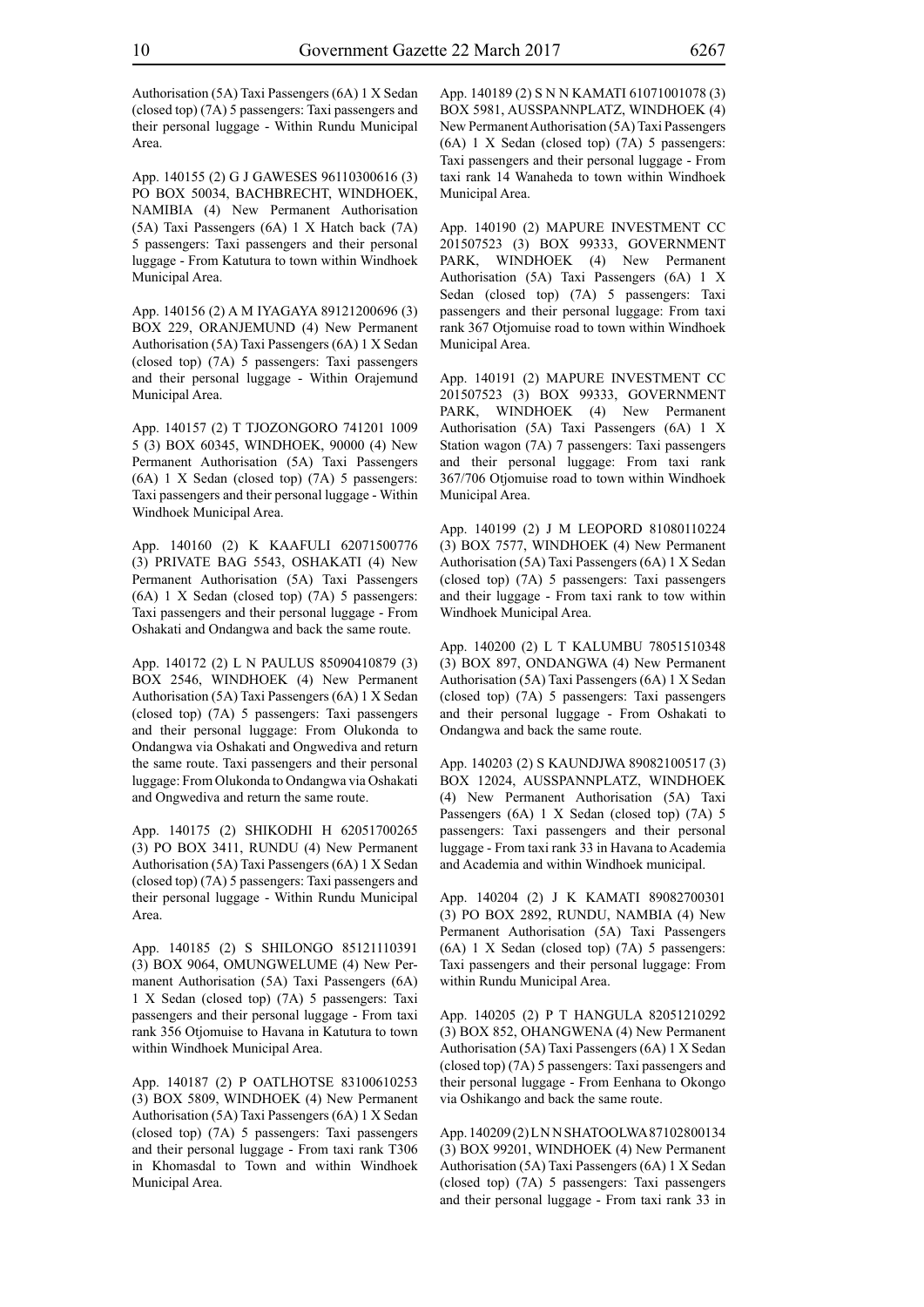Authorisation (5A) Taxi Passengers (6A) 1 X Sedan (closed top) (7A) 5 passengers: Taxi passengers and their personal luggage - Within Rundu Municipal Area.

App. 140155 (2) G J GAWESES 96110300616 (3) PO BOX 50034, BACHBRECHT, WINDHOEK, NAMIBIA (4) New Permanent Authorisation (5A) Taxi Passengers (6A) 1 X Hatch back (7A) 5 passengers: Taxi passengers and their personal luggage - From Katutura to town within Windhoek Municipal Area.

App. 140156 (2) A M IYAGAYA 89121200696 (3) BOX 229, ORANJEMUND (4) New Permanent Authorisation (5A) Taxi Passengers (6A) 1 X Sedan (closed top) (7A) 5 passengers: Taxi passengers and their personal luggage - Within Orajemund Municipal Area.

App. 140157 (2) T TJOZONGORO 741201 1009 5 (3) BOX 60345, WINDHOEK, 90000 (4) New Permanent Authorisation (5A) Taxi Passengers (6A) 1 X Sedan (closed top) (7A) 5 passengers: Taxi passengers and their personal luggage - Within Windhoek Municipal Area.

App. 140160 (2) K KAAFULI 62071500776 (3) PRIVATE BAG 5543, OSHAKATI (4) New Permanent Authorisation (5A) Taxi Passengers (6A) 1 X Sedan (closed top) (7A) 5 passengers: Taxi passengers and their personal luggage - From Oshakati and Ondangwa and back the same route.

App. 140172 (2) L N PAULUS 85090410879 (3) BOX 2546, WINDHOEK (4) New Permanent Authorisation (5A) Taxi Passengers (6A) 1 X Sedan (closed top) (7A) 5 passengers: Taxi passengers and their personal luggage: From Olukonda to Ondangwa via Oshakati and Ongwediva and return the same route. Taxi passengers and their personal luggage: From Olukonda to Ondangwa via Oshakati and Ongwediva and return the same route.

App. 140175 (2) SHIKODHI H 62051700265 (3) PO BOX 3411, RUNDU (4) New Permanent Authorisation (5A) Taxi Passengers (6A) 1 X Sedan (closed top) (7A) 5 passengers: Taxi passengers and their personal luggage - Within Rundu Municipal Area.

App. 140185 (2) S SHILONGO 85121110391 (3) BOX 9064, OMUNGWELUME (4) New Permanent Authorisation (5A) Taxi Passengers (6A) 1 X Sedan (closed top) (7A) 5 passengers: Taxi passengers and their personal luggage - From taxi rank 356 Otjomuise to Havana in Katutura to town within Windhoek Municipal Area.

App. 140187 (2) P OATLHOTSE 83100610253 (3) BOX 5809, WINDHOEK (4) New Permanent Authorisation (5A) Taxi Passengers (6A) 1 X Sedan (closed top) (7A) 5 passengers: Taxi passengers and their personal luggage - From taxi rank T306 in Khomasdal to Town and within Windhoek Municipal Area.

App. 140189 (2) S N N KAMATI 61071001078 (3) BOX 5981, AUSSPANNPLATZ, WINDHOEK (4) New Permanent Authorisation (5A) Taxi Passengers (6A) 1 X Sedan (closed top) (7A) 5 passengers: Taxi passengers and their personal luggage - From taxi rank 14 Wanaheda to town within Windhoek Municipal Area.

App. 140190 (2) MAPURE INVESTMENT CC 201507523 (3) BOX 99333, GOVERNMENT PARK, WINDHOEK (4) New Permanent Authorisation (5A) Taxi Passengers (6A) 1 X Sedan (closed top) (7A) 5 passengers: Taxi passengers and their personal luggage: From taxi rank 367 Otjomuise road to town within Windhoek Municipal Area.

App. 140191 (2) MAPURE INVESTMENT CC 201507523 (3) BOX 99333, GOVERNMENT PARK, WINDHOEK (4) New Permanent Authorisation (5A) Taxi Passengers (6A) 1 X Station wagon (7A) 7 passengers: Taxi passengers and their personal luggage: From taxi rank 367/706 Otjomuise road to town within Windhoek Municipal Area.

App. 140199 (2) J M LEOPORD 81080110224 (3) BOX 7577, WINDHOEK (4) New Permanent Authorisation (5A) Taxi Passengers (6A) 1 X Sedan (closed top) (7A) 5 passengers: Taxi passengers and their luggage - From taxi rank to tow within Windhoek Municipal Area.

App. 140200 (2) L T KALUMBU 78051510348 (3) BOX 897, ONDANGWA (4) New Permanent Authorisation (5A) Taxi Passengers (6A) 1 X Sedan (closed top) (7A) 5 passengers: Taxi passengers and their personal luggage - From Oshakati to Ondangwa and back the same route.

App. 140203 (2) S KAUNDJWA 89082100517 (3) BOX 12024, AUSSPANNPLATZ, WINDHOEK (4) New Permanent Authorisation (5A) Taxi Passengers (6A) 1 X Sedan (closed top) (7A) 5 passengers: Taxi passengers and their personal luggage - From taxi rank 33 in Havana to Academia and Academia and within Windhoek municipal.

App. 140204 (2) J K KAMATI 89082700301 (3) PO BOX 2892, RUNDU, NAMBIA (4) New Permanent Authorisation (5A) Taxi Passengers (6A) 1 X Sedan (closed top) (7A) 5 passengers: Taxi passengers and their personal luggage: From within Rundu Municipal Area.

App. 140205 (2) P T HANGULA 82051210292 (3) BOX 852, OHANGWENA (4) New Permanent Authorisation (5A) Taxi Passengers (6A) 1 X Sedan (closed top) (7A) 5 passengers: Taxi passengers and their personal luggage - From Eenhana to Okongo via Oshikango and back the same route.

App. 140209 (2) L N N SHATOOLWA 87102800134 (3) BOX 99201, WINDHOEK (4) New Permanent Authorisation (5A) Taxi Passengers (6A) 1 X Sedan (closed top) (7A) 5 passengers: Taxi passengers and their personal luggage - From taxi rank 33 in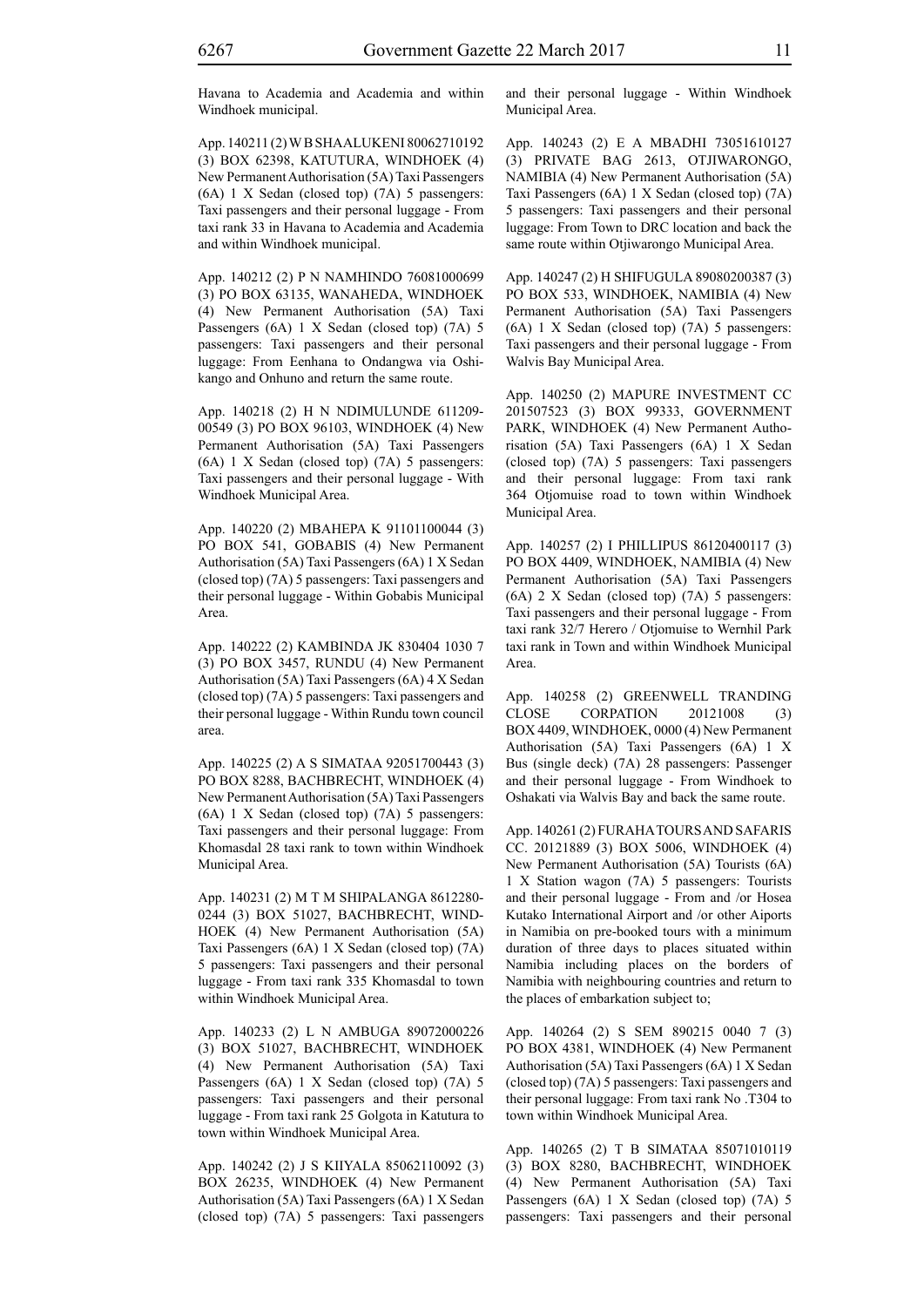Havana to Academia and Academia and within Windhoek municipal.

App. 140211 (2) W B SHAALUKENI 80062710192 (3) BOX 62398, KATUTURA, WINDHOEK (4) New Permanent Authorisation (5A) Taxi Passengers (6A) 1 X Sedan (closed top) (7A) 5 passengers: Taxi passengers and their personal luggage - From taxi rank 33 in Havana to Academia and Academia and within Windhoek municipal.

App. 140212 (2) P N NAMHINDO 76081000699 (3) PO BOX 63135, WANAHEDA, WINDHOEK (4) New Permanent Authorisation (5A) Taxi Passengers (6A) 1 X Sedan (closed top) (7A) 5 passengers: Taxi passengers and their personal luggage: From Eenhana to Ondangwa via Oshikango and Onhuno and return the same route.

App. 140218 (2) H N NDIMULUNDE 611209- 00549 (3) PO BOX 96103, WINDHOEK (4) New Permanent Authorisation (5A) Taxi Passengers (6A) 1 X Sedan (closed top) (7A) 5 passengers: Taxi passengers and their personal luggage - With Windhoek Municipal Area.

App. 140220 (2) MBAHEPA K 91101100044 (3) PO BOX 541, GOBABIS (4) New Permanent Authorisation (5A) Taxi Passengers (6A) 1 X Sedan (closed top) (7A) 5 passengers: Taxi passengers and their personal luggage - Within Gobabis Municipal Area.

App. 140222 (2) KAMBINDA JK 830404 1030 7 (3) PO BOX 3457, RUNDU (4) New Permanent Authorisation (5A) Taxi Passengers (6A) 4 X Sedan (closed top) (7A) 5 passengers: Taxi passengers and their personal luggage - Within Rundu town council area.

App. 140225 (2) A S SIMATAA 92051700443 (3) PO BOX 8288, BACHBRECHT, WINDHOEK (4) New Permanent Authorisation (5A) Taxi Passengers (6A) 1 X Sedan (closed top) (7A) 5 passengers: Taxi passengers and their personal luggage: From Khomasdal 28 taxi rank to town within Windhoek Municipal Area.

App. 140231 (2) M T M SHIPALANGA 8612280- 0244 (3) BOX 51027, BACHBRECHT, WIND-HOEK (4) New Permanent Authorisation (5A) Taxi Passengers (6A) 1 X Sedan (closed top) (7A) 5 passengers: Taxi passengers and their personal luggage - From taxi rank 335 Khomasdal to town within Windhoek Municipal Area.

App. 140233 (2) L N AMBUGA 89072000226 (3) BOX 51027, BACHBRECHT, WINDHOEK (4) New Permanent Authorisation (5A) Taxi Passengers (6A) 1 X Sedan (closed top) (7A) 5 passengers: Taxi passengers and their personal luggage - From taxi rank 25 Golgota in Katutura to town within Windhoek Municipal Area.

App. 140242 (2) J S KIIYALA 85062110092 (3) BOX 26235, WINDHOEK (4) New Permanent Authorisation (5A) Taxi Passengers (6A) 1 X Sedan (closed top) (7A) 5 passengers: Taxi passengers and their personal luggage - Within Windhoek Municipal Area.

App. 140243 (2) E A MBADHI 73051610127 (3) PRIVATE BAG 2613, OTJIWARONGO, NAMIBIA (4) New Permanent Authorisation (5A) Taxi Passengers (6A) 1 X Sedan (closed top) (7A) 5 passengers: Taxi passengers and their personal luggage: From Town to DRC location and back the same route within Otjiwarongo Municipal Area.

App. 140247 (2) H SHIFUGULA 89080200387 (3) PO BOX 533, WINDHOEK, NAMIBIA (4) New Permanent Authorisation (5A) Taxi Passengers (6A) 1 X Sedan (closed top) (7A) 5 passengers: Taxi passengers and their personal luggage - From Walvis Bay Municipal Area.

App. 140250 (2) MAPURE INVESTMENT CC 201507523 (3) BOX 99333, GOVERNMENT PARK, WINDHOEK (4) New Permanent Authorisation (5A) Taxi Passengers (6A) 1 X Sedan (closed top) (7A) 5 passengers: Taxi passengers and their personal luggage: From taxi rank 364 Otjomuise road to town within Windhoek Municipal Area.

App. 140257 (2) I PHILLIPUS 86120400117 (3) PO BOX 4409, WINDHOEK, NAMIBIA (4) New Permanent Authorisation (5A) Taxi Passengers (6A) 2 X Sedan (closed top) (7A) 5 passengers: Taxi passengers and their personal luggage - From taxi rank 32/7 Herero / Otjomuise to Wernhil Park taxi rank in Town and within Windhoek Municipal Area.

App. 140258 (2) GREENWELL TRANDING CLOSE CORPATION 20121008 (3) BOX 4409, WINDHOEK, 0000 (4) New Permanent Authorisation (5A) Taxi Passengers (6A) 1 X Bus (single deck) (7A) 28 passengers: Passenger and their personal luggage - From Windhoek to Oshakati via Walvis Bay and back the same route.

App. 140261 (2) FURAHA TOURS AND SAFARIS CC. 20121889 (3) BOX 5006, WINDHOEK (4) New Permanent Authorisation (5A) Tourists (6A) 1 X Station wagon (7A) 5 passengers: Tourists and their personal luggage - From and /or Hosea Kutako International Airport and /or other Aiports in Namibia on pre-booked tours with a minimum duration of three days to places situated within Namibia including places on the borders of Namibia with neighbouring countries and return to the places of embarkation subject to;

App. 140264 (2) S SEM 890215 0040 7 (3) PO BOX 4381, WINDHOEK (4) New Permanent Authorisation (5A) Taxi Passengers (6A) 1 X Sedan (closed top) (7A) 5 passengers: Taxi passengers and their personal luggage: From taxi rank No .T304 to town within Windhoek Municipal Area.

App. 140265 (2) T B SIMATAA 85071010119 (3) BOX 8280, BACHBRECHT, WINDHOEK (4) New Permanent Authorisation (5A) Taxi Passengers (6A) 1 X Sedan (closed top) (7A) 5 passengers: Taxi passengers and their personal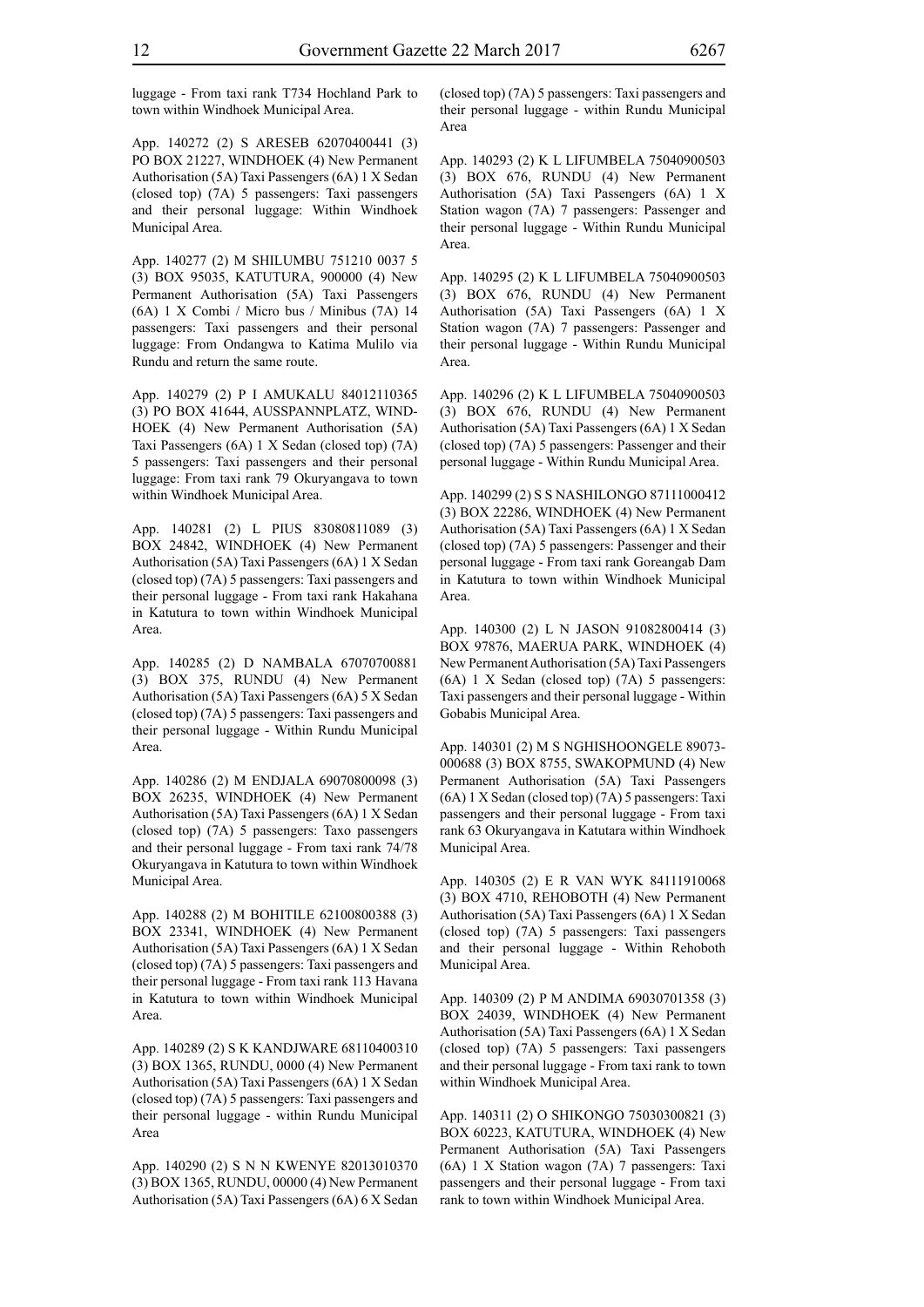luggage - From taxi rank T734 Hochland Park to town within Windhoek Municipal Area.

App. 140272 (2) S ARESEB 62070400441 (3) PO BOX 21227, WINDHOEK (4) New Permanent Authorisation (5A) Taxi Passengers (6A) 1 X Sedan (closed top) (7A) 5 passengers: Taxi passengers and their personal luggage: Within Windhoek Municipal Area.

App. 140277 (2) M SHILUMBU 751210 0037 5 (3) BOX 95035, KATUTURA, 900000 (4) New Permanent Authorisation (5A) Taxi Passengers (6A) 1 X Combi / Micro bus / Minibus (7A) 14 passengers: Taxi passengers and their personal luggage: From Ondangwa to Katima Mulilo via Rundu and return the same route.

App. 140279 (2) P I AMUKALU 84012110365 (3) PO BOX 41644, AUSSPANNPLATZ, WIND-HOEK (4) New Permanent Authorisation (5A) Taxi Passengers (6A) 1 X Sedan (closed top) (7A) 5 passengers: Taxi passengers and their personal luggage: From taxi rank 79 Okuryangava to town within Windhoek Municipal Area.

App. 140281 (2) L PIUS 83080811089 (3) BOX 24842, WINDHOEK (4) New Permanent Authorisation (5A) Taxi Passengers (6A) 1 X Sedan (closed top) (7A) 5 passengers: Taxi passengers and their personal luggage - From taxi rank Hakahana in Katutura to town within Windhoek Municipal Area.

App. 140285 (2) D NAMBALA 67070700881 (3) BOX 375, RUNDU (4) New Permanent Authorisation (5A) Taxi Passengers (6A) 5 X Sedan (closed top) (7A) 5 passengers: Taxi passengers and their personal luggage - Within Rundu Municipal Area.

App. 140286 (2) M ENDJALA 69070800098 (3) BOX 26235, WINDHOEK (4) New Permanent Authorisation (5A) Taxi Passengers (6A) 1 X Sedan (closed top) (7A) 5 passengers: Taxo passengers and their personal luggage - From taxi rank 74/78 Okuryangava in Katutura to town within Windhoek Municipal Area.

App. 140288 (2) M BOHITILE 62100800388 (3) BOX 23341, WINDHOEK (4) New Permanent Authorisation (5A) Taxi Passengers (6A) 1 X Sedan (closed top) (7A) 5 passengers: Taxi passengers and their personal luggage - From taxi rank 113 Havana in Katutura to town within Windhoek Municipal Area.

App. 140289 (2) S K KANDJWARE 68110400310 (3) BOX 1365, RUNDU, 0000 (4) New Permanent Authorisation (5A) Taxi Passengers (6A) 1 X Sedan (closed top) (7A) 5 passengers: Taxi passengers and their personal luggage - within Rundu Municipal Area

App. 140290 (2) S N N KWENYE 82013010370 (3) BOX 1365, RUNDU, 00000 (4) New Permanent Authorisation (5A) Taxi Passengers (6A) 6 X Sedan (closed top) (7A) 5 passengers: Taxi passengers and their personal luggage - within Rundu Municipal Area

App. 140293 (2) K L LIFUMBELA 75040900503 (3) BOX 676, RUNDU (4) New Permanent Authorisation (5A) Taxi Passengers (6A) 1 X Station wagon (7A) 7 passengers: Passenger and their personal luggage - Within Rundu Municipal Area.

App. 140295 (2) K L LIFUMBELA 75040900503 (3) BOX 676, RUNDU (4) New Permanent Authorisation (5A) Taxi Passengers (6A) 1 X Station wagon (7A) 7 passengers: Passenger and their personal luggage - Within Rundu Municipal Area.

App. 140296 (2) K L LIFUMBELA 75040900503 (3) BOX 676, RUNDU (4) New Permanent Authorisation (5A) Taxi Passengers (6A) 1 X Sedan (closed top) (7A) 5 passengers: Passenger and their personal luggage - Within Rundu Municipal Area.

App. 140299 (2) S S NASHILONGO 87111000412 (3) BOX 22286, WINDHOEK (4) New Permanent Authorisation (5A) Taxi Passengers (6A) 1 X Sedan (closed top) (7A) 5 passengers: Passenger and their personal luggage - From taxi rank Goreangab Dam in Katutura to town within Windhoek Municipal Area.

App. 140300 (2) L N JASON 91082800414 (3) BOX 97876, MAERUA PARK, WINDHOEK (4) New Permanent Authorisation (5A) Taxi Passengers (6A) 1 X Sedan (closed top) (7A) 5 passengers: Taxi passengers and their personal luggage - Within Gobabis Municipal Area.

App. 140301 (2) M S NGHISHOONGELE 89073- 000688 (3) BOX 8755, SWAKOPMUND (4) New Permanent Authorisation (5A) Taxi Passengers (6A) 1 X Sedan (closed top) (7A) 5 passengers: Taxi passengers and their personal luggage - From taxi rank 63 Okuryangava in Katutara within Windhoek Municipal Area.

App. 140305 (2) E R VAN WYK 84111910068 (3) BOX 4710, REHOBOTH (4) New Permanent Authorisation (5A) Taxi Passengers (6A) 1 X Sedan (closed top) (7A) 5 passengers: Taxi passengers and their personal luggage - Within Rehoboth Municipal Area.

App. 140309 (2) P M ANDIMA 69030701358 (3) BOX 24039, WINDHOEK (4) New Permanent Authorisation (5A) Taxi Passengers (6A) 1 X Sedan (closed top) (7A) 5 passengers: Taxi passengers and their personal luggage - From taxi rank to town within Windhoek Municipal Area.

App. 140311 (2) O SHIKONGO 75030300821 (3) BOX 60223, KATUTURA, WINDHOEK (4) New Permanent Authorisation (5A) Taxi Passengers (6A) 1 X Station wagon (7A) 7 passengers: Taxi passengers and their personal luggage - From taxi rank to town within Windhoek Municipal Area.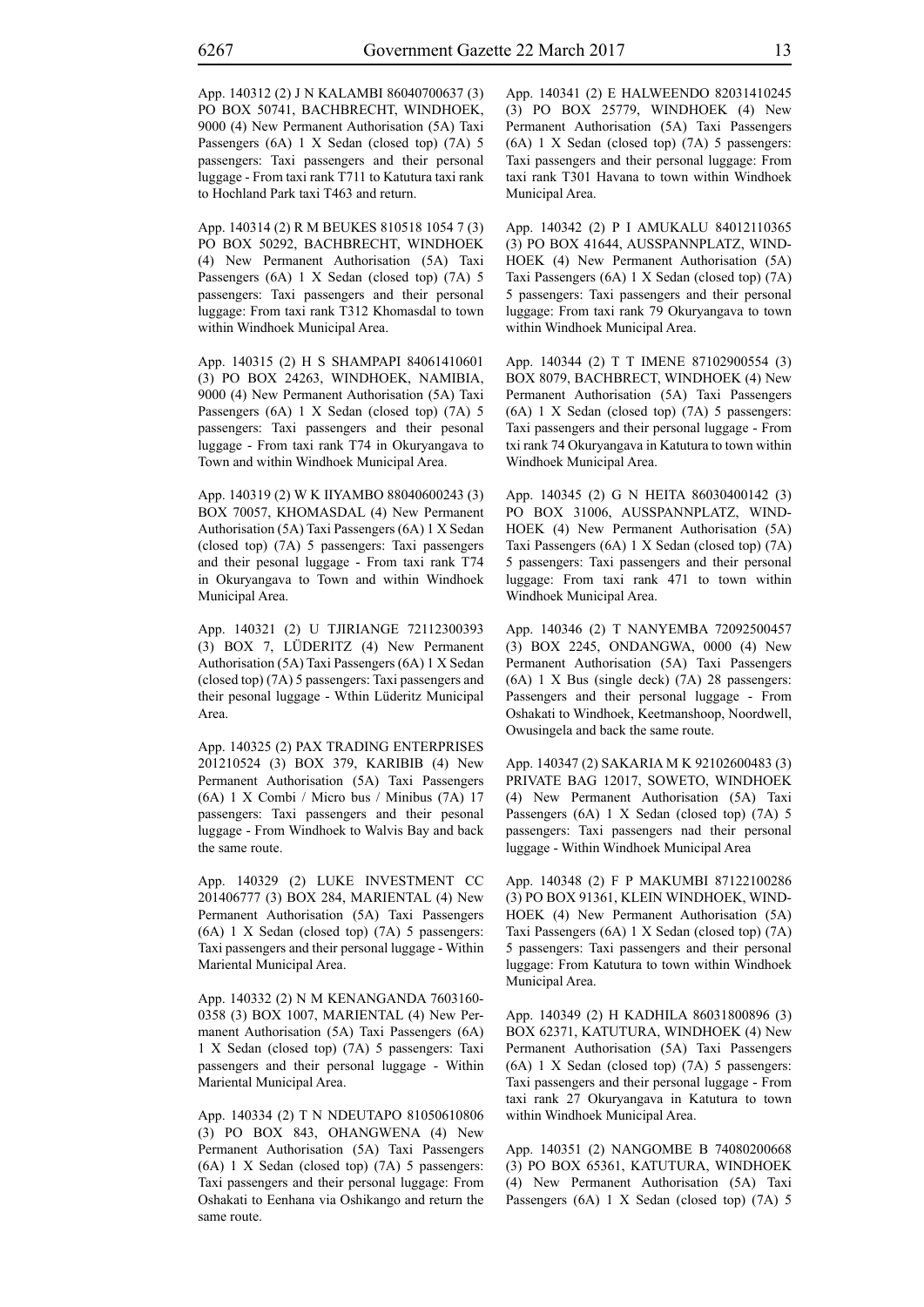App. 140314 (2) R M BEUKES 810518 1054 7 (3) PO BOX 50292, BACHBRECHT, WINDHOEK (4) New Permanent Authorisation (5A) Taxi Passengers (6A) 1 X Sedan (closed top) (7A) 5 passengers: Taxi passengers and their personal luggage: From taxi rank T312 Khomasdal to town within Windhoek Municipal Area.

App. 140315 (2) H S SHAMPAPI 84061410601 (3) PO BOX 24263, WINDHOEK, NAMIBIA, 9000 (4) New Permanent Authorisation (5A) Taxi Passengers (6A) 1 X Sedan (closed top) (7A) 5 passengers: Taxi passengers and their pesonal luggage - From taxi rank T74 in Okuryangava to Town and within Windhoek Municipal Area.

App. 140319 (2) W K IIYAMBO 88040600243 (3) BOX 70057, KHOMASDAL (4) New Permanent Authorisation (5A) Taxi Passengers (6A) 1 X Sedan (closed top) (7A) 5 passengers: Taxi passengers and their pesonal luggage - From taxi rank T74 in Okuryangava to Town and within Windhoek Municipal Area.

App. 140321 (2) U TJIRIANGE 72112300393 (3) BOX 7, LÜDERITZ (4) New Permanent Authorisation (5A) Taxi Passengers (6A) 1 X Sedan (closed top) (7A) 5 passengers: Taxi passengers and their pesonal luggage - Wthin Lüderitz Municipal Area.

App. 140325 (2) PAX TRADING ENTERPRISES 201210524 (3) BOX 379, KARIBIB (4) New Permanent Authorisation (5A) Taxi Passengers (6A) 1 X Combi / Micro bus / Minibus (7A) 17 passengers: Taxi passengers and their pesonal luggage - From Windhoek to Walvis Bay and back the same route.

App. 140329 (2) LUKE INVESTMENT CC 201406777 (3) BOX 284, MARIENTAL (4) New Permanent Authorisation (5A) Taxi Passengers (6A) 1 X Sedan (closed top) (7A) 5 passengers: Taxi passengers and their personal luggage - Within Mariental Municipal Area.

App. 140332 (2) N M KENANGANDA 7603160- 0358 (3) BOX 1007, MARIENTAL (4) New Permanent Authorisation (5A) Taxi Passengers (6A) 1 X Sedan (closed top) (7A) 5 passengers: Taxi passengers and their personal luggage - Within Mariental Municipal Area.

App. 140334 (2) T N NDEUTAPO 81050610806 (3) PO BOX 843, OHANGWENA (4) New Permanent Authorisation (5A) Taxi Passengers (6A) 1 X Sedan (closed top) (7A) 5 passengers: Taxi passengers and their personal luggage: From Oshakati to Eenhana via Oshikango and return the same route.

App. 140341 (2) E HALWEENDO 82031410245 (3) PO BOX 25779, WINDHOEK (4) New Permanent Authorisation (5A) Taxi Passengers (6A) 1 X Sedan (closed top) (7A) 5 passengers: Taxi passengers and their personal luggage: From taxi rank T301 Havana to town within Windhoek Municipal Area.

App. 140342 (2) P I AMUKALU 84012110365 (3) PO BOX 41644, AUSSPANNPLATZ, WIND-HOEK (4) New Permanent Authorisation (5A) Taxi Passengers (6A) 1 X Sedan (closed top) (7A) 5 passengers: Taxi passengers and their personal luggage: From taxi rank 79 Okuryangava to town within Windhoek Municipal Area.

App. 140344 (2) T T IMENE 87102900554 (3) BOX 8079, BACHBRECT, WINDHOEK (4) New Permanent Authorisation (5A) Taxi Passengers (6A) 1 X Sedan (closed top) (7A) 5 passengers: Taxi passengers and their personal luggage - From txi rank 74 Okuryangava in Katutura to town within Windhoek Municipal Area.

App. 140345 (2) G N HEITA 86030400142 (3) PO BOX 31006, AUSSPANNPLATZ, WIND-HOEK (4) New Permanent Authorisation (5A) Taxi Passengers (6A) 1 X Sedan (closed top) (7A) 5 passengers: Taxi passengers and their personal luggage: From taxi rank 471 to town within Windhoek Municipal Area.

App. 140346 (2) T NANYEMBA 72092500457 (3) BOX 2245, ONDANGWA, 0000 (4) New Permanent Authorisation (5A) Taxi Passengers (6A) 1 X Bus (single deck) (7A) 28 passengers: Passengers and their personal luggage - From Oshakati to Windhoek, Keetmanshoop, Noordwell, Owusingela and back the same route.

App. 140347 (2) SAKARIA M K 92102600483 (3) PRIVATE BAG 12017, SOWETO, WINDHOEK (4) New Permanent Authorisation (5A) Taxi Passengers (6A) 1 X Sedan (closed top) (7A) 5 passengers: Taxi passengers nad their personal luggage - Within Windhoek Municipal Area

App. 140348 (2) F P MAKUMBI 87122100286 (3) PO BOX 91361, KLEIN WINDHOEK, WIND-HOEK (4) New Permanent Authorisation (5A) Taxi Passengers (6A) 1 X Sedan (closed top) (7A) 5 passengers: Taxi passengers and their personal luggage: From Katutura to town within Windhoek Municipal Area.

App. 140349 (2) H KADHILA 86031800896 (3) BOX 62371, KATUTURA, WINDHOEK (4) New Permanent Authorisation (5A) Taxi Passengers (6A) 1 X Sedan (closed top) (7A) 5 passengers: Taxi passengers and their personal luggage - From taxi rank 27 Okuryangava in Katutura to town within Windhoek Municipal Area.

App. 140351 (2) NANGOMBE B 74080200668 (3) PO BOX 65361, KATUTURA, WINDHOEK (4) New Permanent Authorisation (5A) Taxi Passengers (6A) 1 X Sedan (closed top) (7A) 5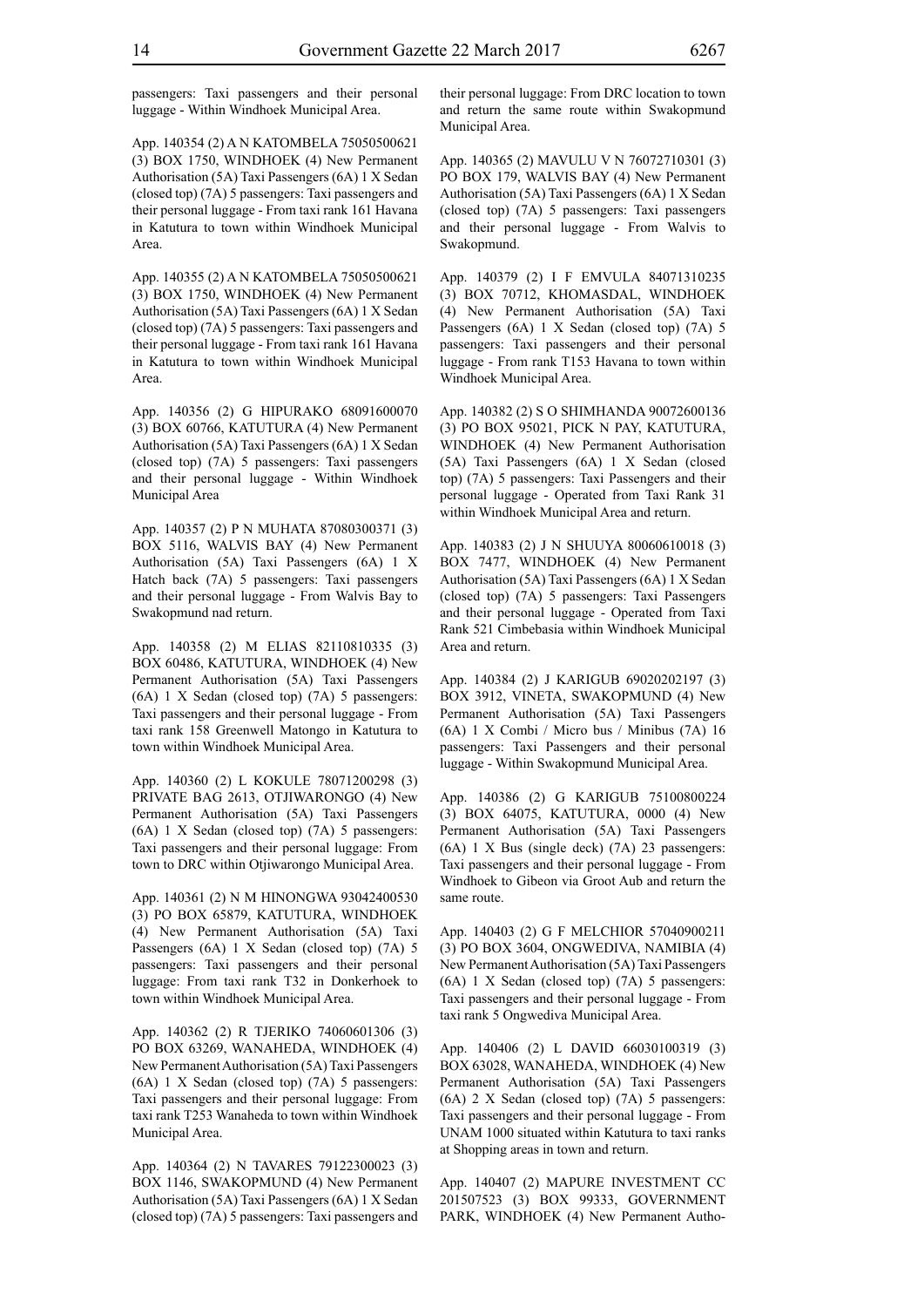passengers: Taxi passengers and their personal luggage - Within Windhoek Municipal Area.

App. 140354 (2) A N KATOMBELA 75050500621 (3) BOX 1750, WINDHOEK (4) New Permanent Authorisation (5A) Taxi Passengers (6A) 1 X Sedan (closed top) (7A) 5 passengers: Taxi passengers and their personal luggage - From taxi rank 161 Havana in Katutura to town within Windhoek Municipal Area.

App. 140355 (2) A N KATOMBELA 75050500621 (3) BOX 1750, WINDHOEK (4) New Permanent Authorisation (5A) Taxi Passengers (6A) 1 X Sedan (closed top) (7A) 5 passengers: Taxi passengers and their personal luggage - From taxi rank 161 Havana in Katutura to town within Windhoek Municipal Area.

App. 140356 (2) G HIPURAKO 68091600070 (3) BOX 60766, KATUTURA (4) New Permanent Authorisation (5A) Taxi Passengers (6A) 1 X Sedan (closed top) (7A) 5 passengers: Taxi passengers and their personal luggage - Within Windhoek Municipal Area

App. 140357 (2) P N MUHATA 87080300371 (3) BOX 5116, WALVIS BAY (4) New Permanent Authorisation (5A) Taxi Passengers (6A) 1 X Hatch back (7A) 5 passengers: Taxi passengers and their personal luggage - From Walvis Bay to Swakopmund nad return.

App. 140358 (2) M ELIAS 82110810335 (3) BOX 60486, KATUTURA, WINDHOEK (4) New Permanent Authorisation (5A) Taxi Passengers (6A) 1 X Sedan (closed top) (7A) 5 passengers: Taxi passengers and their personal luggage - From taxi rank 158 Greenwell Matongo in Katutura to town within Windhoek Municipal Area.

App. 140360 (2) L KOKULE 78071200298 (3) PRIVATE BAG 2613, OTJIWARONGO (4) New Permanent Authorisation (5A) Taxi Passengers (6A) 1 X Sedan (closed top) (7A) 5 passengers: Taxi passengers and their personal luggage: From town to DRC within Otjiwarongo Municipal Area.

App. 140361 (2) N M HINONGWA 93042400530 (3) PO BOX 65879, KATUTURA, WINDHOEK (4) New Permanent Authorisation (5A) Taxi Passengers (6A) 1 X Sedan (closed top) (7A) 5 passengers: Taxi passengers and their personal luggage: From taxi rank T32 in Donkerhoek to town within Windhoek Municipal Area.

App. 140362 (2) R TJERIKO 74060601306 (3) PO BOX 63269, WANAHEDA, WINDHOEK (4) New Permanent Authorisation (5A) Taxi Passengers (6A) 1 X Sedan (closed top) (7A) 5 passengers: Taxi passengers and their personal luggage: From taxi rank T253 Wanaheda to town within Windhoek Municipal Area.

App. 140364 (2) N TAVARES 79122300023 (3) BOX 1146, SWAKOPMUND (4) New Permanent Authorisation (5A) Taxi Passengers (6A) 1 X Sedan (closed top) (7A) 5 passengers: Taxi passengers and their personal luggage: From DRC location to town and return the same route within Swakopmund Municipal Area.

App. 140365 (2) MAVULU V N 76072710301 (3) PO BOX 179, WALVIS BAY (4) New Permanent Authorisation (5A) Taxi Passengers (6A) 1 X Sedan (closed top) (7A) 5 passengers: Taxi passengers and their personal luggage - From Walvis to Swakopmund.

App. 140379 (2) I F EMVULA 84071310235 (3) BOX 70712, KHOMASDAL, WINDHOEK (4) New Permanent Authorisation (5A) Taxi Passengers (6A) 1 X Sedan (closed top) (7A) 5 passengers: Taxi passengers and their personal luggage - From rank T153 Havana to town within Windhoek Municipal Area.

App. 140382 (2) S O SHIMHANDA 90072600136 (3) PO BOX 95021, PICK N PAY, KATUTURA, WINDHOEK (4) New Permanent Authorisation (5A) Taxi Passengers (6A) 1 X Sedan (closed top) (7A) 5 passengers: Taxi Passengers and their personal luggage - Operated from Taxi Rank 31 within Windhoek Municipal Area and return.

App. 140383 (2) J N SHUUYA 80060610018 (3) BOX 7477, WINDHOEK (4) New Permanent Authorisation (5A) Taxi Passengers (6A) 1 X Sedan (closed top) (7A) 5 passengers: Taxi Passengers and their personal luggage - Operated from Taxi Rank 521 Cimbebasia within Windhoek Municipal Area and return.

App. 140384 (2) J KARIGUB 69020202197 (3) BOX 3912, VINETA, SWAKOPMUND (4) New Permanent Authorisation (5A) Taxi Passengers (6A) 1 X Combi / Micro bus / Minibus (7A) 16 passengers: Taxi Passengers and their personal luggage - Within Swakopmund Municipal Area.

App. 140386 (2) G KARIGUB 75100800224 (3) BOX 64075, KATUTURA, 0000 (4) New Permanent Authorisation (5A) Taxi Passengers (6A) 1 X Bus (single deck) (7A) 23 passengers: Taxi passengers and their personal luggage - From Windhoek to Gibeon via Groot Aub and return the same route.

App. 140403 (2) G F MELCHIOR 57040900211 (3) PO BOX 3604, ONGWEDIVA, NAMIBIA (4) New Permanent Authorisation (5A) Taxi Passengers (6A) 1 X Sedan (closed top) (7A) 5 passengers: Taxi passengers and their personal luggage - From taxi rank 5 Ongwediva Municipal Area.

App. 140406 (2) L DAVID 66030100319 (3) BOX 63028, WANAHEDA, WINDHOEK (4) New Permanent Authorisation (5A) Taxi Passengers (6A) 2 X Sedan (closed top) (7A) 5 passengers: Taxi passengers and their personal luggage - From UNAM 1000 situated within Katutura to taxi ranks at Shopping areas in town and return.

App. 140407 (2) MAPURE INVESTMENT CC 201507523 (3) BOX 99333, GOVERNMENT PARK, WINDHOEK (4) New Permanent Autho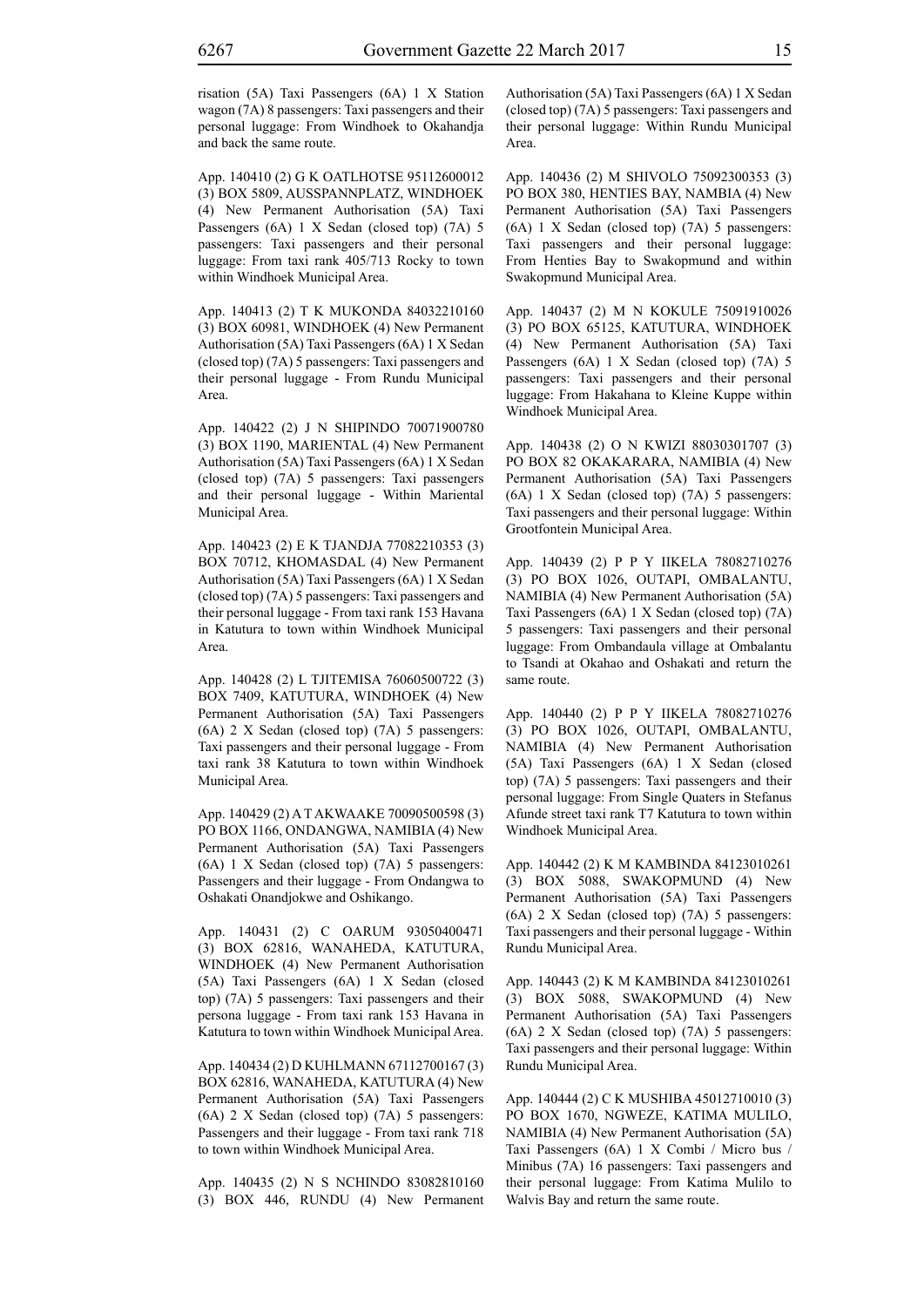risation (5A) Taxi Passengers (6A) 1 X Station wagon (7A) 8 passengers: Taxi passengers and their personal luggage: From Windhoek to Okahandja and back the same route.

App. 140410 (2) G K OATLHOTSE 95112600012 (3) BOX 5809, AUSSPANNPLATZ, WINDHOEK (4) New Permanent Authorisation (5A) Taxi Passengers (6A) 1 X Sedan (closed top) (7A) 5 passengers: Taxi passengers and their personal luggage: From taxi rank 405/713 Rocky to town within Windhoek Municipal Area.

App. 140413 (2) T K MUKONDA 84032210160 (3) BOX 60981, WINDHOEK (4) New Permanent Authorisation (5A) Taxi Passengers (6A) 1 X Sedan (closed top) (7A) 5 passengers: Taxi passengers and their personal luggage - From Rundu Municipal Area.

App. 140422 (2) J N SHIPINDO 70071900780 (3) BOX 1190, MARIENTAL (4) New Permanent Authorisation (5A) Taxi Passengers (6A) 1 X Sedan (closed top) (7A) 5 passengers: Taxi passengers and their personal luggage - Within Mariental Municipal Area.

App. 140423 (2) E K TJANDJA 77082210353 (3) BOX 70712, KHOMASDAL (4) New Permanent Authorisation (5A) Taxi Passengers (6A) 1 X Sedan (closed top) (7A) 5 passengers: Taxi passengers and their personal luggage - From taxi rank 153 Havana in Katutura to town within Windhoek Municipal Area.

App. 140428 (2) L TJITEMISA 76060500722 (3) BOX 7409, KATUTURA, WINDHOEK (4) New Permanent Authorisation (5A) Taxi Passengers (6A) 2 X Sedan (closed top) (7A) 5 passengers: Taxi passengers and their personal luggage - From taxi rank 38 Katutura to town within Windhoek Municipal Area.

App. 140429 (2) A T AKWAAKE 70090500598 (3) PO BOX 1166, ONDANGWA, NAMIBIA (4) New Permanent Authorisation (5A) Taxi Passengers (6A) 1 X Sedan (closed top) (7A) 5 passengers: Passengers and their luggage - From Ondangwa to Oshakati Onandjokwe and Oshikango.

App. 140431 (2) C OARUM 93050400471 (3) BOX 62816, WANAHEDA, KATUTURA, WINDHOEK (4) New Permanent Authorisation (5A) Taxi Passengers (6A) 1 X Sedan (closed top) (7A) 5 passengers: Taxi passengers and their persona luggage - From taxi rank 153 Havana in Katutura to town within Windhoek Municipal Area.

App. 140434 (2) D KUHLMANN 67112700167 (3) BOX 62816, WANAHEDA, KATUTURA (4) New Permanent Authorisation (5A) Taxi Passengers (6A) 2 X Sedan (closed top) (7A) 5 passengers: Passengers and their luggage - From taxi rank 718 to town within Windhoek Municipal Area.

App. 140435 (2) N S NCHINDO 83082810160 (3) BOX 446, RUNDU (4) New Permanent Authorisation (5A) Taxi Passengers (6A) 1 X Sedan (closed top) (7A) 5 passengers: Taxi passengers and their personal luggage: Within Rundu Municipal Area.

App. 140436 (2) M SHIVOLO 75092300353 (3) PO BOX 380, HENTIES BAY, NAMBIA (4) New Permanent Authorisation (5A) Taxi Passengers (6A) 1 X Sedan (closed top) (7A) 5 passengers: Taxi passengers and their personal luggage: From Henties Bay to Swakopmund and within Swakopmund Municipal Area.

App. 140437 (2) M N KOKULE 75091910026 (3) PO BOX 65125, KATUTURA, WINDHOEK (4) New Permanent Authorisation (5A) Taxi Passengers (6A) 1 X Sedan (closed top) (7A) 5 passengers: Taxi passengers and their personal luggage: From Hakahana to Kleine Kuppe within Windhoek Municipal Area.

App. 140438 (2) O N KWIZI 88030301707 (3) PO BOX 82 OKAKARARA, NAMIBIA (4) New Permanent Authorisation (5A) Taxi Passengers (6A) 1 X Sedan (closed top) (7A) 5 passengers: Taxi passengers and their personal luggage: Within Grootfontein Municipal Area.

App. 140439 (2) P P Y IIKELA 78082710276 (3) PO BOX 1026, OUTAPI, OMBALANTU, NAMIBIA (4) New Permanent Authorisation (5A) Taxi Passengers (6A) 1 X Sedan (closed top) (7A) 5 passengers: Taxi passengers and their personal luggage: From Ombandaula village at Ombalantu to Tsandi at Okahao and Oshakati and return the same route.

App. 140440 (2) P P Y IIKELA 78082710276 (3) PO BOX 1026, OUTAPI, OMBALANTU, NAMIBIA (4) New Permanent Authorisation (5A) Taxi Passengers (6A) 1 X Sedan (closed top) (7A) 5 passengers: Taxi passengers and their personal luggage: From Single Quaters in Stefanus Afunde street taxi rank T7 Katutura to town within Windhoek Municipal Area.

App. 140442 (2) K M KAMBINDA 84123010261 (3) BOX 5088, SWAKOPMUND (4) New Permanent Authorisation (5A) Taxi Passengers (6A) 2 X Sedan (closed top) (7A) 5 passengers: Taxi passengers and their personal luggage - Within Rundu Municipal Area.

App. 140443 (2) K M KAMBINDA 84123010261 (3) BOX 5088, SWAKOPMUND (4) New Permanent Authorisation (5A) Taxi Passengers (6A) 2 X Sedan (closed top) (7A) 5 passengers: Taxi passengers and their personal luggage: Within Rundu Municipal Area.

App. 140444 (2) C K MUSHIBA 45012710010 (3) PO BOX 1670, NGWEZE, KATIMA MULILO, NAMIBIA (4) New Permanent Authorisation (5A) Taxi Passengers (6A) 1 X Combi / Micro bus / Minibus (7A) 16 passengers: Taxi passengers and their personal luggage: From Katima Mulilo to Walvis Bay and return the same route.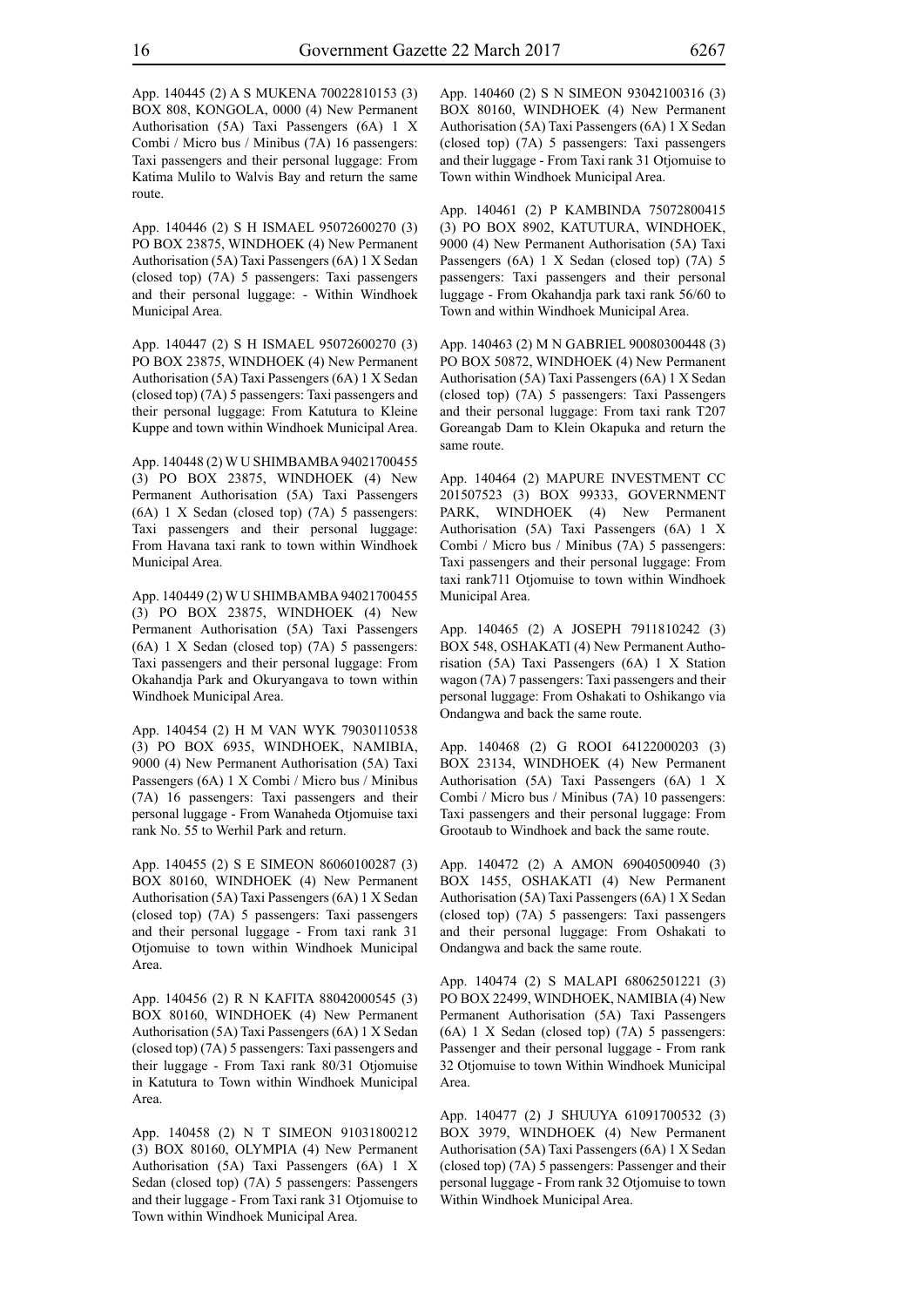App. 140445 (2) A S MUKENA 70022810153 (3) BOX 808, KONGOLA, 0000 (4) New Permanent Authorisation (5A) Taxi Passengers (6A) 1 X Combi / Micro bus / Minibus (7A) 16 passengers: Taxi passengers and their personal luggage: From Katima Mulilo to Walvis Bay and return the same route.

App. 140446 (2) S H ISMAEL 95072600270 (3) PO BOX 23875, WINDHOEK (4) New Permanent Authorisation (5A) Taxi Passengers (6A) 1 X Sedan (closed top) (7A) 5 passengers: Taxi passengers and their personal luggage: - Within Windhoek Municipal Area.

App. 140447 (2) S H ISMAEL 95072600270 (3) PO BOX 23875, WINDHOEK (4) New Permanent Authorisation (5A) Taxi Passengers (6A) 1 X Sedan (closed top) (7A) 5 passengers: Taxi passengers and their personal luggage: From Katutura to Kleine Kuppe and town within Windhoek Municipal Area.

App. 140448 (2) W U SHIMBAMBA 94021700455 (3) PO BOX 23875, WINDHOEK (4) New Permanent Authorisation (5A) Taxi Passengers (6A) 1 X Sedan (closed top) (7A) 5 passengers: Taxi passengers and their personal luggage: From Havana taxi rank to town within Windhoek Municipal Area.

App. 140449 (2) W U SHIMBAMBA 94021700455 (3) PO BOX 23875, WINDHOEK (4) New Permanent Authorisation (5A) Taxi Passengers (6A) 1 X Sedan (closed top) (7A) 5 passengers: Taxi passengers and their personal luggage: From Okahandja Park and Okuryangava to town within Windhoek Municipal Area.

App. 140454 (2) H M VAN WYK 79030110538 (3) PO BOX 6935, WINDHOEK, NAMIBIA, 9000 (4) New Permanent Authorisation (5A) Taxi Passengers (6A) 1 X Combi / Micro bus / Minibus (7A) 16 passengers: Taxi passengers and their personal luggage - From Wanaheda Otjomuise taxi rank No. 55 to Werhil Park and return.

App. 140455 (2) S E SIMEON 86060100287 (3) BOX 80160, WINDHOEK (4) New Permanent Authorisation (5A) Taxi Passengers (6A) 1 X Sedan (closed top) (7A) 5 passengers: Taxi passengers and their personal luggage - From taxi rank 31 Otjomuise to town within Windhoek Municipal Area.

App. 140456 (2) R N KAFITA 88042000545 (3) BOX 80160, WINDHOEK (4) New Permanent Authorisation (5A) Taxi Passengers (6A) 1 X Sedan (closed top) (7A) 5 passengers: Taxi passengers and their luggage - From Taxi rank 80/31 Otjomuise in Katutura to Town within Windhoek Municipal Area.

App. 140458 (2) N T SIMEON 91031800212 (3) BOX 80160, OLYMPIA (4) New Permanent Authorisation (5A) Taxi Passengers (6A) 1 X Sedan (closed top) (7A) 5 passengers: Passengers and their luggage - From Taxi rank 31 Otjomuise to Town within Windhoek Municipal Area.

App. 140460 (2) S N SIMEON 93042100316 (3) BOX 80160, WINDHOEK (4) New Permanent Authorisation (5A) Taxi Passengers (6A) 1 X Sedan (closed top) (7A) 5 passengers: Taxi passengers and their luggage - From Taxi rank 31 Otjomuise to Town within Windhoek Municipal Area.

App. 140461 (2) P KAMBINDA 75072800415 (3) PO BOX 8902, KATUTURA, WINDHOEK, 9000 (4) New Permanent Authorisation (5A) Taxi Passengers (6A) 1 X Sedan (closed top) (7A) 5 passengers: Taxi passengers and their personal luggage - From Okahandja park taxi rank 56/60 to Town and within Windhoek Municipal Area.

App. 140463 (2) M N GABRIEL 90080300448 (3) PO BOX 50872, WINDHOEK (4) New Permanent Authorisation (5A) Taxi Passengers (6A) 1 X Sedan (closed top) (7A) 5 passengers: Taxi Passengers and their personal luggage: From taxi rank T207 Goreangab Dam to Klein Okapuka and return the same route.

App. 140464 (2) MAPURE INVESTMENT CC 201507523 (3) BOX 99333, GOVERNMENT PARK, WINDHOEK (4) New Permanent Authorisation (5A) Taxi Passengers (6A) 1 X Combi / Micro bus / Minibus (7A) 5 passengers: Taxi passengers and their personal luggage: From taxi rank711 Otjomuise to town within Windhoek Municipal Area.

App. 140465 (2) A JOSEPH 7911810242 (3) BOX 548, OSHAKATI (4) New Permanent Authorisation (5A) Taxi Passengers (6A) 1 X Station wagon (7A) 7 passengers: Taxi passengers and their personal luggage: From Oshakati to Oshikango via Ondangwa and back the same route.

App. 140468 (2) G ROOI 64122000203 (3) BOX 23134, WINDHOEK (4) New Permanent Authorisation (5A) Taxi Passengers (6A) 1 X Combi / Micro bus / Minibus (7A) 10 passengers: Taxi passengers and their personal luggage: From Grootaub to Windhoek and back the same route.

App. 140472 (2) A AMON 69040500940 (3) BOX 1455, OSHAKATI (4) New Permanent Authorisation (5A) Taxi Passengers (6A) 1 X Sedan (closed top) (7A) 5 passengers: Taxi passengers and their personal luggage: From Oshakati to Ondangwa and back the same route.

App. 140474 (2) S MALAPI 68062501221 (3) PO BOX 22499, WINDHOEK, NAMIBIA (4) New Permanent Authorisation (5A) Taxi Passengers (6A) 1 X Sedan (closed top) (7A) 5 passengers: Passenger and their personal luggage - From rank 32 Otjomuise to town Within Windhoek Municipal Area.

App. 140477 (2) J SHUUYA 61091700532 (3) BOX 3979, WINDHOEK (4) New Permanent Authorisation (5A) Taxi Passengers (6A) 1 X Sedan (closed top) (7A) 5 passengers: Passenger and their personal luggage - From rank 32 Otjomuise to town Within Windhoek Municipal Area.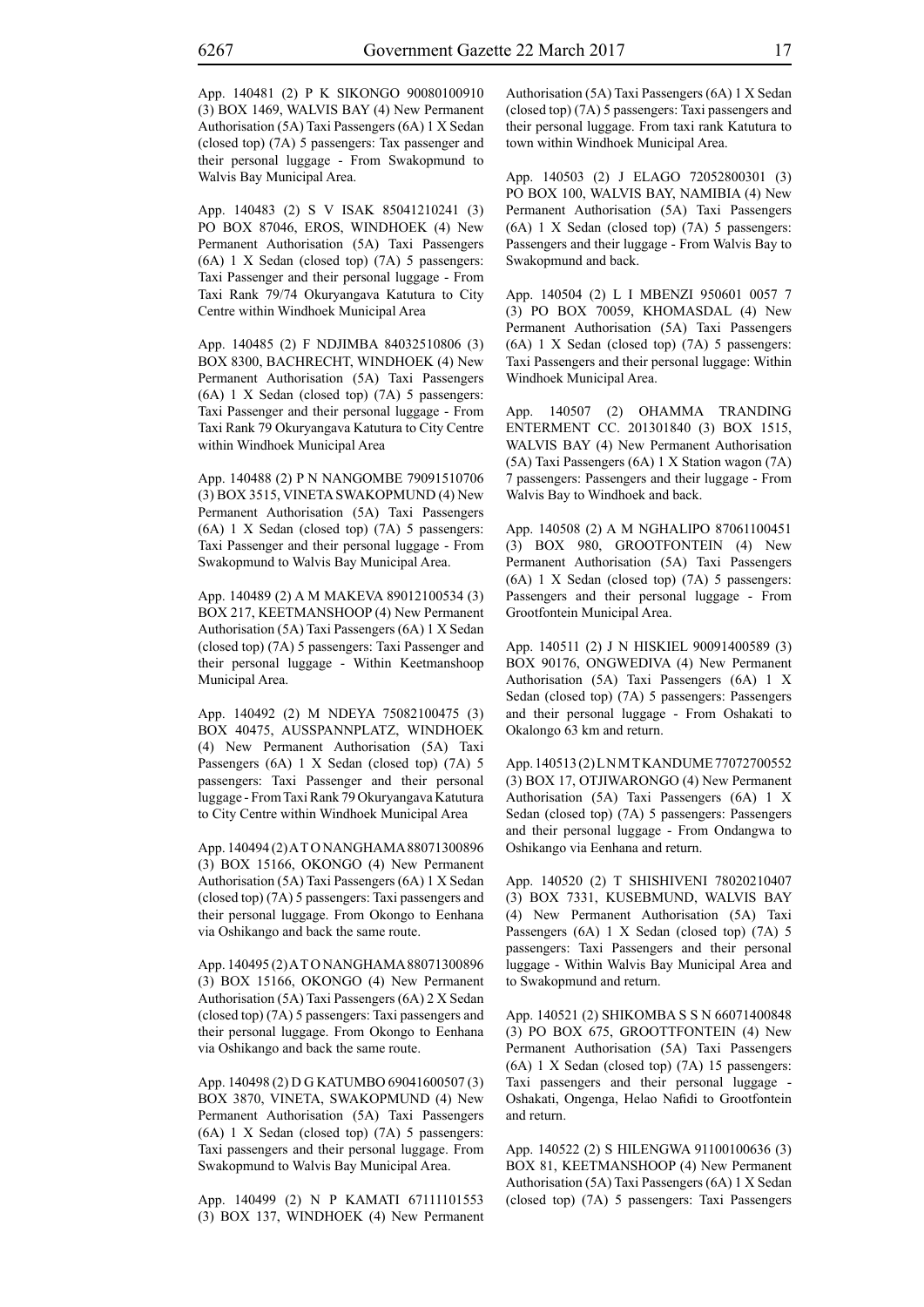App. 140481 (2) P K SIKONGO 90080100910 (3) BOX 1469, WALVIS BAY (4) New Permanent Authorisation (5A) Taxi Passengers (6A) 1 X Sedan (closed top) (7A) 5 passengers: Tax passenger and their personal luggage - From Swakopmund to Walvis Bay Municipal Area.

App. 140483 (2) S V ISAK 85041210241 (3) PO BOX 87046, EROS, WINDHOEK (4) New Permanent Authorisation (5A) Taxi Passengers (6A) 1 X Sedan (closed top) (7A) 5 passengers: Taxi Passenger and their personal luggage - From Taxi Rank 79/74 Okuryangava Katutura to City Centre within Windhoek Municipal Area

App. 140485 (2) F NDJIMBA 84032510806 (3) BOX 8300, BACHRECHT, WINDHOEK (4) New Permanent Authorisation (5A) Taxi Passengers (6A) 1 X Sedan (closed top) (7A) 5 passengers: Taxi Passenger and their personal luggage - From Taxi Rank 79 Okuryangava Katutura to City Centre within Windhoek Municipal Area

App. 140488 (2) P N NANGOMBE 79091510706 (3) BOX 3515, VINETA SWAKOPMUND (4) New Permanent Authorisation (5A) Taxi Passengers (6A) 1 X Sedan (closed top) (7A) 5 passengers: Taxi Passenger and their personal luggage - From Swakopmund to Walvis Bay Municipal Area.

App. 140489 (2) A M MAKEVA 89012100534 (3) BOX 217, KEETMANSHOOP (4) New Permanent Authorisation (5A) Taxi Passengers (6A) 1 X Sedan (closed top) (7A) 5 passengers: Taxi Passenger and their personal luggage - Within Keetmanshoop Municipal Area.

App. 140492 (2) M NDEYA 75082100475 (3) BOX 40475, AUSSPANNPLATZ, WINDHOEK (4) New Permanent Authorisation (5A) Taxi Passengers (6A) 1 X Sedan (closed top) (7A) 5 passengers: Taxi Passenger and their personal luggage - From Taxi Rank 79 Okuryangava Katutura to City Centre within Windhoek Municipal Area

App. 140494 (2) A T O NANGHAMA 88071300896 (3) BOX 15166, OKONGO (4) New Permanent Authorisation (5A) Taxi Passengers (6A) 1 X Sedan (closed top) (7A) 5 passengers: Taxi passengers and their personal luggage. From Okongo to Eenhana via Oshikango and back the same route.

App. 140495 (2) A T O NANGHAMA 88071300896 (3) BOX 15166, OKONGO (4) New Permanent Authorisation (5A) Taxi Passengers (6A) 2 X Sedan (closed top) (7A) 5 passengers: Taxi passengers and their personal luggage. From Okongo to Eenhana via Oshikango and back the same route.

App. 140498 (2) D G KATUMBO 69041600507 (3) BOX 3870, VINETA, SWAKOPMUND (4) New Permanent Authorisation (5A) Taxi Passengers (6A) 1 X Sedan (closed top) (7A) 5 passengers: Taxi passengers and their personal luggage. From Swakopmund to Walvis Bay Municipal Area.

App. 140499 (2) N P KAMATI 67111101553 (3) BOX 137, WINDHOEK (4) New Permanent Authorisation (5A) Taxi Passengers (6A) 1 X Sedan (closed top) (7A) 5 passengers: Taxi passengers and their personal luggage. From taxi rank Katutura to town within Windhoek Municipal Area.

App. 140503 (2) J ELAGO 72052800301 (3) PO BOX 100, WALVIS BAY, NAMIBIA (4) New Permanent Authorisation (5A) Taxi Passengers (6A) 1 X Sedan (closed top) (7A) 5 passengers: Passengers and their luggage - From Walvis Bay to Swakopmund and back.

App. 140504 (2) L I MBENZI 950601 0057 7 (3) PO BOX 70059, KHOMASDAL (4) New Permanent Authorisation (5A) Taxi Passengers (6A) 1 X Sedan (closed top) (7A) 5 passengers: Taxi Passengers and their personal luggage: Within Windhoek Municipal Area.

App. 140507 (2) OHAMMA TRANDING ENTERMENT CC. 201301840 (3) BOX 1515, WALVIS BAY (4) New Permanent Authorisation (5A) Taxi Passengers (6A) 1 X Station wagon (7A) 7 passengers: Passengers and their luggage - From Walvis Bay to Windhoek and back.

App. 140508 (2) A M NGHALIPO 87061100451 (3) BOX 980, GROOTFONTEIN (4) New Permanent Authorisation (5A) Taxi Passengers (6A) 1 X Sedan (closed top) (7A) 5 passengers: Passengers and their personal luggage - From Grootfontein Municipal Area.

App. 140511 (2) J N HISKIEL 90091400589 (3) BOX 90176, ONGWEDIVA (4) New Permanent Authorisation (5A) Taxi Passengers (6A) 1 X Sedan (closed top) (7A) 5 passengers: Passengers and their personal luggage - From Oshakati to Okalongo 63 km and return.

App. 140513 (2) L N M T KANDUME 77072700552 (3) BOX 17, OTJIWARONGO (4) New Permanent Authorisation (5A) Taxi Passengers (6A) 1 X Sedan (closed top) (7A) 5 passengers: Passengers and their personal luggage - From Ondangwa to Oshikango via Eenhana and return.

App. 140520 (2) T SHISHIVENI 78020210407 (3) BOX 7331, KUSEBMUND, WALVIS BAY (4) New Permanent Authorisation (5A) Taxi Passengers (6A) 1 X Sedan (closed top) (7A) 5 passengers: Taxi Passengers and their personal luggage - Within Walvis Bay Municipal Area and to Swakopmund and return.

App. 140521 (2) SHIKOMBA S S N 66071400848 (3) PO BOX 675, GROOTTFONTEIN (4) New Permanent Authorisation (5A) Taxi Passengers (6A) 1 X Sedan (closed top) (7A) 15 passengers: Taxi passengers and their personal luggage - Oshakati, Ongenga, Helao Nafidi to Grootfontein and return.

App. 140522 (2) S HILENGWA 91100100636 (3) BOX 81, KEETMANSHOOP (4) New Permanent Authorisation (5A) Taxi Passengers (6A) 1 X Sedan (closed top) (7A) 5 passengers: Taxi Passengers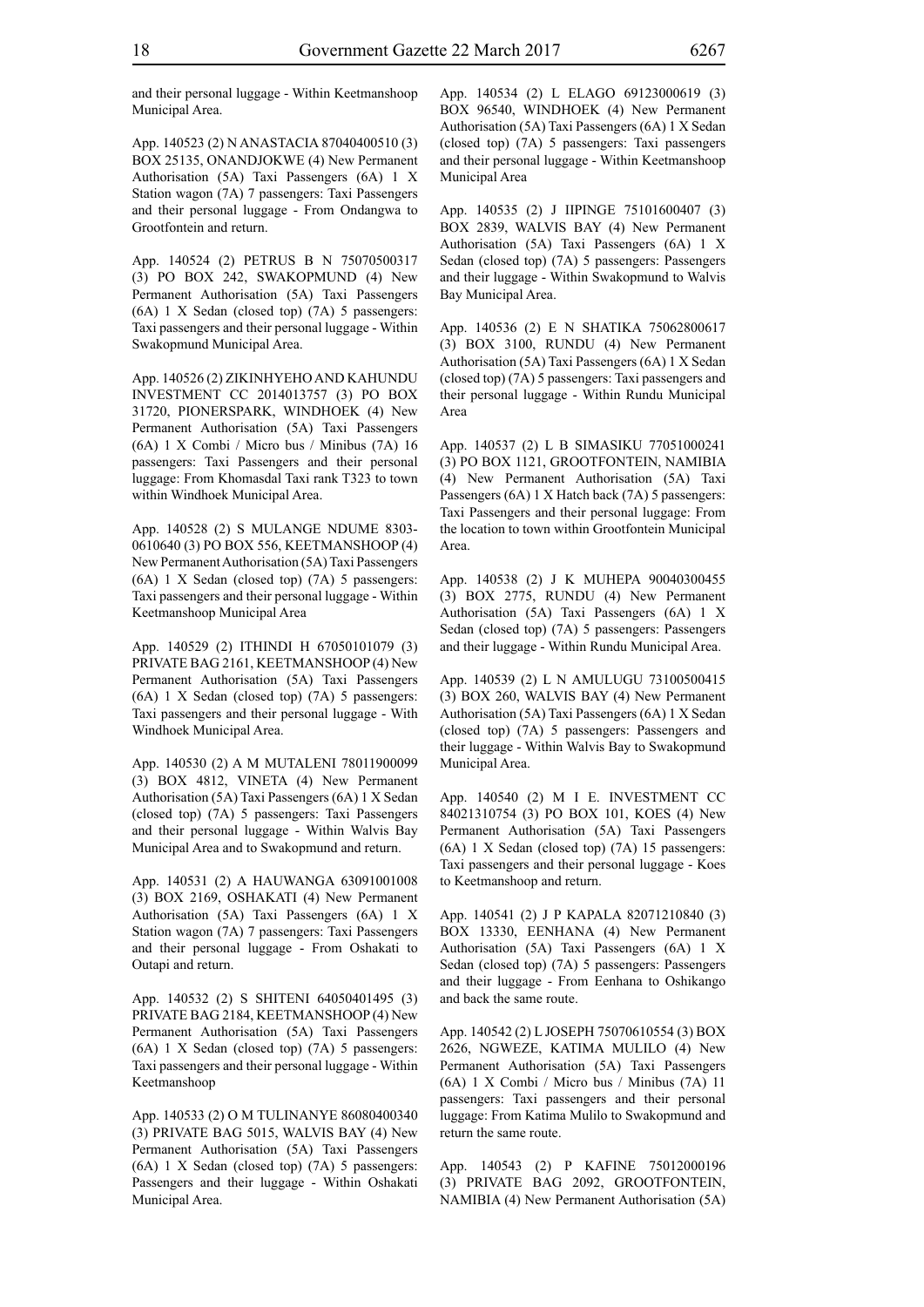and their personal luggage - Within Keetmanshoop Municipal Area.

App. 140523 (2) N ANASTACIA 87040400510 (3) BOX 25135, ONANDJOKWE (4) New Permanent Authorisation (5A) Taxi Passengers (6A) 1 X Station wagon (7A) 7 passengers: Taxi Passengers and their personal luggage - From Ondangwa to Grootfontein and return.

App. 140524 (2) PETRUS B N 75070500317 (3) PO BOX 242, SWAKOPMUND (4) New Permanent Authorisation (5A) Taxi Passengers (6A) 1 X Sedan (closed top) (7A) 5 passengers: Taxi passengers and their personal luggage - Within Swakopmund Municipal Area.

App. 140526 (2) ZIKINHYEHO AND KAHUNDU INVESTMENT CC 2014013757 (3) PO BOX 31720, PIONERSPARK, WINDHOEK (4) New Permanent Authorisation (5A) Taxi Passengers (6A) 1 X Combi / Micro bus / Minibus (7A) 16 passengers: Taxi Passengers and their personal luggage: From Khomasdal Taxi rank T323 to town within Windhoek Municipal Area.

App. 140528 (2) S MULANGE NDUME 8303- 0610640 (3) PO BOX 556, KEETMANSHOOP (4) New Permanent Authorisation (5A) Taxi Passengers (6A) 1 X Sedan (closed top) (7A) 5 passengers: Taxi passengers and their personal luggage - Within Keetmanshoop Municipal Area

App. 140529 (2) ITHINDI H 67050101079 (3) PRIVATE BAG 2161, KEETMANSHOOP (4) New Permanent Authorisation (5A) Taxi Passengers (6A) 1 X Sedan (closed top) (7A) 5 passengers: Taxi passengers and their personal luggage - With Windhoek Municipal Area.

App. 140530 (2) A M MUTALENI 78011900099 (3) BOX 4812, VINETA (4) New Permanent Authorisation (5A) Taxi Passengers (6A) 1 X Sedan (closed top) (7A) 5 passengers: Taxi Passengers and their personal luggage - Within Walvis Bay Municipal Area and to Swakopmund and return.

App. 140531 (2) A HAUWANGA 63091001008 (3) BOX 2169, OSHAKATI (4) New Permanent Authorisation (5A) Taxi Passengers (6A) 1 X Station wagon (7A) 7 passengers: Taxi Passengers and their personal luggage - From Oshakati to Outapi and return.

App. 140532 (2) S SHITENI 64050401495 (3) PRIVATE BAG 2184, KEETMANSHOOP (4) New Permanent Authorisation (5A) Taxi Passengers (6A) 1 X Sedan (closed top) (7A) 5 passengers: Taxi passengers and their personal luggage - Within Keetmanshoop

App. 140533 (2) O M TULINANYE 86080400340 (3) PRIVATE BAG 5015, WALVIS BAY (4) New Permanent Authorisation (5A) Taxi Passengers (6A) 1 X Sedan (closed top) (7A) 5 passengers: Passengers and their luggage - Within Oshakati Municipal Area.

App. 140534 (2) L ELAGO 69123000619 (3) BOX 96540, WINDHOEK (4) New Permanent Authorisation (5A) Taxi Passengers (6A) 1 X Sedan (closed top) (7A) 5 passengers: Taxi passengers and their personal luggage - Within Keetmanshoop Municipal Area

App. 140535 (2) J IIPINGE 75101600407 (3) BOX 2839, WALVIS BAY (4) New Permanent Authorisation (5A) Taxi Passengers (6A) 1 X Sedan (closed top) (7A) 5 passengers: Passengers and their luggage - Within Swakopmund to Walvis Bay Municipal Area.

App. 140536 (2) E N SHATIKA 75062800617 (3) BOX 3100, RUNDU (4) New Permanent Authorisation (5A) Taxi Passengers (6A) 1 X Sedan (closed top) (7A) 5 passengers: Taxi passengers and their personal luggage - Within Rundu Municipal Area

App. 140537 (2) L B SIMASIKU 77051000241 (3) PO BOX 1121, GROOTFONTEIN, NAMIBIA (4) New Permanent Authorisation (5A) Taxi Passengers (6A) 1 X Hatch back (7A) 5 passengers: Taxi Passengers and their personal luggage: From the location to town within Grootfontein Municipal Area.

App. 140538 (2) J K MUHEPA 90040300455 (3) BOX 2775, RUNDU (4) New Permanent Authorisation (5A) Taxi Passengers (6A) 1 X Sedan (closed top) (7A) 5 passengers: Passengers and their luggage - Within Rundu Municipal Area.

App. 140539 (2) L N AMULUGU 73100500415 (3) BOX 260, WALVIS BAY (4) New Permanent Authorisation (5A) Taxi Passengers (6A) 1 X Sedan (closed top) (7A) 5 passengers: Passengers and their luggage - Within Walvis Bay to Swakopmund Municipal Area.

App. 140540 (2) M I E. INVESTMENT CC 84021310754 (3) PO BOX 101, KOES (4) New Permanent Authorisation (5A) Taxi Passengers (6A) 1 X Sedan (closed top) (7A) 15 passengers: Taxi passengers and their personal luggage - Koes to Keetmanshoop and return.

App. 140541 (2) J P KAPALA 82071210840 (3) BOX 13330, EENHANA (4) New Permanent Authorisation (5A) Taxi Passengers (6A) 1 X Sedan (closed top) (7A) 5 passengers: Passengers and their luggage - From Eenhana to Oshikango and back the same route.

App. 140542 (2) L JOSEPH 75070610554 (3) BOX 2626, NGWEZE, KATIMA MULILO (4) New Permanent Authorisation (5A) Taxi Passengers (6A) 1 X Combi / Micro bus / Minibus (7A) 11 passengers: Taxi passengers and their personal luggage: From Katima Mulilo to Swakopmund and return the same route.

App. 140543 (2) P KAFINE 75012000196 (3) PRIVATE BAG 2092, GROOTFONTEIN, NAMIBIA (4) New Permanent Authorisation (5A)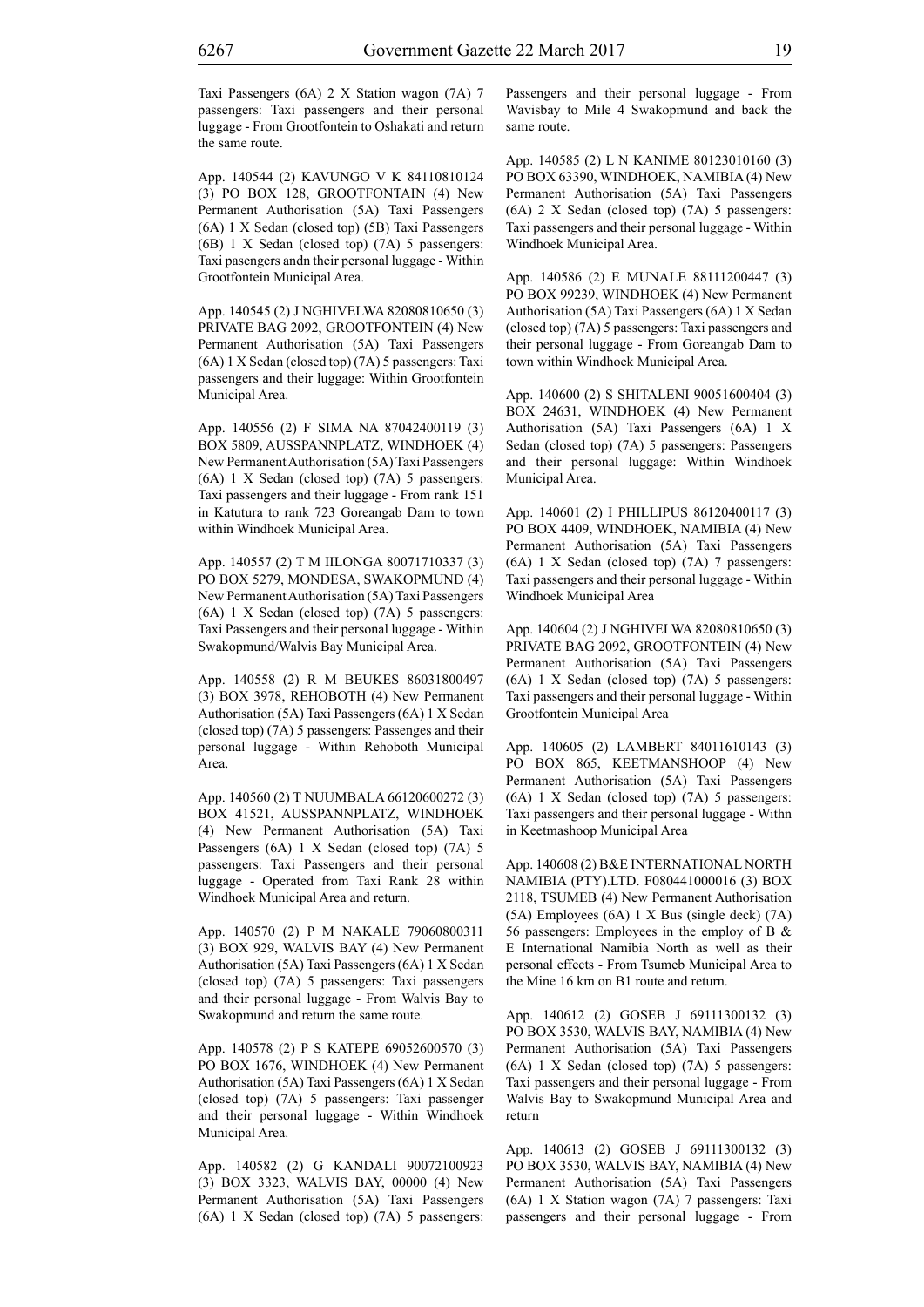App. 140544 (2) KAVUNGO V K 84110810124 (3) PO BOX 128, GROOTFONTAIN (4) New Permanent Authorisation (5A) Taxi Passengers (6A) 1 X Sedan (closed top) (5B) Taxi Passengers (6B) 1 X Sedan (closed top) (7A) 5 passengers: Taxi pasengers andn their personal luggage - Within Grootfontein Municipal Area.

App. 140545 (2) J NGHIVELWA 82080810650 (3) PRIVATE BAG 2092, GROOTFONTEIN (4) New Permanent Authorisation (5A) Taxi Passengers (6A) 1 X Sedan (closed top) (7A) 5 passengers: Taxi passengers and their luggage: Within Grootfontein Municipal Area.

App. 140556 (2) F SIMA NA 87042400119 (3) BOX 5809, AUSSPANNPLATZ, WINDHOEK (4) New Permanent Authorisation (5A) Taxi Passengers (6A) 1 X Sedan (closed top) (7A) 5 passengers: Taxi passengers and their luggage - From rank 151 in Katutura to rank 723 Goreangab Dam to town within Windhoek Municipal Area.

App. 140557 (2) T M IILONGA 80071710337 (3) PO BOX 5279, MONDESA, SWAKOPMUND (4) New Permanent Authorisation (5A) Taxi Passengers (6A) 1 X Sedan (closed top) (7A) 5 passengers: Taxi Passengers and their personal luggage - Within Swakopmund/Walvis Bay Municipal Area.

App. 140558 (2) R M BEUKES 86031800497 (3) BOX 3978, REHOBOTH (4) New Permanent Authorisation (5A) Taxi Passengers (6A) 1 X Sedan (closed top) (7A) 5 passengers: Passenges and their personal luggage - Within Rehoboth Municipal Area.

App. 140560 (2) T NUUMBALA 66120600272 (3) BOX 41521, AUSSPANNPLATZ, WINDHOEK (4) New Permanent Authorisation (5A) Taxi Passengers (6A) 1 X Sedan (closed top) (7A) 5 passengers: Taxi Passengers and their personal luggage - Operated from Taxi Rank 28 within Windhoek Municipal Area and return.

App. 140570 (2) P M NAKALE 79060800311 (3) BOX 929, WALVIS BAY (4) New Permanent Authorisation (5A) Taxi Passengers (6A) 1 X Sedan (closed top) (7A) 5 passengers: Taxi passengers and their personal luggage - From Walvis Bay to Swakopmund and return the same route.

App. 140578 (2) P S KATEPE 69052600570 (3) PO BOX 1676, WINDHOEK (4) New Permanent Authorisation (5A) Taxi Passengers (6A) 1 X Sedan (closed top) (7A) 5 passengers: Taxi passenger and their personal luggage - Within Windhoek Municipal Area.

App. 140582 (2) G KANDALI 90072100923 (3) BOX 3323, WALVIS BAY, 00000 (4) New Permanent Authorisation (5A) Taxi Passengers (6A) 1 X Sedan (closed top) (7A) 5 passengers: Passengers and their personal luggage - From Wavisbay to Mile 4 Swakopmund and back the same route.

App. 140585 (2) L N KANIME 80123010160 (3) PO BOX 63390, WINDHOEK, NAMIBIA (4) New Permanent Authorisation (5A) Taxi Passengers (6A) 2 X Sedan (closed top) (7A) 5 passengers: Taxi passengers and their personal luggage - Within Windhoek Municipal Area.

App. 140586 (2) E MUNALE 88111200447 (3) PO BOX 99239, WINDHOEK (4) New Permanent Authorisation (5A) Taxi Passengers (6A) 1 X Sedan (closed top) (7A) 5 passengers: Taxi passengers and their personal luggage - From Goreangab Dam to town within Windhoek Municipal Area.

App. 140600 (2) S SHITALENI 90051600404 (3) BOX 24631, WINDHOEK (4) New Permanent Authorisation (5A) Taxi Passengers (6A) 1 X Sedan (closed top) (7A) 5 passengers: Passengers and their personal luggage: Within Windhoek Municipal Area.

App. 140601 (2) I PHILLIPUS 86120400117 (3) PO BOX 4409, WINDHOEK, NAMIBIA (4) New Permanent Authorisation (5A) Taxi Passengers (6A) 1 X Sedan (closed top) (7A) 7 passengers: Taxi passengers and their personal luggage - Within Windhoek Municipal Area

App. 140604 (2) J NGHIVELWA 82080810650 (3) PRIVATE BAG 2092, GROOTFONTEIN (4) New Permanent Authorisation (5A) Taxi Passengers (6A) 1 X Sedan (closed top) (7A) 5 passengers: Taxi passengers and their personal luggage - Within Grootfontein Municipal Area

App. 140605 (2) LAMBERT 84011610143 (3) PO BOX 865, KEETMANSHOOP (4) New Permanent Authorisation (5A) Taxi Passengers (6A) 1 X Sedan (closed top) (7A) 5 passengers: Taxi passengers and their personal luggage - Withn in Keetmashoop Municipal Area

App. 140608 (2) B&E INTERNATIONAL NORTH NAMIBIA (PTY).LTD. F080441000016 (3) BOX 2118, TSUMEB (4) New Permanent Authorisation (5A) Employees (6A) 1 X Bus (single deck) (7A) 56 passengers: Employees in the employ of B  $\&$ E International Namibia North as well as their personal effects - From Tsumeb Municipal Area to the Mine 16 km on B1 route and return.

App. 140612 (2) GOSEB J 69111300132 (3) PO BOX 3530, WALVIS BAY, NAMIBIA (4) New Permanent Authorisation (5A) Taxi Passengers (6A) 1 X Sedan (closed top) (7A) 5 passengers: Taxi passengers and their personal luggage - From Walvis Bay to Swakopmund Municipal Area and return

App. 140613 (2) GOSEB J 69111300132 (3) PO BOX 3530, WALVIS BAY, NAMIBIA (4) New Permanent Authorisation (5A) Taxi Passengers (6A) 1 X Station wagon (7A) 7 passengers: Taxi passengers and their personal luggage - From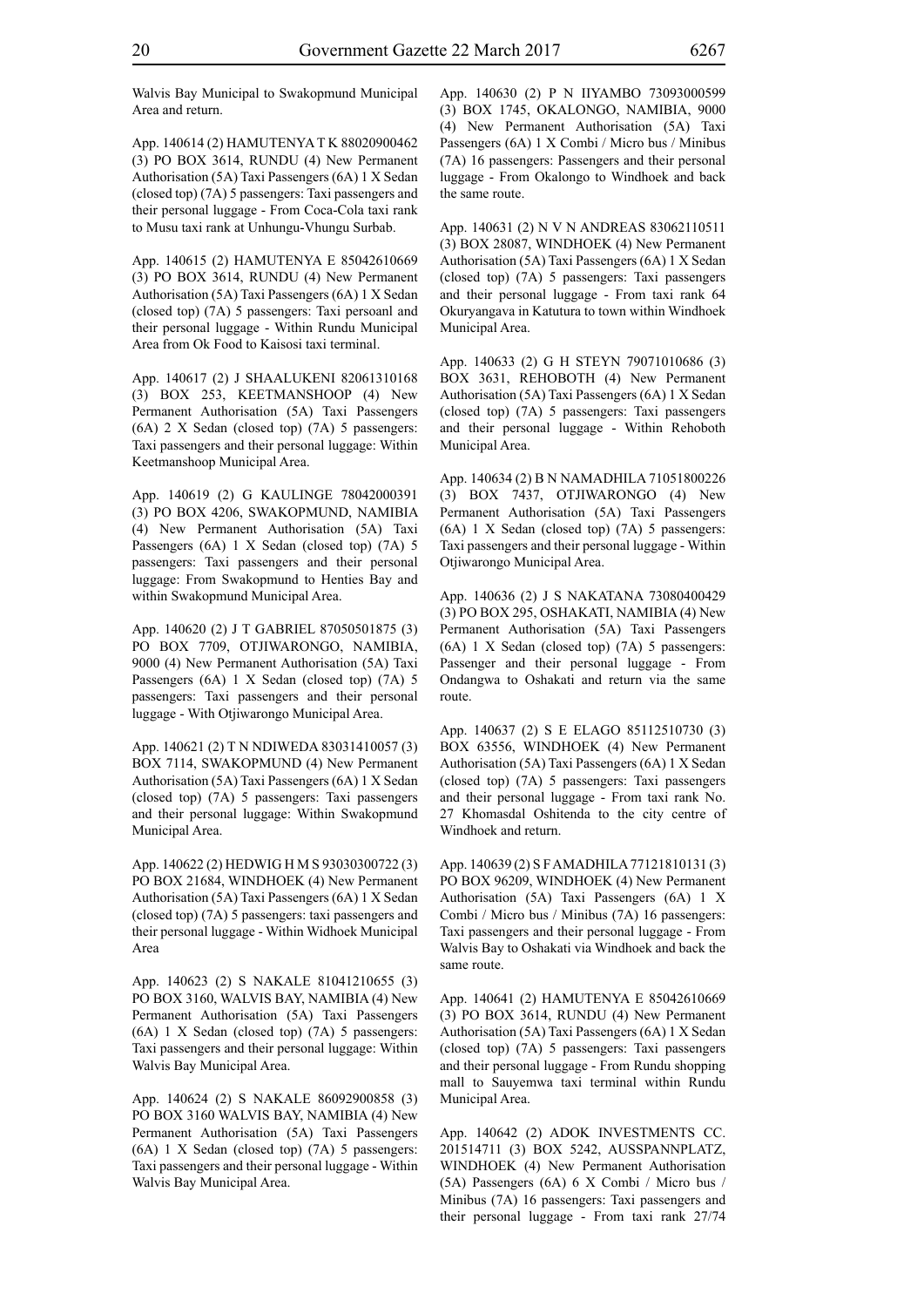Walvis Bay Municipal to Swakopmund Municipal Area and return.

App. 140614 (2) HAMUTENYA T K 88020900462 (3) PO BOX 3614, RUNDU (4) New Permanent Authorisation (5A) Taxi Passengers (6A) 1 X Sedan (closed top) (7A) 5 passengers: Taxi passengers and their personal luggage - From Coca-Cola taxi rank to Musu taxi rank at Unhungu-Vhungu Surbab.

App. 140615 (2) HAMUTENYA E 85042610669 (3) PO BOX 3614, RUNDU (4) New Permanent Authorisation (5A) Taxi Passengers (6A) 1 X Sedan (closed top) (7A) 5 passengers: Taxi persoanl and their personal luggage - Within Rundu Municipal Area from Ok Food to Kaisosi taxi terminal.

App. 140617 (2) J SHAALUKENI 82061310168 (3) BOX 253, KEETMANSHOOP (4) New Permanent Authorisation (5A) Taxi Passengers (6A) 2 X Sedan (closed top) (7A) 5 passengers: Taxi passengers and their personal luggage: Within Keetmanshoop Municipal Area.

App. 140619 (2) G KAULINGE 78042000391 (3) PO BOX 4206, SWAKOPMUND, NAMIBIA (4) New Permanent Authorisation (5A) Taxi Passengers (6A) 1 X Sedan (closed top) (7A) 5 passengers: Taxi passengers and their personal luggage: From Swakopmund to Henties Bay and within Swakopmund Municipal Area.

App. 140620 (2) J T GABRIEL 87050501875 (3) PO BOX 7709, OTJIWARONGO, NAMIBIA, 9000 (4) New Permanent Authorisation (5A) Taxi Passengers (6A) 1 X Sedan (closed top) (7A) 5 passengers: Taxi passengers and their personal luggage - With Otjiwarongo Municipal Area.

App. 140621 (2) T N NDIWEDA 83031410057 (3) BOX 7114, SWAKOPMUND (4) New Permanent Authorisation (5A) Taxi Passengers (6A) 1 X Sedan (closed top) (7A) 5 passengers: Taxi passengers and their personal luggage: Within Swakopmund Municipal Area.

App. 140622 (2) HEDWIG H M S 93030300722 (3) PO BOX 21684, WINDHOEK (4) New Permanent Authorisation (5A) Taxi Passengers (6A) 1 X Sedan (closed top) (7A) 5 passengers: taxi passengers and their personal luggage - Within Widhoek Municipal Area

App. 140623 (2) S NAKALE 81041210655 (3) PO BOX 3160, WALVIS BAY, NAMIBIA (4) New Permanent Authorisation (5A) Taxi Passengers (6A) 1 X Sedan (closed top) (7A) 5 passengers: Taxi passengers and their personal luggage: Within Walvis Bay Municipal Area.

App. 140624 (2) S NAKALE 86092900858 (3) PO BOX 3160 WALVIS BAY, NAMIBIA (4) New Permanent Authorisation (5A) Taxi Passengers (6A) 1 X Sedan (closed top) (7A) 5 passengers: Taxi passengers and their personal luggage - Within Walvis Bay Municipal Area.

App. 140630 (2) P N IIYAMBO 73093000599 (3) BOX 1745, OKALONGO, NAMIBIA, 9000 (4) New Permanent Authorisation (5A) Taxi Passengers (6A) 1 X Combi / Micro bus / Minibus (7A) 16 passengers: Passengers and their personal luggage - From Okalongo to Windhoek and back the same route.

App. 140631 (2) N V N ANDREAS 83062110511 (3) BOX 28087, WINDHOEK (4) New Permanent Authorisation (5A) Taxi Passengers (6A) 1 X Sedan (closed top) (7A) 5 passengers: Taxi passengers and their personal luggage - From taxi rank 64 Okuryangava in Katutura to town within Windhoek Municipal Area.

App. 140633 (2) G H STEYN 79071010686 (3) BOX 3631, REHOBOTH (4) New Permanent Authorisation (5A) Taxi Passengers (6A) 1 X Sedan (closed top) (7A) 5 passengers: Taxi passengers and their personal luggage - Within Rehoboth Municipal Area.

App. 140634 (2) B N NAMADHILA 71051800226 (3) BOX 7437, OTJIWARONGO (4) New Permanent Authorisation (5A) Taxi Passengers (6A) 1 X Sedan (closed top) (7A) 5 passengers: Taxi passengers and their personal luggage - Within Otjiwarongo Municipal Area.

App. 140636 (2) J S NAKATANA 73080400429 (3) PO BOX 295, OSHAKATI, NAMIBIA (4) New Permanent Authorisation (5A) Taxi Passengers (6A) 1 X Sedan (closed top) (7A) 5 passengers: Passenger and their personal luggage - From Ondangwa to Oshakati and return via the same route.

App. 140637 (2) S E ELAGO 85112510730 (3) BOX 63556, WINDHOEK (4) New Permanent Authorisation (5A) Taxi Passengers (6A) 1 X Sedan (closed top) (7A) 5 passengers: Taxi passengers and their personal luggage - From taxi rank No. 27 Khomasdal Oshitenda to the city centre of Windhoek and return.

App. 140639 (2) S F AMADHILA 77121810131 (3) PO BOX 96209, WINDHOEK (4) New Permanent Authorisation (5A) Taxi Passengers (6A) 1 X Combi / Micro bus / Minibus (7A) 16 passengers: Taxi passengers and their personal luggage - From Walvis Bay to Oshakati via Windhoek and back the same route.

App. 140641 (2) HAMUTENYA E 85042610669 (3) PO BOX 3614, RUNDU (4) New Permanent Authorisation (5A) Taxi Passengers (6A) 1 X Sedan (closed top) (7A) 5 passengers: Taxi passengers and their personal luggage - From Rundu shopping mall to Sauyemwa taxi terminal within Rundu Municipal Area.

App. 140642 (2) ADOK INVESTMENTS CC. 201514711 (3) BOX 5242, AUSSPANNPLATZ, WINDHOEK (4) New Permanent Authorisation (5A) Passengers (6A) 6 X Combi / Micro bus / Minibus (7A) 16 passengers: Taxi passengers and their personal luggage - From taxi rank 27/74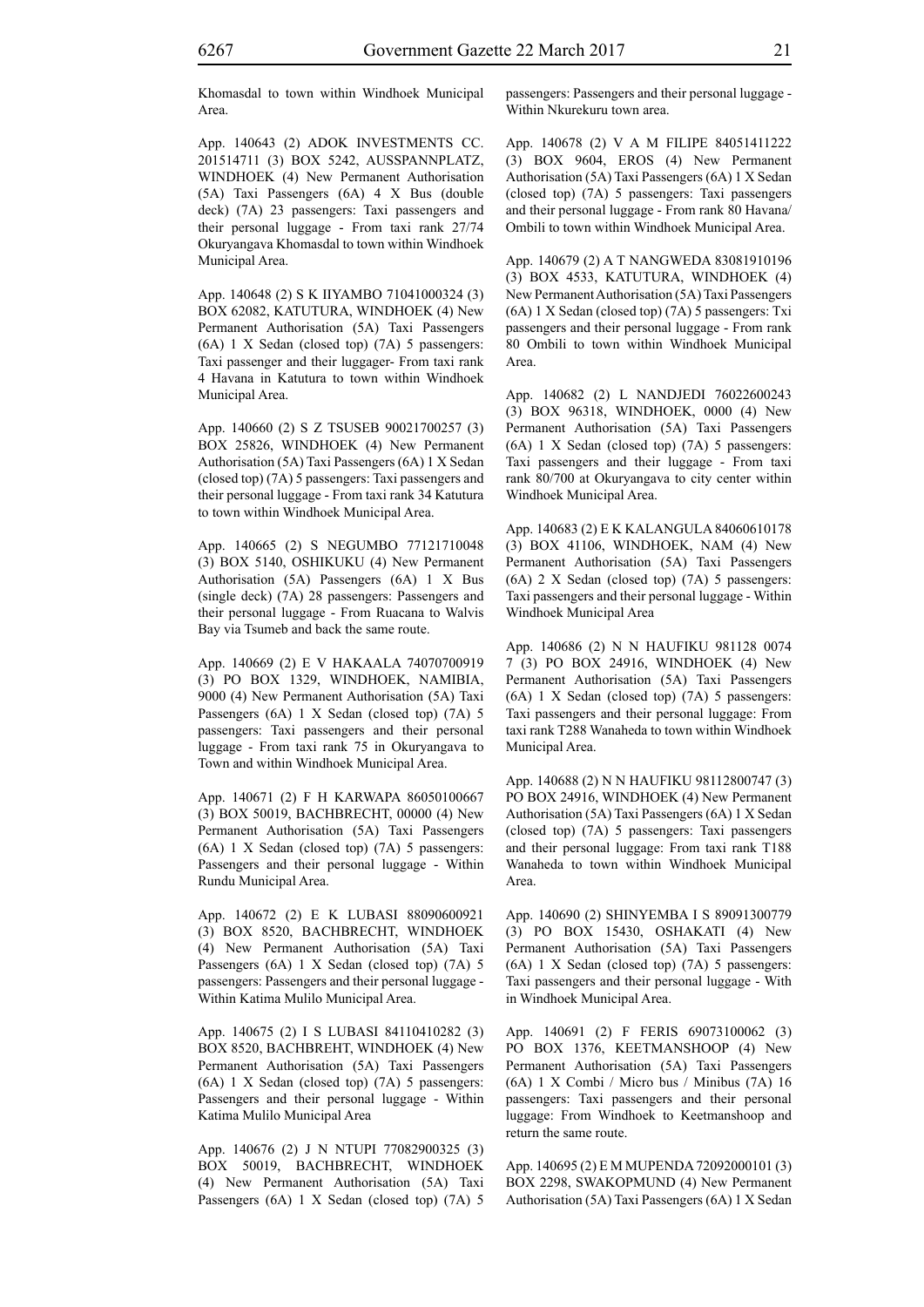Khomasdal to town within Windhoek Municipal Area.

App. 140643 (2) ADOK INVESTMENTS CC. 201514711 (3) BOX 5242, AUSSPANNPLATZ, WINDHOEK (4) New Permanent Authorisation (5A) Taxi Passengers (6A) 4 X Bus (double deck) (7A) 23 passengers: Taxi passengers and their personal luggage - From taxi rank 27/74 Okuryangava Khomasdal to town within Windhoek Municipal Area.

App. 140648 (2) S K IIYAMBO 71041000324 (3) BOX 62082, KATUTURA, WINDHOEK (4) New Permanent Authorisation (5A) Taxi Passengers (6A) 1 X Sedan (closed top) (7A) 5 passengers: Taxi passenger and their luggager- From taxi rank 4 Havana in Katutura to town within Windhoek Municipal Area.

App. 140660 (2) S Z TSUSEB 90021700257 (3) BOX 25826, WINDHOEK (4) New Permanent Authorisation (5A) Taxi Passengers (6A) 1 X Sedan (closed top) (7A) 5 passengers: Taxi passengers and their personal luggage - From taxi rank 34 Katutura to town within Windhoek Municipal Area.

App. 140665 (2) S NEGUMBO 77121710048 (3) BOX 5140, OSHIKUKU (4) New Permanent Authorisation (5A) Passengers (6A) 1 X Bus (single deck) (7A) 28 passengers: Passengers and their personal luggage - From Ruacana to Walvis Bay via Tsumeb and back the same route.

App. 140669 (2) E V HAKAALA 74070700919 (3) PO BOX 1329, WINDHOEK, NAMIBIA, 9000 (4) New Permanent Authorisation (5A) Taxi Passengers (6A) 1 X Sedan (closed top) (7A) 5 passengers: Taxi passengers and their personal luggage - From taxi rank 75 in Okuryangava to Town and within Windhoek Municipal Area.

App. 140671 (2) F H KARWAPA 86050100667 (3) BOX 50019, BACHBRECHT, 00000 (4) New Permanent Authorisation (5A) Taxi Passengers (6A) 1 X Sedan (closed top) (7A) 5 passengers: Passengers and their personal luggage - Within Rundu Municipal Area.

App. 140672 (2) E K LUBASI 88090600921 (3) BOX 8520, BACHBRECHT, WINDHOEK (4) New Permanent Authorisation (5A) Taxi Passengers (6A) 1 X Sedan (closed top) (7A) 5 passengers: Passengers and their personal luggage - Within Katima Mulilo Municipal Area.

App. 140675 (2) I S LUBASI 84110410282 (3) BOX 8520, BACHBREHT, WINDHOEK (4) New Permanent Authorisation (5A) Taxi Passengers (6A) 1 X Sedan (closed top) (7A) 5 passengers: Passengers and their personal luggage - Within Katima Mulilo Municipal Area

App. 140676 (2) J N NTUPI 77082900325 (3) BOX 50019, BACHBRECHT, WINDHOEK (4) New Permanent Authorisation (5A) Taxi Passengers (6A) 1 X Sedan (closed top) (7A) 5 passengers: Passengers and their personal luggage - Within Nkurekuru town area.

App. 140678 (2) V A M FILIPE 84051411222 (3) BOX 9604, EROS (4) New Permanent Authorisation (5A) Taxi Passengers (6A) 1 X Sedan (closed top) (7A) 5 passengers: Taxi passengers and their personal luggage - From rank 80 Havana/ Ombili to town within Windhoek Municipal Area.

App. 140679 (2) A T NANGWEDA 83081910196 (3) BOX 4533, KATUTURA, WINDHOEK (4) New Permanent Authorisation (5A) Taxi Passengers (6A) 1 X Sedan (closed top) (7A) 5 passengers: Txi passengers and their personal luggage - From rank 80 Ombili to town within Windhoek Municipal Area.

App. 140682 (2) L NANDJEDI 76022600243 (3) BOX 96318, WINDHOEK, 0000 (4) New Permanent Authorisation (5A) Taxi Passengers (6A) 1 X Sedan (closed top) (7A) 5 passengers: Taxi passengers and their luggage - From taxi rank 80/700 at Okuryangava to city center within Windhoek Municipal Area.

App. 140683 (2) E K KALANGULA 84060610178 (3) BOX 41106, WINDHOEK, NAM (4) New Permanent Authorisation (5A) Taxi Passengers (6A) 2 X Sedan (closed top) (7A) 5 passengers: Taxi passengers and their personal luggage - Within Windhoek Municipal Area

App. 140686 (2) N N HAUFIKU 981128 0074 7 (3) PO BOX 24916, WINDHOEK (4) New Permanent Authorisation (5A) Taxi Passengers (6A) 1 X Sedan (closed top) (7A) 5 passengers: Taxi passengers and their personal luggage: From taxi rank T288 Wanaheda to town within Windhoek Municipal Area.

App. 140688 (2) N N HAUFIKU 98112800747 (3) PO BOX 24916, WINDHOEK (4) New Permanent Authorisation (5A) Taxi Passengers (6A) 1 X Sedan (closed top) (7A) 5 passengers: Taxi passengers and their personal luggage: From taxi rank T188 Wanaheda to town within Windhoek Municipal Area.

App. 140690 (2) SHINYEMBA I S 89091300779 (3) PO BOX 15430, OSHAKATI (4) New Permanent Authorisation (5A) Taxi Passengers (6A) 1 X Sedan (closed top) (7A) 5 passengers: Taxi passengers and their personal luggage - With in Windhoek Municipal Area.

App. 140691 (2) F FERIS 69073100062 (3) PO BOX 1376, KEETMANSHOOP (4) New Permanent Authorisation (5A) Taxi Passengers (6A) 1 X Combi / Micro bus / Minibus (7A) 16 passengers: Taxi passengers and their personal luggage: From Windhoek to Keetmanshoop and return the same route.

App. 140695 (2) E M MUPENDA 72092000101 (3) BOX 2298, SWAKOPMUND (4) New Permanent Authorisation (5A) Taxi Passengers (6A) 1 X Sedan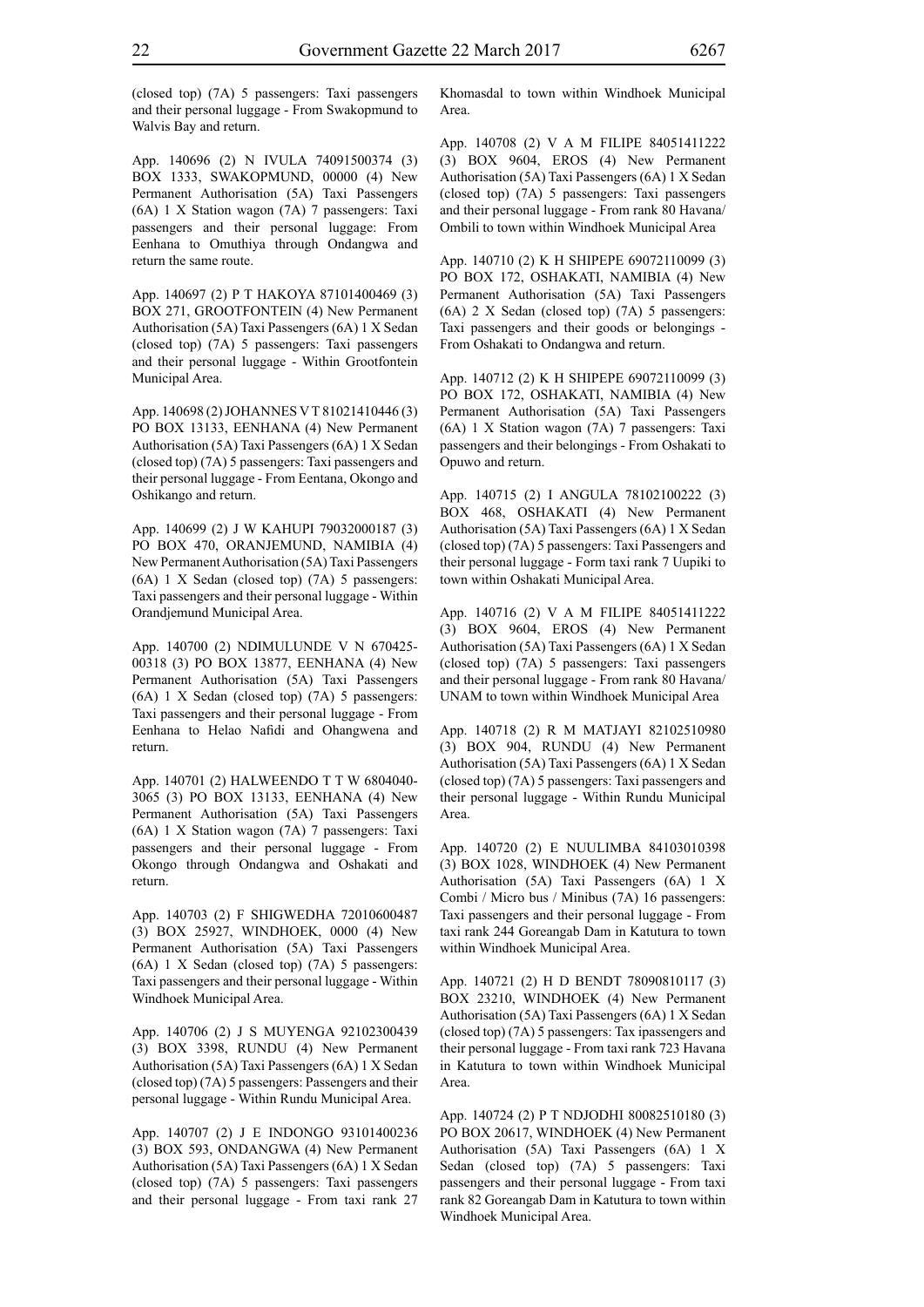(closed top) (7A) 5 passengers: Taxi passengers and their personal luggage - From Swakopmund to Walvis Bay and return.

App. 140696 (2) N IVULA 74091500374 (3) BOX 1333, SWAKOPMUND, 00000 (4) New Permanent Authorisation (5A) Taxi Passengers (6A) 1 X Station wagon (7A) 7 passengers: Taxi passengers and their personal luggage: From Eenhana to Omuthiya through Ondangwa and return the same route.

App. 140697 (2) P T HAKOYA 87101400469 (3) BOX 271, GROOTFONTEIN (4) New Permanent Authorisation (5A) Taxi Passengers (6A) 1 X Sedan (closed top) (7A) 5 passengers: Taxi passengers and their personal luggage - Within Grootfontein Municipal Area.

App. 140698 (2) JOHANNES V T 81021410446 (3) PO BOX 13133, EENHANA (4) New Permanent Authorisation (5A) Taxi Passengers (6A) 1 X Sedan (closed top) (7A) 5 passengers: Taxi passengers and their personal luggage - From Eentana, Okongo and Oshikango and return.

App. 140699 (2) J W KAHUPI 79032000187 (3) PO BOX 470, ORANJEMUND, NAMIBIA (4) New Permanent Authorisation (5A) Taxi Passengers (6A) 1 X Sedan (closed top) (7A) 5 passengers: Taxi passengers and their personal luggage - Within Orandjemund Municipal Area.

App. 140700 (2) NDIMULUNDE V N 670425- 00318 (3) PO BOX 13877, EENHANA (4) New Permanent Authorisation (5A) Taxi Passengers (6A) 1 X Sedan (closed top) (7A) 5 passengers: Taxi passengers and their personal luggage - From Eenhana to Helao Nafidi and Ohangwena and return.

App. 140701 (2) HALWEENDO T T W 6804040- 3065 (3) PO BOX 13133, EENHANA (4) New Permanent Authorisation (5A) Taxi Passengers (6A) 1 X Station wagon (7A) 7 passengers: Taxi passengers and their personal luggage - From Okongo through Ondangwa and Oshakati and return.

App. 140703 (2) F SHIGWEDHA 72010600487 (3) BOX 25927, WINDHOEK, 0000 (4) New Permanent Authorisation (5A) Taxi Passengers (6A) 1 X Sedan (closed top) (7A) 5 passengers: Taxi passengers and their personal luggage - Within Windhoek Municipal Area.

App. 140706 (2) J S MUYENGA 92102300439 (3) BOX 3398, RUNDU (4) New Permanent Authorisation (5A) Taxi Passengers (6A) 1 X Sedan (closed top) (7A) 5 passengers: Passengers and their personal luggage - Within Rundu Municipal Area.

App. 140707 (2) J E INDONGO 93101400236 (3) BOX 593, ONDANGWA (4) New Permanent Authorisation (5A) Taxi Passengers (6A) 1 X Sedan (closed top) (7A) 5 passengers: Taxi passengers and their personal luggage - From taxi rank 27 Khomasdal to town within Windhoek Municipal Area.

App. 140708 (2) V A M FILIPE 84051411222 (3) BOX 9604, EROS (4) New Permanent Authorisation (5A) Taxi Passengers (6A) 1 X Sedan (closed top) (7A) 5 passengers: Taxi passengers and their personal luggage - From rank 80 Havana/ Ombili to town within Windhoek Municipal Area

App. 140710 (2) K H SHIPEPE 69072110099 (3) PO BOX 172, OSHAKATI, NAMIBIA (4) New Permanent Authorisation (5A) Taxi Passengers (6A) 2 X Sedan (closed top) (7A) 5 passengers: Taxi passengers and their goods or belongings - From Oshakati to Ondangwa and return.

App. 140712 (2) K H SHIPEPE 69072110099 (3) PO BOX 172, OSHAKATI, NAMIBIA (4) New Permanent Authorisation (5A) Taxi Passengers (6A) 1 X Station wagon (7A) 7 passengers: Taxi passengers and their belongings - From Oshakati to Opuwo and return.

App. 140715 (2) I ANGULA 78102100222 (3) BOX 468, OSHAKATI (4) New Permanent Authorisation (5A) Taxi Passengers (6A) 1 X Sedan (closed top) (7A) 5 passengers: Taxi Passengers and their personal luggage - Form taxi rank 7 Uupiki to town within Oshakati Municipal Area.

App. 140716 (2) V A M FILIPE 84051411222 (3) BOX 9604, EROS (4) New Permanent Authorisation (5A) Taxi Passengers (6A) 1 X Sedan (closed top) (7A) 5 passengers: Taxi passengers and their personal luggage - From rank 80 Havana/ UNAM to town within Windhoek Municipal Area

App. 140718 (2) R M MATJAYI 82102510980 (3) BOX 904, RUNDU (4) New Permanent Authorisation (5A) Taxi Passengers (6A) 1 X Sedan (closed top) (7A) 5 passengers: Taxi passengers and their personal luggage - Within Rundu Municipal Area.

App. 140720 (2) E NUULIMBA 84103010398 (3) BOX 1028, WINDHOEK (4) New Permanent Authorisation (5A) Taxi Passengers (6A) 1 X Combi / Micro bus / Minibus (7A) 16 passengers: Taxi passengers and their personal luggage - From taxi rank 244 Goreangab Dam in Katutura to town within Windhoek Municipal Area.

App. 140721 (2) H D BENDT 78090810117 (3) BOX 23210, WINDHOEK (4) New Permanent Authorisation (5A) Taxi Passengers (6A) 1 X Sedan (closed top) (7A) 5 passengers: Tax ipassengers and their personal luggage - From taxi rank 723 Havana in Katutura to town within Windhoek Municipal Area.

App. 140724 (2) P T NDJODHI 80082510180 (3) PO BOX 20617, WINDHOEK (4) New Permanent Authorisation (5A) Taxi Passengers (6A) 1 X Sedan (closed top) (7A) 5 passengers: Taxi passengers and their personal luggage - From taxi rank 82 Goreangab Dam in Katutura to town within Windhoek Municipal Area.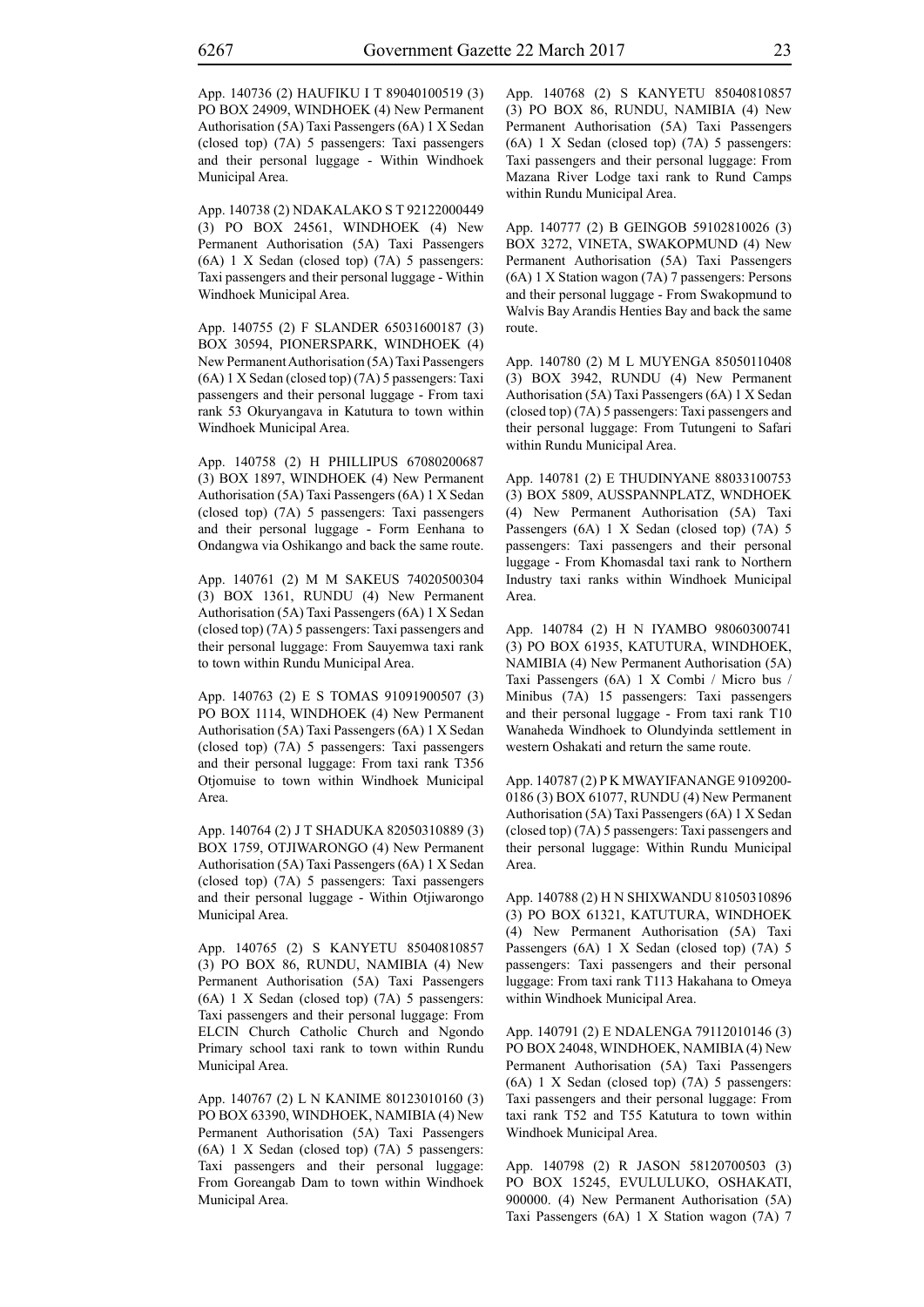App. 140736 (2) HAUFIKU I T 89040100519 (3) PO BOX 24909, WINDHOEK (4) New Permanent Authorisation (5A) Taxi Passengers (6A) 1 X Sedan (closed top) (7A) 5 passengers: Taxi passengers and their personal luggage - Within Windhoek Municipal Area.

App. 140738 (2) NDAKALAKO S T 92122000449 (3) PO BOX 24561, WINDHOEK (4) New Permanent Authorisation (5A) Taxi Passengers (6A) 1 X Sedan (closed top) (7A) 5 passengers: Taxi passengers and their personal luggage - Within Windhoek Municipal Area.

App. 140755 (2) F SLANDER 65031600187 (3) BOX 30594, PIONERSPARK, WINDHOEK (4) New Permanent Authorisation (5A) Taxi Passengers (6A) 1 X Sedan (closed top) (7A) 5 passengers: Taxi passengers and their personal luggage - From taxi rank 53 Okuryangava in Katutura to town within Windhoek Municipal Area.

App. 140758 (2) H PHILLIPUS 67080200687 (3) BOX 1897, WINDHOEK (4) New Permanent Authorisation (5A) Taxi Passengers (6A) 1 X Sedan (closed top) (7A) 5 passengers: Taxi passengers and their personal luggage - Form Eenhana to Ondangwa via Oshikango and back the same route.

App. 140761 (2) M M SAKEUS 74020500304 (3) BOX 1361, RUNDU (4) New Permanent Authorisation (5A) Taxi Passengers (6A) 1 X Sedan (closed top) (7A) 5 passengers: Taxi passengers and their personal luggage: From Sauyemwa taxi rank to town within Rundu Municipal Area.

App. 140763 (2) E S TOMAS 91091900507 (3) PO BOX 1114, WINDHOEK (4) New Permanent Authorisation (5A) Taxi Passengers (6A) 1 X Sedan (closed top) (7A) 5 passengers: Taxi passengers and their personal luggage: From taxi rank T356 Otjomuise to town within Windhoek Municipal Area.

App. 140764 (2) J T SHADUKA 82050310889 (3) BOX 1759, OTJIWARONGO (4) New Permanent Authorisation (5A) Taxi Passengers (6A) 1 X Sedan (closed top) (7A) 5 passengers: Taxi passengers and their personal luggage - Within Otjiwarongo Municipal Area.

App. 140765 (2) S KANYETU 85040810857 (3) PO BOX 86, RUNDU, NAMIBIA (4) New Permanent Authorisation (5A) Taxi Passengers (6A) 1 X Sedan (closed top) (7A) 5 passengers: Taxi passengers and their personal luggage: From ELCIN Church Catholic Church and Ngondo Primary school taxi rank to town within Rundu Municipal Area.

App. 140767 (2) L N KANIME 80123010160 (3) PO BOX 63390, WINDHOEK, NAMIBIA (4) New Permanent Authorisation (5A) Taxi Passengers (6A) 1 X Sedan (closed top) (7A) 5 passengers: Taxi passengers and their personal luggage: From Goreangab Dam to town within Windhoek Municipal Area.

App. 140768 (2) S KANYETU 85040810857 (3) PO BOX 86, RUNDU, NAMIBIA (4) New Permanent Authorisation (5A) Taxi Passengers (6A) 1 X Sedan (closed top) (7A) 5 passengers: Taxi passengers and their personal luggage: From Mazana River Lodge taxi rank to Rund Camps within Rundu Municipal Area.

App. 140777 (2) B GEINGOB 59102810026 (3) BOX 3272, VINETA, SWAKOPMUND (4) New Permanent Authorisation (5A) Taxi Passengers (6A) 1 X Station wagon (7A) 7 passengers: Persons and their personal luggage - From Swakopmund to Walvis Bay Arandis Henties Bay and back the same route.

App. 140780 (2) M L MUYENGA 85050110408 (3) BOX 3942, RUNDU (4) New Permanent Authorisation (5A) Taxi Passengers (6A) 1 X Sedan (closed top) (7A) 5 passengers: Taxi passengers and their personal luggage: From Tutungeni to Safari within Rundu Municipal Area.

App. 140781 (2) E THUDINYANE 88033100753 (3) BOX 5809, AUSSPANNPLATZ, WNDHOEK (4) New Permanent Authorisation (5A) Taxi Passengers (6A) 1 X Sedan (closed top) (7A) 5 passengers: Taxi passengers and their personal luggage - From Khomasdal taxi rank to Northern Industry taxi ranks within Windhoek Municipal Area.

App. 140784 (2) H N IYAMBO 98060300741 (3) PO BOX 61935, KATUTURA, WINDHOEK, NAMIBIA (4) New Permanent Authorisation (5A) Taxi Passengers (6A) 1 X Combi / Micro bus / Minibus (7A) 15 passengers: Taxi passengers and their personal luggage - From taxi rank T10 Wanaheda Windhoek to Olundyinda settlement in western Oshakati and return the same route.

App. 140787 (2) P K MWAYIFANANGE 9109200- 0186 (3) BOX 61077, RUNDU (4) New Permanent Authorisation (5A) Taxi Passengers (6A) 1 X Sedan (closed top) (7A) 5 passengers: Taxi passengers and their personal luggage: Within Rundu Municipal Area.

App. 140788 (2) H N SHIXWANDU 81050310896 (3) PO BOX 61321, KATUTURA, WINDHOEK (4) New Permanent Authorisation (5A) Taxi Passengers (6A) 1 X Sedan (closed top) (7A) 5 passengers: Taxi passengers and their personal luggage: From taxi rank T113 Hakahana to Omeya within Windhoek Municipal Area.

App. 140791 (2) E NDALENGA 79112010146 (3) PO BOX 24048, WINDHOEK, NAMIBIA (4) New Permanent Authorisation (5A) Taxi Passengers (6A) 1 X Sedan (closed top) (7A) 5 passengers: Taxi passengers and their personal luggage: From taxi rank T52 and T55 Katutura to town within Windhoek Municipal Area.

App. 140798 (2) R JASON 58120700503 (3) PO BOX 15245, EVULULUKO, OSHAKATI, 900000. (4) New Permanent Authorisation (5A) Taxi Passengers (6A) 1 X Station wagon (7A) 7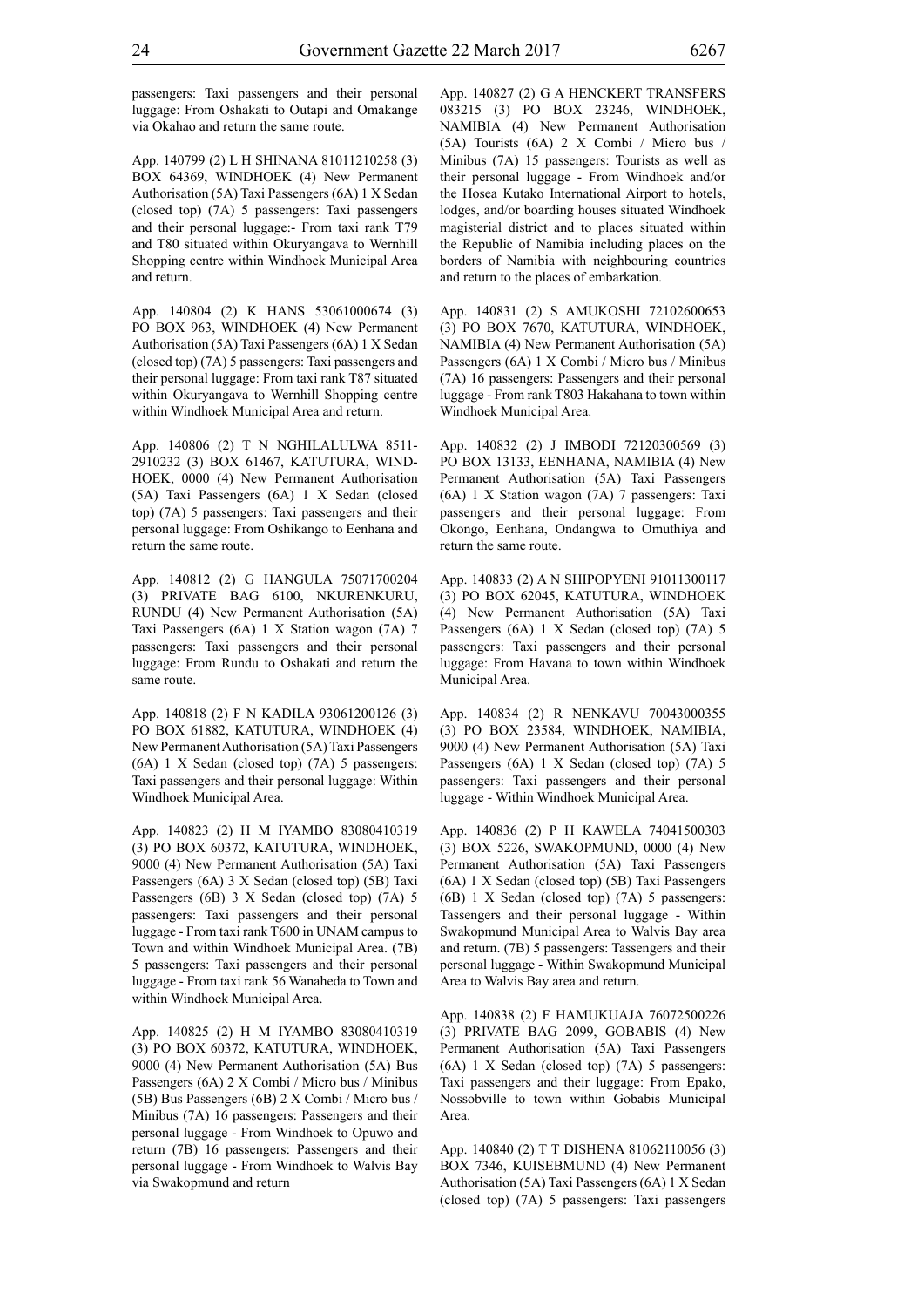passengers: Taxi passengers and their personal luggage: From Oshakati to Outapi and Omakange via Okahao and return the same route.

App. 140799 (2) L H SHINANA 81011210258 (3) BOX 64369, WINDHOEK (4) New Permanent Authorisation (5A) Taxi Passengers (6A) 1 X Sedan (closed top) (7A) 5 passengers: Taxi passengers and their personal luggage:- From taxi rank T79 and T80 situated within Okuryangava to Wernhill Shopping centre within Windhoek Municipal Area and return.

App. 140804 (2) K HANS 53061000674 (3) PO BOX 963, WINDHOEK (4) New Permanent Authorisation (5A) Taxi Passengers (6A) 1 X Sedan (closed top) (7A) 5 passengers: Taxi passengers and their personal luggage: From taxi rank T87 situated within Okuryangava to Wernhill Shopping centre within Windhoek Municipal Area and return.

App. 140806 (2) T N NGHILALULWA 8511- 2910232 (3) BOX 61467, KATUTURA, WIND-HOEK, 0000 (4) New Permanent Authorisation (5A) Taxi Passengers (6A) 1 X Sedan (closed top) (7A) 5 passengers: Taxi passengers and their personal luggage: From Oshikango to Eenhana and return the same route.

App. 140812 (2) G HANGULA 75071700204 (3) PRIVATE BAG 6100, NKURENKURU, RUNDU (4) New Permanent Authorisation (5A) Taxi Passengers (6A) 1 X Station wagon (7A) 7 passengers: Taxi passengers and their personal luggage: From Rundu to Oshakati and return the same route.

App. 140818 (2) F N KADILA 93061200126 (3) PO BOX 61882, KATUTURA, WINDHOEK (4) New Permanent Authorisation (5A) Taxi Passengers (6A) 1 X Sedan (closed top) (7A) 5 passengers: Taxi passengers and their personal luggage: Within Windhoek Municipal Area.

App. 140823 (2) H M IYAMBO 83080410319 (3) PO BOX 60372, KATUTURA, WINDHOEK, 9000 (4) New Permanent Authorisation (5A) Taxi Passengers (6A) 3 X Sedan (closed top) (5B) Taxi Passengers (6B) 3 X Sedan (closed top) (7A) 5 passengers: Taxi passengers and their personal luggage - From taxi rank T600 in UNAM campus to Town and within Windhoek Municipal Area. (7B) 5 passengers: Taxi passengers and their personal luggage - From taxi rank 56 Wanaheda to Town and within Windhoek Municipal Area.

App. 140825 (2) H M IYAMBO 83080410319 (3) PO BOX 60372, KATUTURA, WINDHOEK, 9000 (4) New Permanent Authorisation (5A) Bus Passengers (6A) 2 X Combi / Micro bus / Minibus (5B) Bus Passengers (6B) 2 X Combi / Micro bus / Minibus (7A) 16 passengers: Passengers and their personal luggage - From Windhoek to Opuwo and return (7B) 16 passengers: Passengers and their personal luggage - From Windhoek to Walvis Bay via Swakopmund and return

App. 140827 (2) G A HENCKERT TRANSFERS 083215 (3) PO BOX 23246, WINDHOEK, NAMIBIA (4) New Permanent Authorisation (5A) Tourists (6A) 2 X Combi / Micro bus / Minibus (7A) 15 passengers: Tourists as well as their personal luggage - From Windhoek and/or the Hosea Kutako International Airport to hotels, lodges, and/or boarding houses situated Windhoek magisterial district and to places situated within the Republic of Namibia including places on the borders of Namibia with neighbouring countries and return to the places of embarkation.

App. 140831 (2) S AMUKOSHI 72102600653 (3) PO BOX 7670, KATUTURA, WINDHOEK, NAMIBIA (4) New Permanent Authorisation (5A) Passengers (6A) 1 X Combi / Micro bus / Minibus (7A) 16 passengers: Passengers and their personal luggage - From rank T803 Hakahana to town within Windhoek Municipal Area.

App. 140832 (2) J IMBODI 72120300569 (3) PO BOX 13133, EENHANA, NAMIBIA (4) New Permanent Authorisation (5A) Taxi Passengers (6A) 1 X Station wagon (7A) 7 passengers: Taxi passengers and their personal luggage: From Okongo, Eenhana, Ondangwa to Omuthiya and return the same route.

App. 140833 (2) A N SHIPOPYENI 91011300117 (3) PO BOX 62045, KATUTURA, WINDHOEK (4) New Permanent Authorisation (5A) Taxi Passengers (6A) 1 X Sedan (closed top) (7A) 5 passengers: Taxi passengers and their personal luggage: From Havana to town within Windhoek Municipal Area.

App. 140834 (2) R NENKAVU 70043000355 (3) PO BOX 23584, WINDHOEK, NAMIBIA, 9000 (4) New Permanent Authorisation (5A) Taxi Passengers (6A) 1 X Sedan (closed top) (7A) 5 passengers: Taxi passengers and their personal luggage - Within Windhoek Municipal Area.

App. 140836 (2) P H KAWELA 74041500303 (3) BOX 5226, SWAKOPMUND, 0000 (4) New Permanent Authorisation (5A) Taxi Passengers (6A) 1 X Sedan (closed top) (5B) Taxi Passengers (6B) 1 X Sedan (closed top) (7A) 5 passengers: Tassengers and their personal luggage - Within Swakopmund Municipal Area to Walvis Bay area and return. (7B) 5 passengers: Tassengers and their personal luggage - Within Swakopmund Municipal Area to Walvis Bay area and return.

App. 140838 (2) F HAMUKUAJA 76072500226 (3) PRIVATE BAG 2099, GOBABIS (4) New Permanent Authorisation (5A) Taxi Passengers (6A) 1 X Sedan (closed top) (7A) 5 passengers: Taxi passengers and their luggage: From Epako, Nossobville to town within Gobabis Municipal Area.

App. 140840 (2) T T DISHENA 81062110056 (3) BOX 7346, KUISEBMUND (4) New Permanent Authorisation (5A) Taxi Passengers (6A) 1 X Sedan (closed top) (7A) 5 passengers: Taxi passengers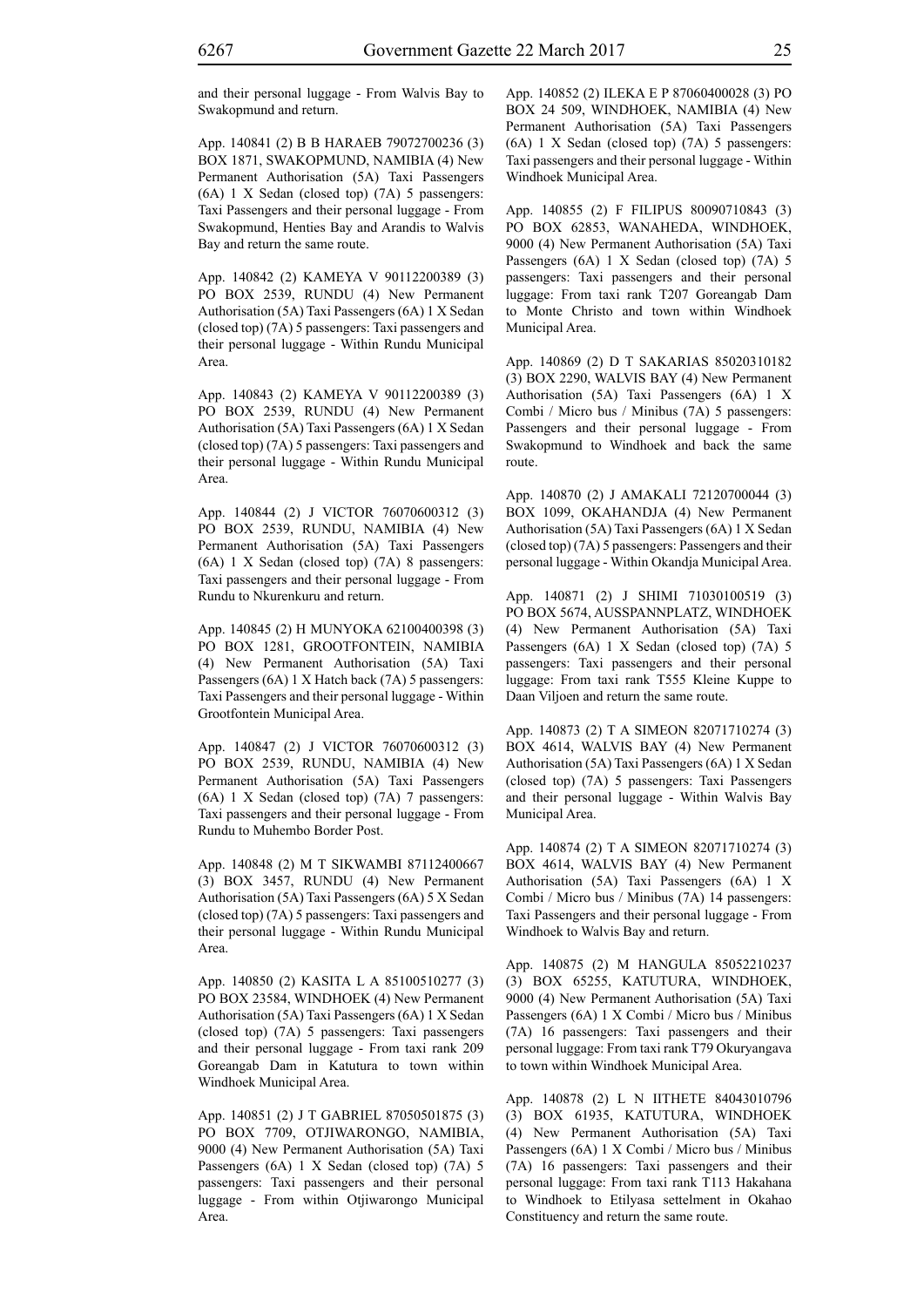and their personal luggage - From Walvis Bay to Swakopmund and return.

App. 140841 (2) B B HARAEB 79072700236 (3) BOX 1871, SWAKOPMUND, NAMIBIA (4) New Permanent Authorisation (5A) Taxi Passengers (6A) 1 X Sedan (closed top) (7A) 5 passengers: Taxi Passengers and their personal luggage - From Swakopmund, Henties Bay and Arandis to Walvis Bay and return the same route.

App. 140842 (2) KAMEYA V 90112200389 (3) PO BOX 2539, RUNDU (4) New Permanent Authorisation (5A) Taxi Passengers (6A) 1 X Sedan (closed top) (7A) 5 passengers: Taxi passengers and their personal luggage - Within Rundu Municipal Area.

App. 140843 (2) KAMEYA V 90112200389 (3) PO BOX 2539, RUNDU (4) New Permanent Authorisation (5A) Taxi Passengers (6A) 1 X Sedan (closed top) (7A) 5 passengers: Taxi passengers and their personal luggage - Within Rundu Municipal Area.

App. 140844 (2) J VICTOR 76070600312 (3) PO BOX 2539, RUNDU, NAMIBIA (4) New Permanent Authorisation (5A) Taxi Passengers (6A) 1 X Sedan (closed top) (7A) 8 passengers: Taxi passengers and their personal luggage - From Rundu to Nkurenkuru and return.

App. 140845 (2) H MUNYOKA 62100400398 (3) PO BOX 1281, GROOTFONTEIN, NAMIBIA (4) New Permanent Authorisation (5A) Taxi Passengers (6A) 1 X Hatch back (7A) 5 passengers: Taxi Passengers and their personal luggage - Within Grootfontein Municipal Area.

App. 140847 (2) J VICTOR 76070600312 (3) PO BOX 2539, RUNDU, NAMIBIA (4) New Permanent Authorisation (5A) Taxi Passengers (6A) 1 X Sedan (closed top) (7A) 7 passengers: Taxi passengers and their personal luggage - From Rundu to Muhembo Border Post.

App. 140848 (2) M T SIKWAMBI 87112400667 (3) BOX 3457, RUNDU (4) New Permanent Authorisation (5A) Taxi Passengers (6A) 5 X Sedan (closed top) (7A) 5 passengers: Taxi passengers and their personal luggage - Within Rundu Municipal Area.

App. 140850 (2) KASITA L A 85100510277 (3) PO BOX 23584, WINDHOEK (4) New Permanent Authorisation (5A) Taxi Passengers (6A) 1 X Sedan (closed top) (7A) 5 passengers: Taxi passengers and their personal luggage - From taxi rank 209 Goreangab Dam in Katutura to town within Windhoek Municipal Area.

App. 140851 (2) J T GABRIEL 87050501875 (3) PO BOX 7709, OTJIWARONGO, NAMIBIA, 9000 (4) New Permanent Authorisation (5A) Taxi Passengers (6A) 1 X Sedan (closed top) (7A) 5 passengers: Taxi passengers and their personal luggage - From within Otjiwarongo Municipal Area.

App. 140852 (2) ILEKA E P 87060400028 (3) PO BOX 24 509, WINDHOEK, NAMIBIA (4) New Permanent Authorisation (5A) Taxi Passengers (6A) 1 X Sedan (closed top) (7A) 5 passengers: Taxi passengers and their personal luggage - Within Windhoek Municipal Area.

App. 140855 (2) F FILIPUS 80090710843 (3) PO BOX 62853, WANAHEDA, WINDHOEK, 9000 (4) New Permanent Authorisation (5A) Taxi Passengers (6A) 1 X Sedan (closed top) (7A) 5 passengers: Taxi passengers and their personal luggage: From taxi rank T207 Goreangab Dam to Monte Christo and town within Windhoek Municipal Area.

App. 140869 (2) D T SAKARIAS 85020310182 (3) BOX 2290, WALVIS BAY (4) New Permanent Authorisation (5A) Taxi Passengers (6A) 1 X Combi / Micro bus / Minibus (7A) 5 passengers: Passengers and their personal luggage - From Swakopmund to Windhoek and back the same route.

App. 140870 (2) J AMAKALI 72120700044 (3) BOX 1099, OKAHANDJA (4) New Permanent Authorisation (5A) Taxi Passengers (6A) 1 X Sedan (closed top) (7A) 5 passengers: Passengers and their personal luggage - Within Okandja Municipal Area.

App. 140871 (2) J SHIMI 71030100519 (3) PO BOX 5674, AUSSPANNPLATZ, WINDHOEK (4) New Permanent Authorisation (5A) Taxi Passengers (6A) 1 X Sedan (closed top) (7A) 5 passengers: Taxi passengers and their personal luggage: From taxi rank T555 Kleine Kuppe to Daan Viljoen and return the same route.

App. 140873 (2) T A SIMEON 82071710274 (3) BOX 4614, WALVIS BAY (4) New Permanent Authorisation (5A) Taxi Passengers (6A) 1 X Sedan (closed top) (7A) 5 passengers: Taxi Passengers and their personal luggage - Within Walvis Bay Municipal Area.

App. 140874 (2) T A SIMEON 82071710274 (3) BOX 4614, WALVIS BAY (4) New Permanent Authorisation (5A) Taxi Passengers (6A) 1 X Combi / Micro bus / Minibus (7A) 14 passengers: Taxi Passengers and their personal luggage - From Windhoek to Walvis Bay and return.

App. 140875 (2) M HANGULA 85052210237 (3) BOX 65255, KATUTURA, WINDHOEK, 9000 (4) New Permanent Authorisation (5A) Taxi Passengers (6A) 1 X Combi / Micro bus / Minibus (7A) 16 passengers: Taxi passengers and their personal luggage: From taxi rank T79 Okuryangava to town within Windhoek Municipal Area.

App. 140878 (2) L N IITHETE 84043010796 (3) BOX 61935, KATUTURA, WINDHOEK (4) New Permanent Authorisation (5A) Taxi Passengers (6A) 1 X Combi / Micro bus / Minibus (7A) 16 passengers: Taxi passengers and their personal luggage: From taxi rank T113 Hakahana to Windhoek to Etilyasa settelment in Okahao Constituency and return the same route.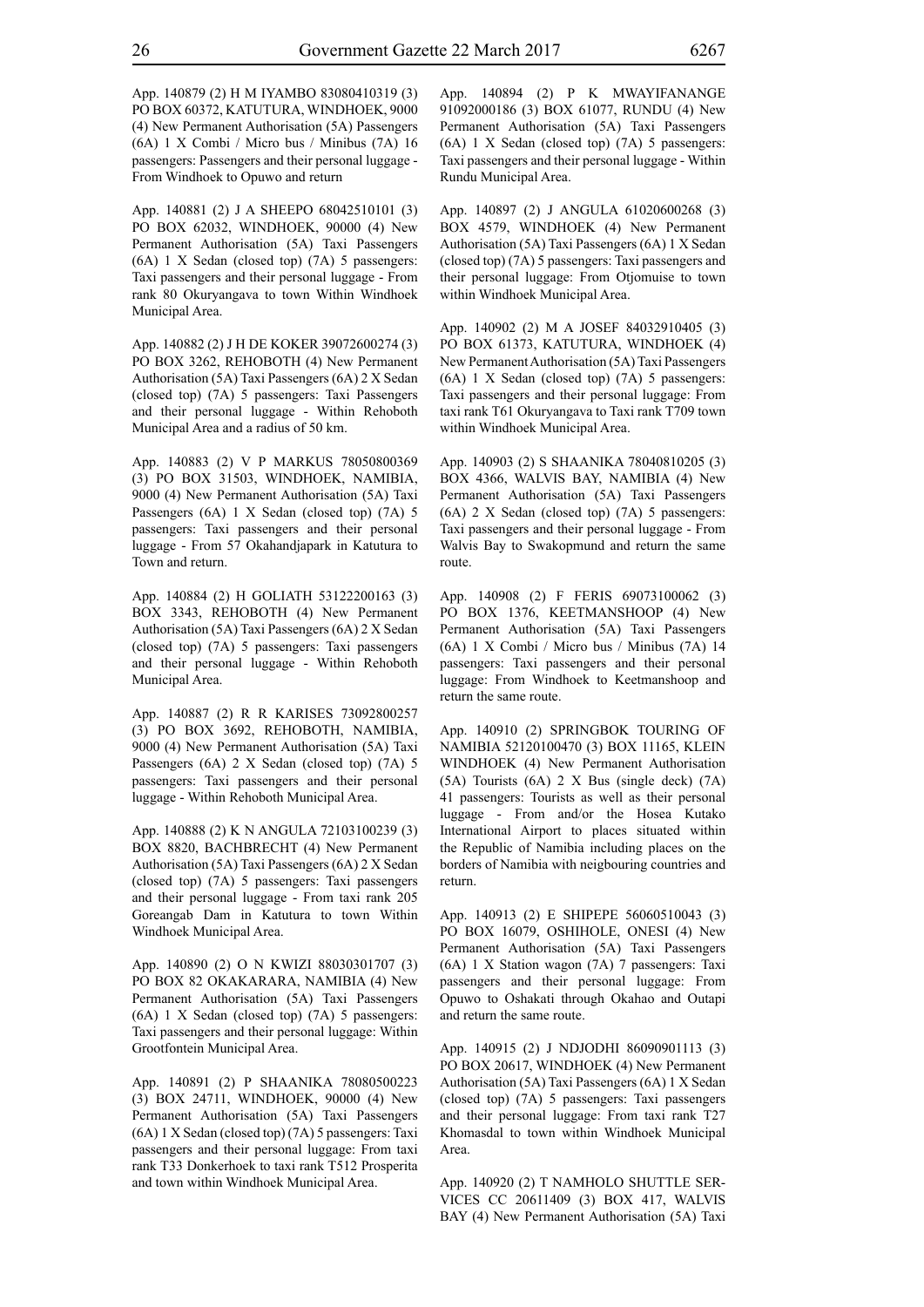App. 140879 (2) H M IYAMBO 83080410319 (3) PO BOX 60372, KATUTURA, WINDHOEK, 9000 (4) New Permanent Authorisation (5A) Passengers (6A) 1 X Combi / Micro bus / Minibus (7A) 16 passengers: Passengers and their personal luggage - From Windhoek to Opuwo and return

App. 140881 (2) J A SHEEPO 68042510101 (3) PO BOX 62032, WINDHOEK, 90000 (4) New Permanent Authorisation (5A) Taxi Passengers (6A) 1 X Sedan (closed top) (7A) 5 passengers: Taxi passengers and their personal luggage - From rank 80 Okuryangava to town Within Windhoek Municipal Area.

App. 140882 (2) J H DE KOKER 39072600274 (3) PO BOX 3262, REHOBOTH (4) New Permanent Authorisation (5A) Taxi Passengers (6A) 2 X Sedan (closed top) (7A) 5 passengers: Taxi Passengers and their personal luggage - Within Rehoboth Municipal Area and a radius of 50 km.

App. 140883 (2) V P MARKUS 78050800369 (3) PO BOX 31503, WINDHOEK, NAMIBIA, 9000 (4) New Permanent Authorisation (5A) Taxi Passengers (6A) 1 X Sedan (closed top) (7A) 5 passengers: Taxi passengers and their personal luggage - From 57 Okahandjapark in Katutura to Town and return.

App. 140884 (2) H GOLIATH 53122200163 (3) BOX 3343, REHOBOTH (4) New Permanent Authorisation (5A) Taxi Passengers (6A) 2 X Sedan (closed top) (7A) 5 passengers: Taxi passengers and their personal luggage - Within Rehoboth Municipal Area.

App. 140887 (2) R R KARISES 73092800257 (3) PO BOX 3692, REHOBOTH, NAMIBIA, 9000 (4) New Permanent Authorisation (5A) Taxi Passengers (6A) 2 X Sedan (closed top) (7A) 5 passengers: Taxi passengers and their personal luggage - Within Rehoboth Municipal Area.

App. 140888 (2) K N ANGULA 72103100239 (3) BOX 8820, BACHBRECHT (4) New Permanent Authorisation (5A) Taxi Passengers (6A) 2 X Sedan (closed top) (7A) 5 passengers: Taxi passengers and their personal luggage - From taxi rank 205 Goreangab Dam in Katutura to town Within Windhoek Municipal Area.

App. 140890 (2) O N KWIZI 88030301707 (3) PO BOX 82 OKAKARARA, NAMIBIA (4) New Permanent Authorisation (5A) Taxi Passengers (6A) 1 X Sedan (closed top) (7A) 5 passengers: Taxi passengers and their personal luggage: Within Grootfontein Municipal Area.

App. 140891 (2) P SHAANIKA 78080500223 (3) BOX 24711, WINDHOEK, 90000 (4) New Permanent Authorisation (5A) Taxi Passengers (6A) 1 X Sedan (closed top) (7A) 5 passengers: Taxi passengers and their personal luggage: From taxi rank T33 Donkerhoek to taxi rank T512 Prosperita and town within Windhoek Municipal Area.

App. 140894 (2) P K MWAYIFANANGE 91092000186 (3) BOX 61077, RUNDU (4) New Permanent Authorisation (5A) Taxi Passengers (6A) 1 X Sedan (closed top) (7A) 5 passengers: Taxi passengers and their personal luggage - Within Rundu Municipal Area.

App. 140897 (2) J ANGULA 61020600268 (3) BOX 4579, WINDHOEK (4) New Permanent Authorisation (5A) Taxi Passengers (6A) 1 X Sedan (closed top) (7A) 5 passengers: Taxi passengers and their personal luggage: From Otjomuise to town within Windhoek Municipal Area.

App. 140902 (2) M A JOSEF 84032910405 (3) PO BOX 61373, KATUTURA, WINDHOEK (4) New Permanent Authorisation (5A) Taxi Passengers (6A) 1 X Sedan (closed top) (7A) 5 passengers: Taxi passengers and their personal luggage: From taxi rank T61 Okuryangava to Taxi rank T709 town within Windhoek Municipal Area.

App. 140903 (2) S SHAANIKA 78040810205 (3) BOX 4366, WALVIS BAY, NAMIBIA (4) New Permanent Authorisation (5A) Taxi Passengers (6A) 2 X Sedan (closed top) (7A) 5 passengers: Taxi passengers and their personal luggage - From Walvis Bay to Swakopmund and return the same route.

App. 140908 (2) F FERIS 69073100062 (3) PO BOX 1376, KEETMANSHOOP (4) New Permanent Authorisation (5A) Taxi Passengers (6A) 1 X Combi / Micro bus / Minibus (7A) 14 passengers: Taxi passengers and their personal luggage: From Windhoek to Keetmanshoop and return the same route.

App. 140910 (2) SPRINGBOK TOURING OF NAMIBIA 52120100470 (3) BOX 11165, KLEIN WINDHOEK (4) New Permanent Authorisation (5A) Tourists (6A) 2 X Bus (single deck) (7A) 41 passengers: Tourists as well as their personal luggage - From and/or the Hosea Kutako International Airport to places situated within the Republic of Namibia including places on the borders of Namibia with neigbouring countries and return.

App. 140913 (2) E SHIPEPE 56060510043 (3) PO BOX 16079, OSHIHOLE, ONESI (4) New Permanent Authorisation (5A) Taxi Passengers (6A) 1 X Station wagon (7A) 7 passengers: Taxi passengers and their personal luggage: From Opuwo to Oshakati through Okahao and Outapi and return the same route.

App. 140915 (2) J NDJODHI 86090901113 (3) PO BOX 20617, WINDHOEK (4) New Permanent Authorisation (5A) Taxi Passengers (6A) 1 X Sedan (closed top) (7A) 5 passengers: Taxi passengers and their personal luggage: From taxi rank T27 Khomasdal to town within Windhoek Municipal Area.

App. 140920 (2) T NAMHOLO SHUTTLE SER-VICES CC 20611409 (3) BOX 417, WALVIS BAY (4) New Permanent Authorisation (5A) Taxi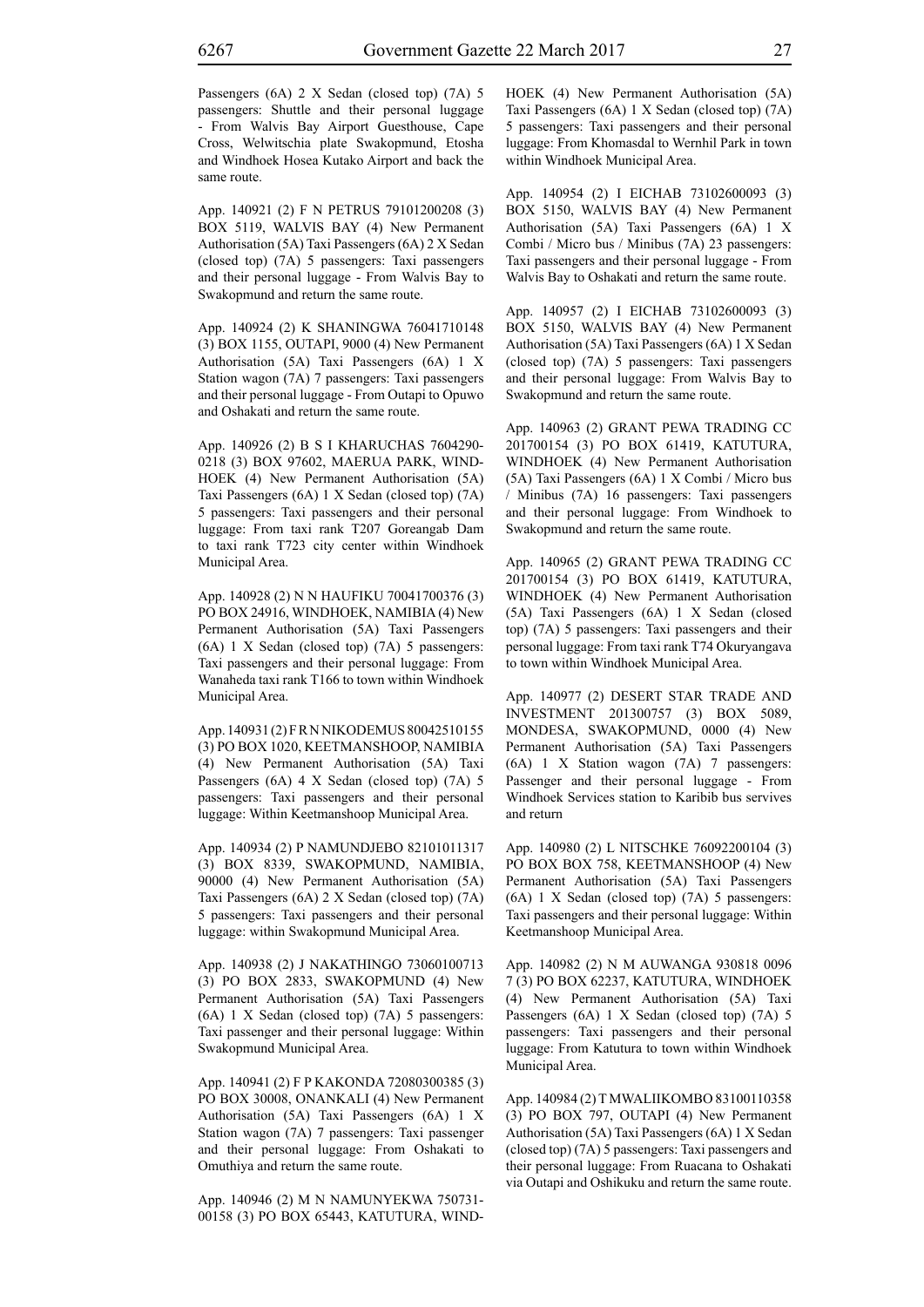Passengers (6A) 2 X Sedan (closed top) (7A) 5 passengers: Shuttle and their personal luggage - From Walvis Bay Airport Guesthouse, Cape Cross, Welwitschia plate Swakopmund, Etosha and Windhoek Hosea Kutako Airport and back the same route.

App. 140921 (2) F N PETRUS 79101200208 (3) BOX 5119, WALVIS BAY (4) New Permanent Authorisation (5A) Taxi Passengers (6A) 2 X Sedan (closed top) (7A) 5 passengers: Taxi passengers and their personal luggage - From Walvis Bay to Swakopmund and return the same route.

App. 140924 (2) K SHANINGWA 76041710148 (3) BOX 1155, OUTAPI, 9000 (4) New Permanent Authorisation (5A) Taxi Passengers (6A) 1 X Station wagon (7A) 7 passengers: Taxi passengers and their personal luggage - From Outapi to Opuwo and Oshakati and return the same route.

App. 140926 (2) B S I KHARUCHAS 7604290- 0218 (3) BOX 97602, MAERUA PARK, WIND-HOEK (4) New Permanent Authorisation (5A) Taxi Passengers (6A) 1 X Sedan (closed top) (7A) 5 passengers: Taxi passengers and their personal luggage: From taxi rank T207 Goreangab Dam to taxi rank T723 city center within Windhoek Municipal Area.

App. 140928 (2) N N HAUFIKU 70041700376 (3) PO BOX 24916, WINDHOEK, NAMIBIA (4) New Permanent Authorisation (5A) Taxi Passengers (6A) 1 X Sedan (closed top) (7A) 5 passengers: Taxi passengers and their personal luggage: From Wanaheda taxi rank T166 to town within Windhoek Municipal Area.

App. 140931 (2) F R N NIKODEMUS 80042510155 (3) PO BOX 1020, KEETMANSHOOP, NAMIBIA (4) New Permanent Authorisation (5A) Taxi Passengers (6A) 4 X Sedan (closed top) (7A) 5 passengers: Taxi passengers and their personal luggage: Within Keetmanshoop Municipal Area.

App. 140934 (2) P NAMUNDJEBO 82101011317 (3) BOX 8339, SWAKOPMUND, NAMIBIA, 90000 (4) New Permanent Authorisation (5A) Taxi Passengers (6A) 2 X Sedan (closed top) (7A) 5 passengers: Taxi passengers and their personal luggage: within Swakopmund Municipal Area.

App. 140938 (2) J NAKATHINGO 73060100713 (3) PO BOX 2833, SWAKOPMUND (4) New Permanent Authorisation (5A) Taxi Passengers (6A) 1 X Sedan (closed top) (7A) 5 passengers: Taxi passenger and their personal luggage: Within Swakopmund Municipal Area.

App. 140941 (2) F P KAKONDA 72080300385 (3) PO BOX 30008, ONANKALI (4) New Permanent Authorisation (5A) Taxi Passengers (6A) 1 X Station wagon (7A) 7 passengers: Taxi passenger and their personal luggage: From Oshakati to Omuthiya and return the same route.

App. 140946 (2) M N NAMUNYEKWA 750731- 00158 (3) PO BOX 65443, KATUTURA, WIND- HOEK (4) New Permanent Authorisation (5A) Taxi Passengers (6A) 1 X Sedan (closed top) (7A) 5 passengers: Taxi passengers and their personal luggage: From Khomasdal to Wernhil Park in town within Windhoek Municipal Area.

App. 140954 (2) I EICHAB 73102600093 (3) BOX 5150, WALVIS BAY (4) New Permanent Authorisation (5A) Taxi Passengers (6A) 1 X Combi / Micro bus / Minibus (7A) 23 passengers: Taxi passengers and their personal luggage - From Walvis Bay to Oshakati and return the same route.

App. 140957 (2) I EICHAB 73102600093 (3) BOX 5150, WALVIS BAY (4) New Permanent Authorisation (5A) Taxi Passengers (6A) 1 X Sedan (closed top) (7A) 5 passengers: Taxi passengers and their personal luggage: From Walvis Bay to Swakopmund and return the same route.

App. 140963 (2) GRANT PEWA TRADING CC 201700154 (3) PO BOX 61419, KATUTURA, WINDHOEK (4) New Permanent Authorisation (5A) Taxi Passengers (6A) 1 X Combi / Micro bus / Minibus (7A) 16 passengers: Taxi passengers and their personal luggage: From Windhoek to Swakopmund and return the same route.

App. 140965 (2) GRANT PEWA TRADING CC 201700154 (3) PO BOX 61419, KATUTURA, WINDHOEK (4) New Permanent Authorisation (5A) Taxi Passengers (6A) 1 X Sedan (closed top) (7A) 5 passengers: Taxi passengers and their personal luggage: From taxi rank T74 Okuryangava to town within Windhoek Municipal Area.

App. 140977 (2) DESERT STAR TRADE AND INVESTMENT 201300757 (3) BOX 5089, MONDESA, SWAKOPMUND, 0000 (4) New Permanent Authorisation (5A) Taxi Passengers (6A) 1 X Station wagon (7A) 7 passengers: Passenger and their personal luggage - From Windhoek Services station to Karibib bus servives and return

App. 140980 (2) L NITSCHKE 76092200104 (3) PO BOX BOX 758, KEETMANSHOOP (4) New Permanent Authorisation (5A) Taxi Passengers (6A) 1 X Sedan (closed top) (7A) 5 passengers: Taxi passengers and their personal luggage: Within Keetmanshoop Municipal Area.

App. 140982 (2) N M AUWANGA 930818 0096 7 (3) PO BOX 62237, KATUTURA, WINDHOEK (4) New Permanent Authorisation (5A) Taxi Passengers (6A) 1 X Sedan (closed top) (7A) 5 passengers: Taxi passengers and their personal luggage: From Katutura to town within Windhoek Municipal Area.

App. 140984 (2) T MWALIIKOMBO 83100110358 (3) PO BOX 797, OUTAPI (4) New Permanent Authorisation (5A) Taxi Passengers (6A) 1 X Sedan (closed top) (7A) 5 passengers: Taxi passengers and their personal luggage: From Ruacana to Oshakati via Outapi and Oshikuku and return the same route.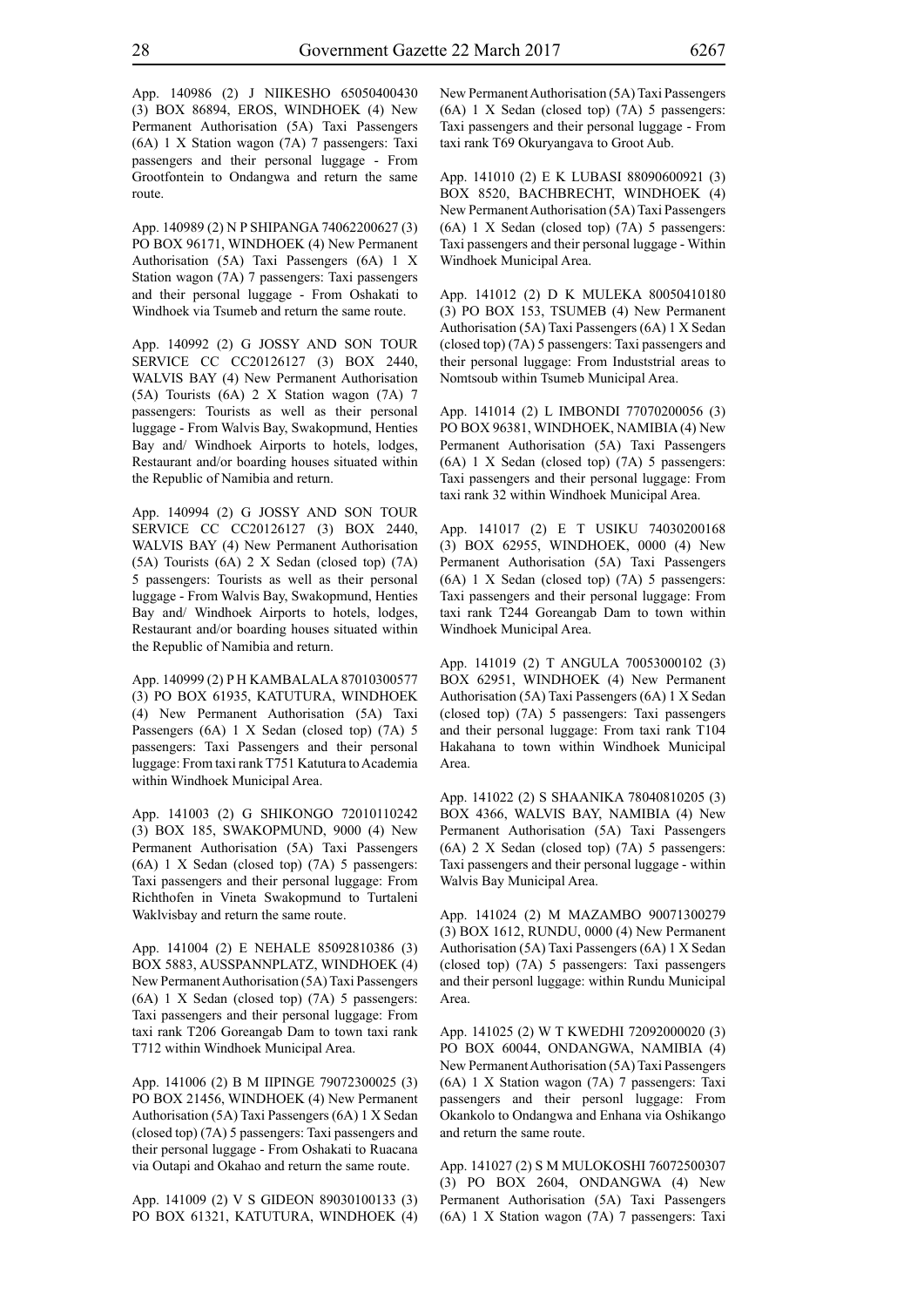App. 140986 (2) J NIIKESHO 65050400430 (3) BOX 86894, EROS, WINDHOEK (4) New Permanent Authorisation (5A) Taxi Passengers (6A) 1 X Station wagon (7A) 7 passengers: Taxi passengers and their personal luggage - From Grootfontein to Ondangwa and return the same route.

App. 140989 (2) N P SHIPANGA 74062200627 (3) PO BOX 96171, WINDHOEK (4) New Permanent Authorisation (5A) Taxi Passengers (6A) 1 X Station wagon (7A) 7 passengers: Taxi passengers and their personal luggage - From Oshakati to Windhoek via Tsumeb and return the same route.

App. 140992 (2) G JOSSY AND SON TOUR SERVICE CC CC20126127 (3) BOX 2440, WALVIS BAY (4) New Permanent Authorisation (5A) Tourists (6A) 2 X Station wagon (7A) 7 passengers: Tourists as well as their personal luggage - From Walvis Bay, Swakopmund, Henties Bay and/ Windhoek Airports to hotels, lodges, Restaurant and/or boarding houses situated within the Republic of Namibia and return.

App. 140994 (2) G JOSSY AND SON TOUR SERVICE CC CC20126127 (3) BOX 2440, WALVIS BAY (4) New Permanent Authorisation (5A) Tourists (6A) 2 X Sedan (closed top) (7A) 5 passengers: Tourists as well as their personal luggage - From Walvis Bay, Swakopmund, Henties Bay and/ Windhoek Airports to hotels, lodges, Restaurant and/or boarding houses situated within the Republic of Namibia and return.

App. 140999 (2) P H KAMBALALA 87010300577 (3) PO BOX 61935, KATUTURA, WINDHOEK (4) New Permanent Authorisation (5A) Taxi Passengers (6A) 1 X Sedan (closed top) (7A) 5 passengers: Taxi Passengers and their personal luggage: From taxi rank T751 Katutura to Academia within Windhoek Municipal Area.

App. 141003 (2) G SHIKONGO 72010110242 (3) BOX 185, SWAKOPMUND, 9000 (4) New Permanent Authorisation (5A) Taxi Passengers (6A) 1 X Sedan (closed top) (7A) 5 passengers: Taxi passengers and their personal luggage: From Richthofen in Vineta Swakopmund to Turtaleni Waklvisbay and return the same route.

App. 141004 (2) E NEHALE 85092810386 (3) BOX 5883, AUSSPANNPLATZ, WINDHOEK (4) New Permanent Authorisation (5A) Taxi Passengers (6A) 1 X Sedan (closed top) (7A) 5 passengers: Taxi passengers and their personal luggage: From taxi rank T206 Goreangab Dam to town taxi rank T712 within Windhoek Municipal Area.

App. 141006 (2) B M IIPINGE 79072300025 (3) PO BOX 21456, WINDHOEK (4) New Permanent Authorisation (5A) Taxi Passengers (6A) 1 X Sedan (closed top) (7A) 5 passengers: Taxi passengers and their personal luggage - From Oshakati to Ruacana via Outapi and Okahao and return the same route.

App. 141009 (2) V S GIDEON 89030100133 (3) PO BOX 61321, KATUTURA, WINDHOEK (4) New Permanent Authorisation (5A) Taxi Passengers (6A) 1 X Sedan (closed top) (7A) 5 passengers: Taxi passengers and their personal luggage - From taxi rank T69 Okuryangava to Groot Aub.

App. 141010 (2) E K LUBASI 88090600921 (3) BOX 8520, BACHBRECHT, WINDHOEK (4) New Permanent Authorisation (5A) Taxi Passengers (6A) 1 X Sedan (closed top) (7A) 5 passengers: Taxi passengers and their personal luggage - Within Windhoek Municipal Area.

App. 141012 (2) D K MULEKA 80050410180 (3) PO BOX 153, TSUMEB (4) New Permanent Authorisation (5A) Taxi Passengers (6A) 1 X Sedan (closed top) (7A) 5 passengers: Taxi passengers and their personal luggage: From Induststrial areas to Nomtsoub within Tsumeb Municipal Area.

App. 141014 (2) L IMBONDI 77070200056 (3) PO BOX 96381, WINDHOEK, NAMIBIA (4) New Permanent Authorisation (5A) Taxi Passengers (6A) 1 X Sedan (closed top) (7A) 5 passengers: Taxi passengers and their personal luggage: From taxi rank 32 within Windhoek Municipal Area.

App. 141017 (2) E T USIKU 74030200168 (3) BOX 62955, WINDHOEK, 0000 (4) New Permanent Authorisation (5A) Taxi Passengers (6A) 1 X Sedan (closed top) (7A) 5 passengers: Taxi passengers and their personal luggage: From taxi rank T244 Goreangab Dam to town within Windhoek Municipal Area.

App. 141019 (2) T ANGULA 70053000102 (3) BOX 62951, WINDHOEK (4) New Permanent Authorisation (5A) Taxi Passengers (6A) 1 X Sedan (closed top) (7A) 5 passengers: Taxi passengers and their personal luggage: From taxi rank T104 Hakahana to town within Windhoek Municipal Area.

App. 141022 (2) S SHAANIKA 78040810205 (3) BOX 4366, WALVIS BAY, NAMIBIA (4) New Permanent Authorisation (5A) Taxi Passengers (6A) 2 X Sedan (closed top) (7A) 5 passengers: Taxi passengers and their personal luggage - within Walvis Bay Municipal Area.

App. 141024 (2) M MAZAMBO 90071300279 (3) BOX 1612, RUNDU, 0000 (4) New Permanent Authorisation (5A) Taxi Passengers (6A) 1 X Sedan (closed top) (7A) 5 passengers: Taxi passengers and their personl luggage: within Rundu Municipal Area.

App. 141025 (2) W T KWEDHI 72092000020 (3) PO BOX 60044, ONDANGWA, NAMIBIA (4) New Permanent Authorisation (5A) Taxi Passengers (6A) 1 X Station wagon (7A) 7 passengers: Taxi passengers and their personl luggage: From Okankolo to Ondangwa and Enhana via Oshikango and return the same route.

App. 141027 (2) S M MULOKOSHI 76072500307 (3) PO BOX 2604, ONDANGWA (4) New Permanent Authorisation (5A) Taxi Passengers (6A) 1 X Station wagon (7A) 7 passengers: Taxi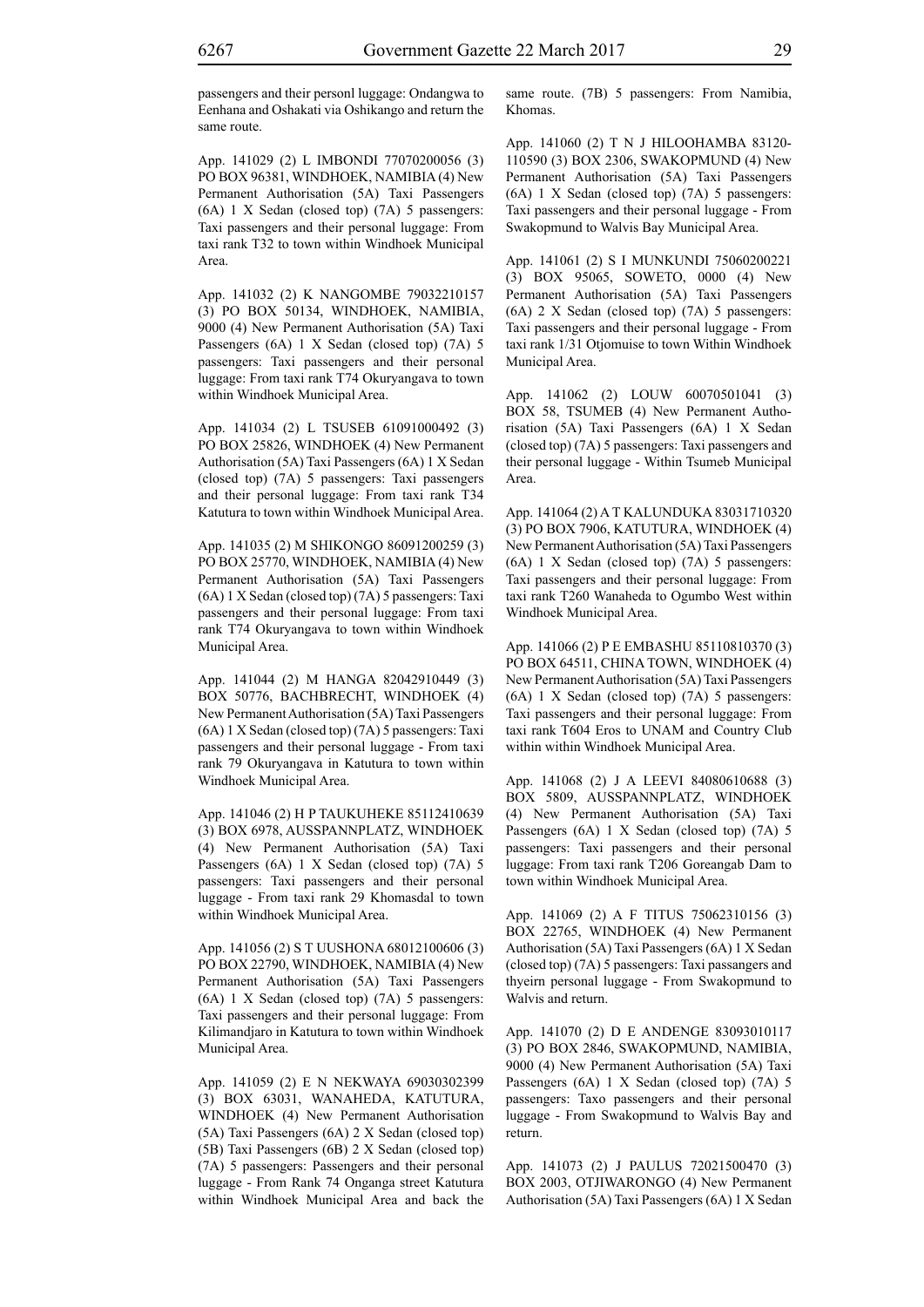passengers and their personl luggage: Ondangwa to Eenhana and Oshakati via Oshikango and return the same route.

App. 141029 (2) L IMBONDI 77070200056 (3) PO BOX 96381, WINDHOEK, NAMIBIA (4) New Permanent Authorisation (5A) Taxi Passengers (6A) 1 X Sedan (closed top) (7A) 5 passengers: Taxi passengers and their personal luggage: From taxi rank T32 to town within Windhoek Municipal Area.

App. 141032 (2) K NANGOMBE 79032210157 (3) PO BOX 50134, WINDHOEK, NAMIBIA, 9000 (4) New Permanent Authorisation (5A) Taxi Passengers (6A) 1 X Sedan (closed top) (7A) 5 passengers: Taxi passengers and their personal luggage: From taxi rank T74 Okuryangava to town within Windhoek Municipal Area.

App. 141034 (2) L TSUSEB 61091000492 (3) PO BOX 25826, WINDHOEK (4) New Permanent Authorisation (5A) Taxi Passengers (6A) 1 X Sedan (closed top) (7A) 5 passengers: Taxi passengers and their personal luggage: From taxi rank T34 Katutura to town within Windhoek Municipal Area.

App. 141035 (2) M SHIKONGO 86091200259 (3) PO BOX 25770, WINDHOEK, NAMIBIA (4) New Permanent Authorisation (5A) Taxi Passengers (6A) 1 X Sedan (closed top) (7A) 5 passengers: Taxi passengers and their personal luggage: From taxi rank T74 Okuryangava to town within Windhoek Municipal Area.

App. 141044 (2) M HANGA 82042910449 (3) BOX 50776, BACHBRECHT, WINDHOEK (4) New Permanent Authorisation (5A) Taxi Passengers (6A) 1 X Sedan (closed top) (7A) 5 passengers: Taxi passengers and their personal luggage - From taxi rank 79 Okuryangava in Katutura to town within Windhoek Municipal Area.

App. 141046 (2) H P TAUKUHEKE 85112410639 (3) BOX 6978, AUSSPANNPLATZ, WINDHOEK (4) New Permanent Authorisation (5A) Taxi Passengers (6A) 1 X Sedan (closed top) (7A) 5 passengers: Taxi passengers and their personal luggage - From taxi rank 29 Khomasdal to town within Windhoek Municipal Area.

App. 141056 (2) S T UUSHONA 68012100606 (3) PO BOX 22790, WINDHOEK, NAMIBIA (4) New Permanent Authorisation (5A) Taxi Passengers (6A) 1 X Sedan (closed top) (7A) 5 passengers: Taxi passengers and their personal luggage: From Kilimandjaro in Katutura to town within Windhoek Municipal Area.

App. 141059 (2) E N NEKWAYA 69030302399 (3) BOX 63031, WANAHEDA, KATUTURA, WINDHOEK (4) New Permanent Authorisation (5A) Taxi Passengers (6A) 2 X Sedan (closed top) (5B) Taxi Passengers (6B) 2 X Sedan (closed top) (7A) 5 passengers: Passengers and their personal luggage - From Rank 74 Onganga street Katutura within Windhoek Municipal Area and back the same route. (7B) 5 passengers: From Namibia, Khomas.

App. 141060 (2) T N J HILOOHAMBA 83120- 110590 (3) BOX 2306, SWAKOPMUND (4) New Permanent Authorisation (5A) Taxi Passengers (6A) 1 X Sedan (closed top) (7A) 5 passengers: Taxi passengers and their personal luggage - From Swakopmund to Walvis Bay Municipal Area.

App. 141061 (2) S I MUNKUNDI 75060200221 (3) BOX 95065, SOWETO, 0000 (4) New Permanent Authorisation (5A) Taxi Passengers (6A) 2 X Sedan (closed top) (7A) 5 passengers: Taxi passengers and their personal luggage - From taxi rank 1/31 Otjomuise to town Within Windhoek Municipal Area.

App. 141062 (2) LOUW 60070501041 (3) BOX 58, TSUMEB (4) New Permanent Authorisation (5A) Taxi Passengers (6A) 1 X Sedan (closed top) (7A) 5 passengers: Taxi passengers and their personal luggage - Within Tsumeb Municipal Area.

App. 141064 (2) A T KALUNDUKA 83031710320 (3) PO BOX 7906, KATUTURA, WINDHOEK (4) New Permanent Authorisation (5A) Taxi Passengers (6A) 1 X Sedan (closed top) (7A) 5 passengers: Taxi passengers and their personal luggage: From taxi rank T260 Wanaheda to Ogumbo West within Windhoek Municipal Area.

App. 141066 (2) P E EMBASHU 85110810370 (3) PO BOX 64511, CHINA TOWN, WINDHOEK (4) New Permanent Authorisation (5A) Taxi Passengers (6A) 1 X Sedan (closed top) (7A) 5 passengers: Taxi passengers and their personal luggage: From taxi rank T604 Eros to UNAM and Country Club within within Windhoek Municipal Area.

App. 141068 (2) J A LEEVI 84080610688 (3) BOX 5809, AUSSPANNPLATZ, WINDHOEK (4) New Permanent Authorisation (5A) Taxi Passengers (6A) 1 X Sedan (closed top) (7A) 5 passengers: Taxi passengers and their personal luggage: From taxi rank T206 Goreangab Dam to town within Windhoek Municipal Area.

App. 141069 (2) A F TITUS 75062310156 (3) BOX 22765, WINDHOEK (4) New Permanent Authorisation (5A) Taxi Passengers (6A) 1 X Sedan (closed top) (7A) 5 passengers: Taxi passangers and thyeirn personal luggage - From Swakopmund to Walvis and return.

App. 141070 (2) D E ANDENGE 83093010117 (3) PO BOX 2846, SWAKOPMUND, NAMIBIA, 9000 (4) New Permanent Authorisation (5A) Taxi Passengers (6A) 1 X Sedan (closed top) (7A) 5 passengers: Taxo passengers and their personal luggage - From Swakopmund to Walvis Bay and return.

App. 141073 (2) J PAULUS 72021500470 (3) BOX 2003, OTJIWARONGO (4) New Permanent Authorisation (5A) Taxi Passengers (6A) 1 X Sedan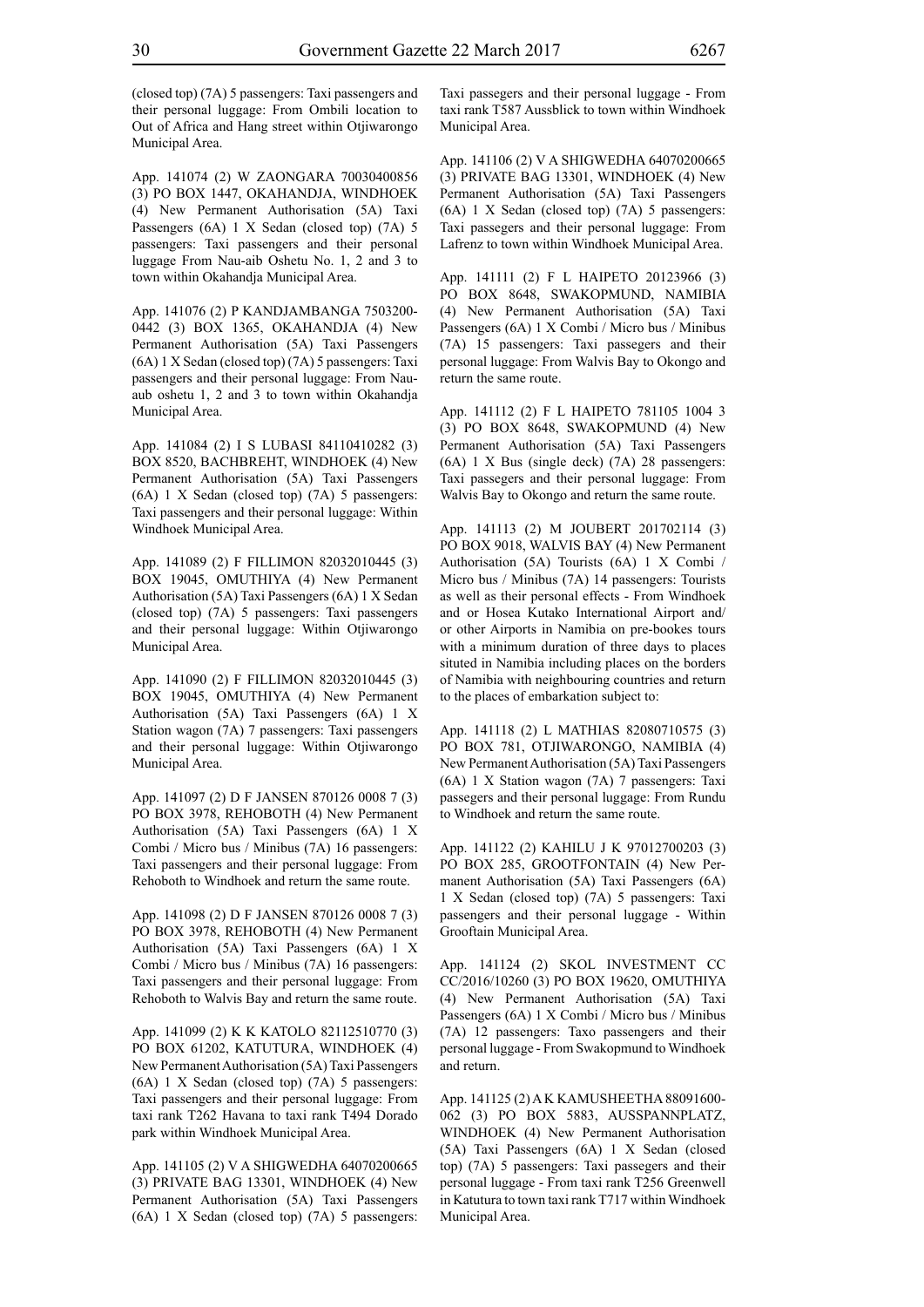(closed top) (7A) 5 passengers: Taxi passengers and their personal luggage: From Ombili location to Out of Africa and Hang street within Otjiwarongo Municipal Area.

App. 141074 (2) W ZAONGARA 70030400856 (3) PO BOX 1447, OKAHANDJA, WINDHOEK (4) New Permanent Authorisation (5A) Taxi Passengers (6A) 1 X Sedan (closed top) (7A) 5 passengers: Taxi passengers and their personal luggage From Nau-aib Oshetu No. 1, 2 and 3 to town within Okahandja Municipal Area.

App. 141076 (2) P KANDJAMBANGA 7503200- 0442 (3) BOX 1365, OKAHANDJA (4) New Permanent Authorisation (5A) Taxi Passengers (6A) 1 X Sedan (closed top) (7A) 5 passengers: Taxi passengers and their personal luggage: From Nauaub oshetu 1, 2 and 3 to town within Okahandja Municipal Area.

App. 141084 (2) I S LUBASI 84110410282 (3) BOX 8520, BACHBREHT, WINDHOEK (4) New Permanent Authorisation (5A) Taxi Passengers (6A) 1 X Sedan (closed top) (7A) 5 passengers: Taxi passengers and their personal luggage: Within Windhoek Municipal Area.

App. 141089 (2) F FILLIMON 82032010445 (3) BOX 19045, OMUTHIYA (4) New Permanent Authorisation (5A) Taxi Passengers (6A) 1 X Sedan (closed top) (7A) 5 passengers: Taxi passengers and their personal luggage: Within Otjiwarongo Municipal Area.

App. 141090 (2) F FILLIMON 82032010445 (3) BOX 19045, OMUTHIYA (4) New Permanent Authorisation (5A) Taxi Passengers (6A) 1 X Station wagon (7A) 7 passengers: Taxi passengers and their personal luggage: Within Otjiwarongo Municipal Area.

App. 141097 (2) D F JANSEN 870126 0008 7 (3) PO BOX 3978, REHOBOTH (4) New Permanent Authorisation (5A) Taxi Passengers (6A) 1 X Combi / Micro bus / Minibus (7A) 16 passengers: Taxi passengers and their personal luggage: From Rehoboth to Windhoek and return the same route.

App. 141098 (2) D F JANSEN 870126 0008 7 (3) PO BOX 3978, REHOBOTH (4) New Permanent Authorisation (5A) Taxi Passengers (6A) 1 X Combi / Micro bus / Minibus (7A) 16 passengers: Taxi passengers and their personal luggage: From Rehoboth to Walvis Bay and return the same route.

App. 141099 (2) K K KATOLO 82112510770 (3) PO BOX 61202, KATUTURA, WINDHOEK (4) New Permanent Authorisation (5A) Taxi Passengers (6A) 1 X Sedan (closed top) (7A) 5 passengers: Taxi passengers and their personal luggage: From taxi rank T262 Havana to taxi rank T494 Dorado park within Windhoek Municipal Area.

App. 141105 (2) V A SHIGWEDHA 64070200665 (3) PRIVATE BAG 13301, WINDHOEK (4) New Permanent Authorisation (5A) Taxi Passengers (6A) 1 X Sedan (closed top) (7A) 5 passengers: Taxi passegers and their personal luggage - From taxi rank T587 Aussblick to town within Windhoek Municipal Area.

App. 141106 (2) V A SHIGWEDHA 64070200665 (3) PRIVATE BAG 13301, WINDHOEK (4) New Permanent Authorisation (5A) Taxi Passengers (6A) 1 X Sedan (closed top) (7A) 5 passengers: Taxi passegers and their personal luggage: From Lafrenz to town within Windhoek Municipal Area.

App. 141111 (2) F L HAIPETO 20123966 (3) PO BOX 8648, SWAKOPMUND, NAMIBIA (4) New Permanent Authorisation (5A) Taxi Passengers (6A) 1 X Combi / Micro bus / Minibus (7A) 15 passengers: Taxi passegers and their personal luggage: From Walvis Bay to Okongo and return the same route.

App. 141112 (2) F L HAIPETO 781105 1004 3 (3) PO BOX 8648, SWAKOPMUND (4) New Permanent Authorisation (5A) Taxi Passengers (6A) 1 X Bus (single deck) (7A) 28 passengers: Taxi passegers and their personal luggage: From Walvis Bay to Okongo and return the same route.

App. 141113 (2) M JOUBERT 201702114 (3) PO BOX 9018, WALVIS BAY (4) New Permanent Authorisation (5A) Tourists (6A) 1 X Combi / Micro bus / Minibus (7A) 14 passengers: Tourists as well as their personal effects - From Windhoek and or Hosea Kutako International Airport and/ or other Airports in Namibia on pre-bookes tours with a minimum duration of three days to places situted in Namibia including places on the borders of Namibia with neighbouring countries and return to the places of embarkation subject to:

App. 141118 (2) L MATHIAS 82080710575 (3) PO BOX 781, OTJIWARONGO, NAMIBIA (4) New Permanent Authorisation (5A) Taxi Passengers (6A) 1 X Station wagon (7A) 7 passengers: Taxi passegers and their personal luggage: From Rundu to Windhoek and return the same route.

App. 141122 (2) KAHILU J K 97012700203 (3) PO BOX 285, GROOTFONTAIN (4) New Permanent Authorisation (5A) Taxi Passengers (6A) 1 X Sedan (closed top) (7A) 5 passengers: Taxi passengers and their personal luggage - Within Grooftain Municipal Area.

App. 141124 (2) SKOL INVESTMENT CC CC/2016/10260 (3) PO BOX 19620, OMUTHIYA (4) New Permanent Authorisation (5A) Taxi Passengers (6A) 1 X Combi / Micro bus / Minibus (7A) 12 passengers: Taxo passengers and their personal luggage - From Swakopmund to Windhoek and return.

App. 141125 (2) A K KAMUSHEETHA 88091600- 062 (3) PO BOX 5883, AUSSPANNPLATZ, WINDHOEK (4) New Permanent Authorisation (5A) Taxi Passengers (6A) 1 X Sedan (closed top) (7A) 5 passengers: Taxi passegers and their personal luggage - From taxi rank T256 Greenwell in Katutura to town taxi rank T717 within Windhoek Municipal Area.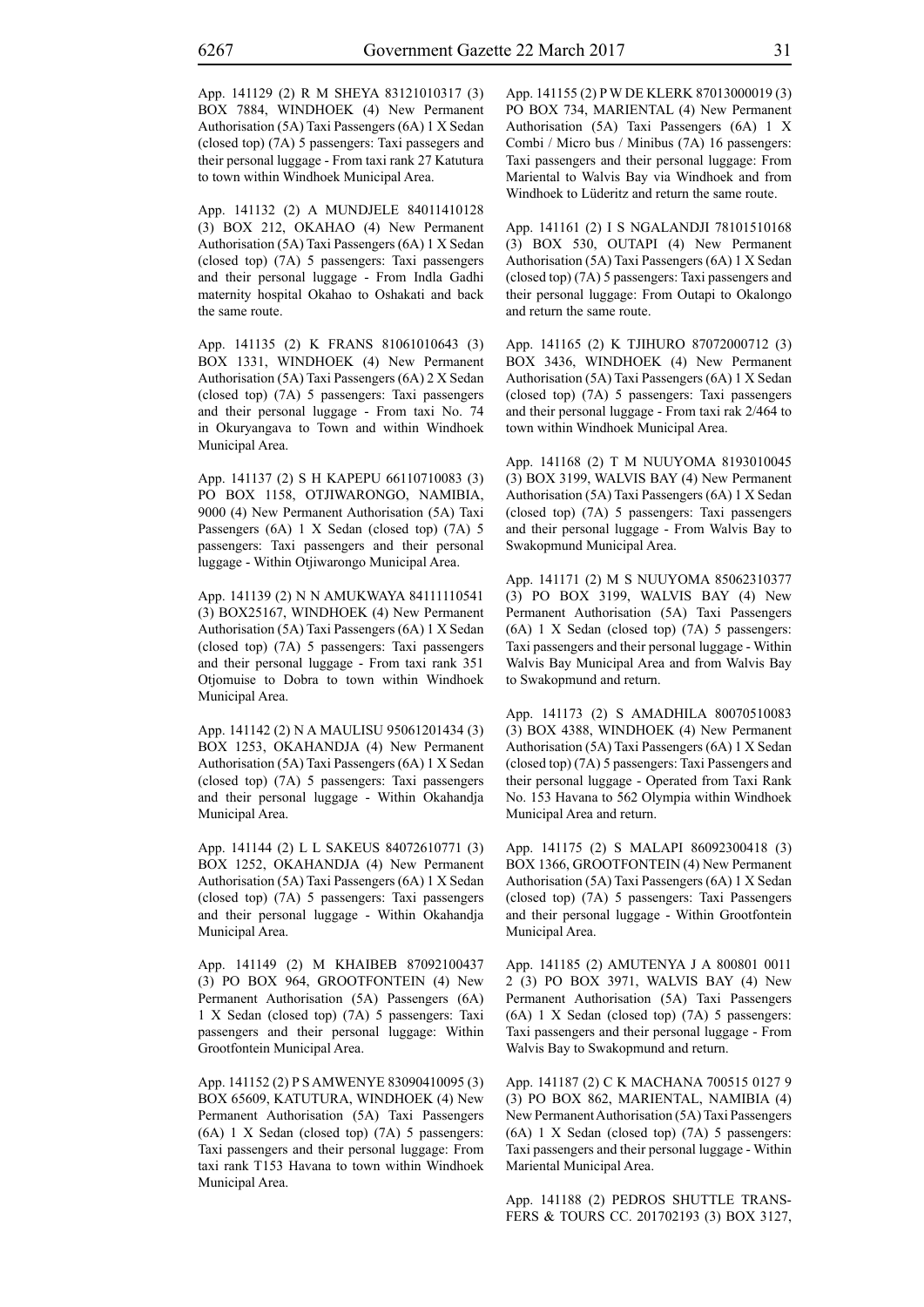App. 141129 (2) R M SHEYA 83121010317 (3) BOX 7884, WINDHOEK (4) New Permanent Authorisation (5A) Taxi Passengers (6A) 1 X Sedan (closed top) (7A) 5 passengers: Taxi passegers and their personal luggage - From taxi rank 27 Katutura to town within Windhoek Municipal Area.

App. 141132 (2) A MUNDJELE 84011410128 (3) BOX 212, OKAHAO (4) New Permanent Authorisation (5A) Taxi Passengers (6A) 1 X Sedan (closed top) (7A) 5 passengers: Taxi passengers and their personal luggage - From Indla Gadhi maternity hospital Okahao to Oshakati and back the same route.

App. 141135 (2) K FRANS 81061010643 (3) BOX 1331, WINDHOEK (4) New Permanent Authorisation (5A) Taxi Passengers (6A) 2 X Sedan (closed top) (7A) 5 passengers: Taxi passengers and their personal luggage - From taxi No. 74 in Okuryangava to Town and within Windhoek Municipal Area.

App. 141137 (2) S H KAPEPU 66110710083 (3) PO BOX 1158, OTJIWARONGO, NAMIBIA, 9000 (4) New Permanent Authorisation (5A) Taxi Passengers (6A) 1 X Sedan (closed top) (7A) 5 passengers: Taxi passengers and their personal luggage - Within Otjiwarongo Municipal Area.

App. 141139 (2) N N AMUKWAYA 84111110541 (3) BOX25167, WINDHOEK (4) New Permanent Authorisation (5A) Taxi Passengers (6A) 1 X Sedan (closed top) (7A) 5 passengers: Taxi passengers and their personal luggage - From taxi rank 351 Otjomuise to Dobra to town within Windhoek Municipal Area.

App. 141142 (2) N A MAULISU 95061201434 (3) BOX 1253, OKAHANDJA (4) New Permanent Authorisation (5A) Taxi Passengers (6A) 1 X Sedan (closed top) (7A) 5 passengers: Taxi passengers and their personal luggage - Within Okahandja Municipal Area.

App. 141144 (2) L L SAKEUS 84072610771 (3) BOX 1252, OKAHANDJA (4) New Permanent Authorisation (5A) Taxi Passengers (6A) 1 X Sedan (closed top) (7A) 5 passengers: Taxi passengers and their personal luggage - Within Okahandja Municipal Area.

App. 141149 (2) M KHAIBEB 87092100437 (3) PO BOX 964, GROOTFONTEIN (4) New Permanent Authorisation (5A) Passengers (6A) 1 X Sedan (closed top) (7A) 5 passengers: Taxi passengers and their personal luggage: Within Grootfontein Municipal Area.

App. 141152 (2) P S AMWENYE 83090410095 (3) BOX 65609, KATUTURA, WINDHOEK (4) New Permanent Authorisation (5A) Taxi Passengers (6A) 1 X Sedan (closed top) (7A) 5 passengers: Taxi passengers and their personal luggage: From taxi rank T153 Havana to town within Windhoek Municipal Area.

App. 141155 (2) P W DE KLERK 87013000019 (3) PO BOX 734, MARIENTAL (4) New Permanent Authorisation (5A) Taxi Passengers (6A) 1 X Combi / Micro bus / Minibus (7A) 16 passengers: Taxi passengers and their personal luggage: From Mariental to Walvis Bay via Windhoek and from Windhoek to Lüderitz and return the same route.

App. 141161 (2) I S NGALANDJI 78101510168 (3) BOX 530, OUTAPI (4) New Permanent Authorisation (5A) Taxi Passengers (6A) 1 X Sedan (closed top) (7A) 5 passengers: Taxi passengers and their personal luggage: From Outapi to Okalongo and return the same route.

App. 141165 (2) K TJIHURO 87072000712 (3) BOX 3436, WINDHOEK (4) New Permanent Authorisation (5A) Taxi Passengers (6A) 1 X Sedan (closed top) (7A) 5 passengers: Taxi passengers and their personal luggage - From taxi rak 2/464 to town within Windhoek Municipal Area.

App. 141168 (2) T M NUUYOMA 8193010045 (3) BOX 3199, WALVIS BAY (4) New Permanent Authorisation (5A) Taxi Passengers (6A) 1 X Sedan (closed top) (7A) 5 passengers: Taxi passengers and their personal luggage - From Walvis Bay to Swakopmund Municipal Area.

App. 141171 (2) M S NUUYOMA 85062310377 (3) PO BOX 3199, WALVIS BAY (4) New Permanent Authorisation (5A) Taxi Passengers (6A) 1 X Sedan (closed top) (7A) 5 passengers: Taxi passengers and their personal luggage - Within Walvis Bay Municipal Area and from Walvis Bay to Swakopmund and return.

App. 141173 (2) S AMADHILA 80070510083 (3) BOX 4388, WINDHOEK (4) New Permanent Authorisation (5A) Taxi Passengers (6A) 1 X Sedan (closed top) (7A) 5 passengers: Taxi Passengers and their personal luggage - Operated from Taxi Rank No. 153 Havana to 562 Olympia within Windhoek Municipal Area and return.

App. 141175 (2) S MALAPI 86092300418 (3) BOX 1366, GROOTFONTEIN (4) New Permanent Authorisation (5A) Taxi Passengers (6A) 1 X Sedan (closed top) (7A) 5 passengers: Taxi Passengers and their personal luggage - Within Grootfontein Municipal Area.

App. 141185 (2) AMUTENYA J A 800801 0011 2 (3) PO BOX 3971, WALVIS BAY (4) New Permanent Authorisation (5A) Taxi Passengers (6A) 1 X Sedan (closed top) (7A) 5 passengers: Taxi passengers and their personal luggage - From Walvis Bay to Swakopmund and return.

App. 141187 (2) C K MACHANA 700515 0127 9 (3) PO BOX 862, MARIENTAL, NAMIBIA (4) New Permanent Authorisation (5A) Taxi Passengers (6A) 1 X Sedan (closed top) (7A) 5 passengers: Taxi passengers and their personal luggage - Within Mariental Municipal Area.

App. 141188 (2) PEDROS SHUTTLE TRANS-FERS & TOURS CC. 201702193 (3) BOX 3127,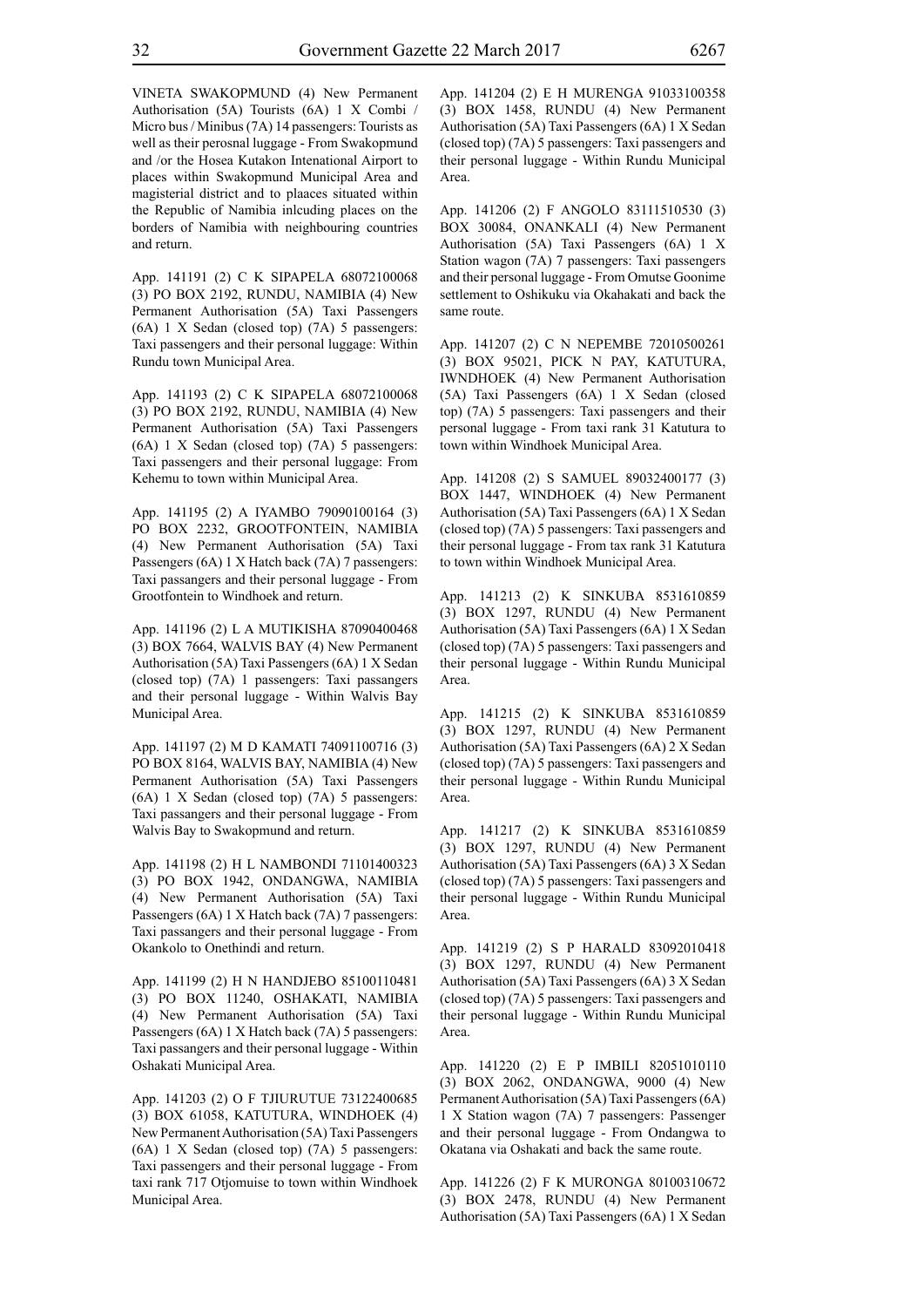VINETA SWAKOPMUND (4) New Permanent Authorisation (5A) Tourists (6A) 1 X Combi / Micro bus / Minibus (7A) 14 passengers: Tourists as well as their perosnal luggage - From Swakopmund and /or the Hosea Kutakon Intenational Airport to places within Swakopmund Municipal Area and magisterial district and to plaaces situated within the Republic of Namibia inlcuding places on the borders of Namibia with neighbouring countries and return.

App. 141191 (2) C K SIPAPELA 68072100068 (3) PO BOX 2192, RUNDU, NAMIBIA (4) New Permanent Authorisation (5A) Taxi Passengers (6A) 1 X Sedan (closed top) (7A) 5 passengers: Taxi passengers and their personal luggage: Within Rundu town Municipal Area.

App. 141193 (2) C K SIPAPELA 68072100068 (3) PO BOX 2192, RUNDU, NAMIBIA (4) New Permanent Authorisation (5A) Taxi Passengers (6A) 1 X Sedan (closed top) (7A) 5 passengers: Taxi passengers and their personal luggage: From Kehemu to town within Municipal Area.

App. 141195 (2) A IYAMBO 79090100164 (3) PO BOX 2232, GROOTFONTEIN, NAMIBIA (4) New Permanent Authorisation (5A) Taxi Passengers (6A) 1 X Hatch back (7A) 7 passengers: Taxi passangers and their personal luggage - From Grootfontein to Windhoek and return.

App. 141196 (2) L A MUTIKISHA 87090400468 (3) BOX 7664, WALVIS BAY (4) New Permanent Authorisation (5A) Taxi Passengers (6A) 1 X Sedan (closed top) (7A) 1 passengers: Taxi passangers and their personal luggage - Within Walvis Bay Municipal Area.

App. 141197 (2) M D KAMATI 74091100716 (3) PO BOX 8164, WALVIS BAY, NAMIBIA (4) New Permanent Authorisation (5A) Taxi Passengers (6A) 1 X Sedan (closed top) (7A) 5 passengers: Taxi passangers and their personal luggage - From Walvis Bay to Swakopmund and return.

App. 141198 (2) H L NAMBONDI 71101400323 (3) PO BOX 1942, ONDANGWA, NAMIBIA (4) New Permanent Authorisation (5A) Taxi Passengers (6A) 1 X Hatch back (7A) 7 passengers: Taxi passangers and their personal luggage - From Okankolo to Onethindi and return.

App. 141199 (2) H N HANDJEBO 85100110481 (3) PO BOX 11240, OSHAKATI, NAMIBIA (4) New Permanent Authorisation (5A) Taxi Passengers (6A) 1 X Hatch back (7A) 5 passengers: Taxi passangers and their personal luggage - Within Oshakati Municipal Area.

App. 141203 (2) O F TJIURUTUE 73122400685 (3) BOX 61058, KATUTURA, WINDHOEK (4) New Permanent Authorisation (5A) Taxi Passengers (6A) 1 X Sedan (closed top) (7A) 5 passengers: Taxi passengers and their personal luggage - From taxi rank 717 Otjomuise to town within Windhoek Municipal Area.

App. 141204 (2) E H MURENGA 91033100358 (3) BOX 1458, RUNDU (4) New Permanent Authorisation (5A) Taxi Passengers (6A) 1 X Sedan (closed top) (7A) 5 passengers: Taxi passengers and their personal luggage - Within Rundu Municipal Area.

App. 141206 (2) F ANGOLO 83111510530 (3) BOX 30084, ONANKALI (4) New Permanent Authorisation (5A) Taxi Passengers (6A) 1 X Station wagon (7A) 7 passengers: Taxi passengers and their personal luggage - From Omutse Goonime settlement to Oshikuku via Okahakati and back the same route.

App. 141207 (2) C N NEPEMBE 72010500261 (3) BOX 95021, PICK N PAY, KATUTURA, IWNDHOEK (4) New Permanent Authorisation (5A) Taxi Passengers (6A) 1 X Sedan (closed top) (7A) 5 passengers: Taxi passengers and their personal luggage - From taxi rank 31 Katutura to town within Windhoek Municipal Area.

App. 141208 (2) S SAMUEL 89032400177 (3) BOX 1447, WINDHOEK (4) New Permanent Authorisation (5A) Taxi Passengers (6A) 1 X Sedan (closed top) (7A) 5 passengers: Taxi passengers and their personal luggage - From tax rank 31 Katutura to town within Windhoek Municipal Area.

App. 141213 (2) K SINKUBA 8531610859 (3) BOX 1297, RUNDU (4) New Permanent Authorisation (5A) Taxi Passengers (6A) 1 X Sedan (closed top) (7A) 5 passengers: Taxi passengers and their personal luggage - Within Rundu Municipal Area.

App. 141215 (2) K SINKUBA 8531610859 (3) BOX 1297, RUNDU (4) New Permanent Authorisation (5A) Taxi Passengers (6A) 2 X Sedan (closed top) (7A) 5 passengers: Taxi passengers and their personal luggage - Within Rundu Municipal Area.

App. 141217 (2) K SINKUBA 8531610859 (3) BOX 1297, RUNDU (4) New Permanent Authorisation (5A) Taxi Passengers (6A) 3 X Sedan (closed top) (7A) 5 passengers: Taxi passengers and their personal luggage - Within Rundu Municipal Area.

App. 141219 (2) S P HARALD 83092010418 (3) BOX 1297, RUNDU (4) New Permanent Authorisation (5A) Taxi Passengers (6A) 3 X Sedan (closed top) (7A) 5 passengers: Taxi passengers and their personal luggage - Within Rundu Municipal Area.

App. 141220 (2) E P IMBILI 82051010110 (3) BOX 2062, ONDANGWA, 9000 (4) New Permanent Authorisation (5A) Taxi Passengers (6A) 1 X Station wagon (7A) 7 passengers: Passenger and their personal luggage - From Ondangwa to Okatana via Oshakati and back the same route.

App. 141226 (2) F K MURONGA 80100310672 (3) BOX 2478, RUNDU (4) New Permanent Authorisation (5A) Taxi Passengers (6A) 1 X Sedan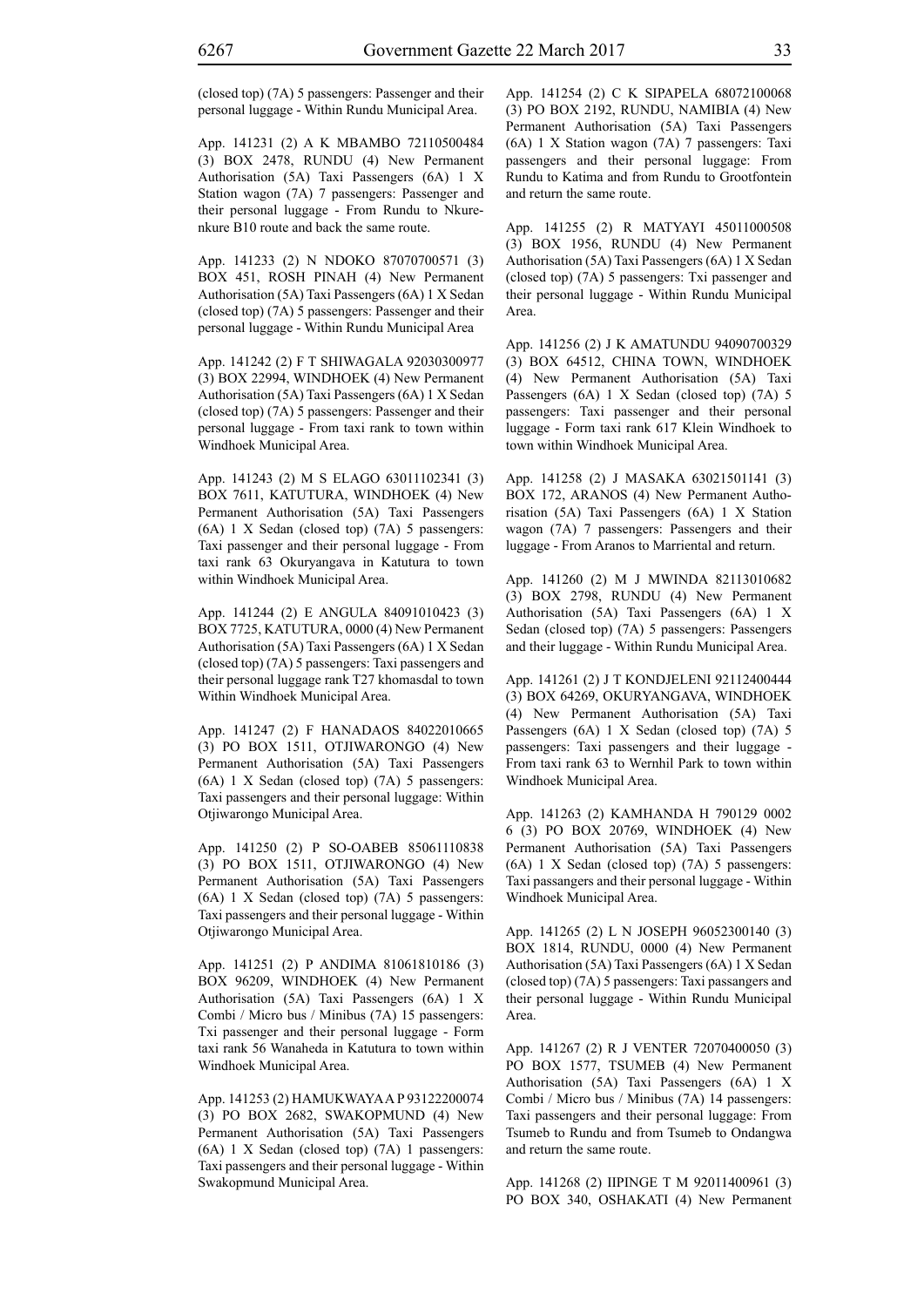(closed top) (7A) 5 passengers: Passenger and their personal luggage - Within Rundu Municipal Area.

App. 141231 (2) A K MBAMBO 72110500484 (3) BOX 2478, RUNDU (4) New Permanent Authorisation (5A) Taxi Passengers (6A) 1 X Station wagon (7A) 7 passengers: Passenger and their personal luggage - From Rundu to Nkurenkure B10 route and back the same route.

App. 141233 (2) N NDOKO 87070700571 (3) BOX 451, ROSH PINAH (4) New Permanent Authorisation (5A) Taxi Passengers (6A) 1 X Sedan (closed top) (7A) 5 passengers: Passenger and their personal luggage - Within Rundu Municipal Area

App. 141242 (2) F T SHIWAGALA 92030300977 (3) BOX 22994, WINDHOEK (4) New Permanent Authorisation (5A) Taxi Passengers (6A) 1 X Sedan (closed top) (7A) 5 passengers: Passenger and their personal luggage - From taxi rank to town within Windhoek Municipal Area.

App. 141243 (2) M S ELAGO 63011102341 (3) BOX 7611, KATUTURA, WINDHOEK (4) New Permanent Authorisation (5A) Taxi Passengers (6A) 1 X Sedan (closed top) (7A) 5 passengers: Taxi passenger and their personal luggage - From taxi rank 63 Okuryangava in Katutura to town within Windhoek Municipal Area.

App. 141244 (2) E ANGULA 84091010423 (3) BOX 7725, KATUTURA, 0000 (4) New Permanent Authorisation (5A) Taxi Passengers (6A) 1 X Sedan (closed top) (7A) 5 passengers: Taxi passengers and their personal luggage rank T27 khomasdal to town Within Windhoek Municipal Area.

App. 141247 (2) F HANADAOS 84022010665 (3) PO BOX 1511, OTJIWARONGO (4) New Permanent Authorisation (5A) Taxi Passengers (6A) 1 X Sedan (closed top) (7A) 5 passengers: Taxi passengers and their personal luggage: Within Otjiwarongo Municipal Area.

App. 141250 (2) P SO-OABEB 85061110838 (3) PO BOX 1511, OTJIWARONGO (4) New Permanent Authorisation (5A) Taxi Passengers (6A) 1 X Sedan (closed top) (7A) 5 passengers: Taxi passengers and their personal luggage - Within Otjiwarongo Municipal Area.

App. 141251 (2) P ANDIMA 81061810186 (3) BOX 96209, WINDHOEK (4) New Permanent Authorisation (5A) Taxi Passengers (6A) 1 X Combi / Micro bus / Minibus (7A) 15 passengers: Txi passenger and their personal luggage - Form taxi rank 56 Wanaheda in Katutura to town within Windhoek Municipal Area.

App. 141253 (2) HAMUKWAYA A P 93122200074 (3) PO BOX 2682, SWAKOPMUND (4) New Permanent Authorisation (5A) Taxi Passengers (6A) 1 X Sedan (closed top) (7A) 1 passengers: Taxi passengers and their personal luggage - Within Swakopmund Municipal Area.

App. 141254 (2) C K SIPAPELA 68072100068 (3) PO BOX 2192, RUNDU, NAMIBIA (4) New Permanent Authorisation (5A) Taxi Passengers (6A) 1 X Station wagon (7A) 7 passengers: Taxi passengers and their personal luggage: From Rundu to Katima and from Rundu to Grootfontein and return the same route.

App. 141255 (2) R MATYAYI 45011000508 (3) BOX 1956, RUNDU (4) New Permanent Authorisation (5A) Taxi Passengers (6A) 1 X Sedan (closed top) (7A) 5 passengers: Txi passenger and their personal luggage - Within Rundu Municipal Area.

App. 141256 (2) J K AMATUNDU 94090700329 (3) BOX 64512, CHINA TOWN, WINDHOEK (4) New Permanent Authorisation (5A) Taxi Passengers (6A) 1 X Sedan (closed top) (7A) 5 passengers: Taxi passenger and their personal luggage - Form taxi rank 617 Klein Windhoek to town within Windhoek Municipal Area.

App. 141258 (2) J MASAKA 63021501141 (3) BOX 172, ARANOS (4) New Permanent Authorisation (5A) Taxi Passengers (6A) 1 X Station wagon (7A) 7 passengers: Passengers and their luggage - From Aranos to Marriental and return.

App. 141260 (2) M J MWINDA 82113010682 (3) BOX 2798, RUNDU (4) New Permanent Authorisation (5A) Taxi Passengers (6A) 1 X Sedan (closed top) (7A) 5 passengers: Passengers and their luggage - Within Rundu Municipal Area.

App. 141261 (2) J T KONDJELENI 92112400444 (3) BOX 64269, OKURYANGAVA, WINDHOEK (4) New Permanent Authorisation (5A) Taxi Passengers (6A) 1 X Sedan (closed top) (7A) 5 passengers: Taxi passengers and their luggage - From taxi rank 63 to Wernhil Park to town within Windhoek Municipal Area.

App. 141263 (2) KAMHANDA H 790129 0002 6 (3) PO BOX 20769, WINDHOEK (4) New Permanent Authorisation (5A) Taxi Passengers (6A) 1 X Sedan (closed top) (7A) 5 passengers: Taxi passangers and their personal luggage - Within Windhoek Municipal Area.

App. 141265 (2) L N JOSEPH 96052300140 (3) BOX 1814, RUNDU, 0000 (4) New Permanent Authorisation (5A) Taxi Passengers (6A) 1 X Sedan (closed top) (7A) 5 passengers: Taxi passangers and their personal luggage - Within Rundu Municipal Area.

App. 141267 (2) R J VENTER 72070400050 (3) PO BOX 1577, TSUMEB (4) New Permanent Authorisation (5A) Taxi Passengers (6A) 1 X Combi / Micro bus / Minibus (7A) 14 passengers: Taxi passengers and their personal luggage: From Tsumeb to Rundu and from Tsumeb to Ondangwa and return the same route.

App. 141268 (2) IIPINGE T M 92011400961 (3) PO BOX 340, OSHAKATI (4) New Permanent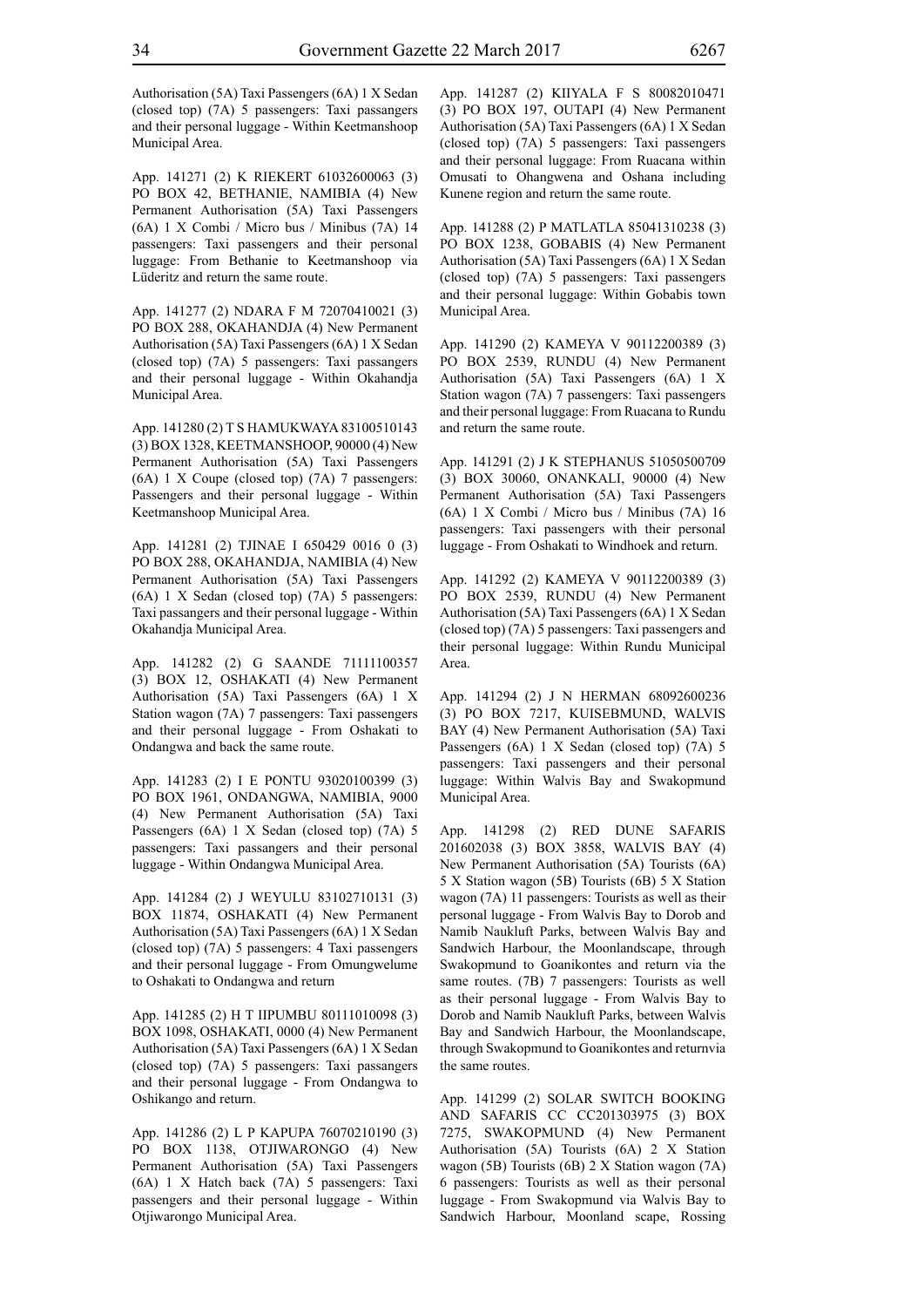Authorisation (5A) Taxi Passengers (6A) 1 X Sedan (closed top) (7A) 5 passengers: Taxi passangers and their personal luggage - Within Keetmanshoop Municipal Area.

App. 141271 (2) K RIEKERT 61032600063 (3) PO BOX 42, BETHANIE, NAMIBIA (4) New Permanent Authorisation (5A) Taxi Passengers (6A) 1 X Combi / Micro bus / Minibus (7A) 14 passengers: Taxi passengers and their personal luggage: From Bethanie to Keetmanshoop via Lüderitz and return the same route.

App. 141277 (2) NDARA F M 72070410021 (3) PO BOX 288, OKAHANDJA (4) New Permanent Authorisation (5A) Taxi Passengers (6A) 1 X Sedan (closed top) (7A) 5 passengers: Taxi passangers and their personal luggage - Within Okahandja Municipal Area.

App. 141280 (2) T S HAMUKWAYA 83100510143 (3) BOX 1328, KEETMANSHOOP, 90000 (4) New Permanent Authorisation (5A) Taxi Passengers (6A) 1 X Coupe (closed top) (7A) 7 passengers: Passengers and their personal luggage - Within Keetmanshoop Municipal Area.

App. 141281 (2) TJINAE I 650429 0016 0 (3) PO BOX 288, OKAHANDJA, NAMIBIA (4) New Permanent Authorisation (5A) Taxi Passengers (6A) 1 X Sedan (closed top) (7A) 5 passengers: Taxi passangers and their personal luggage - Within Okahandja Municipal Area.

App. 141282 (2) G SAANDE 71111100357 (3) BOX 12, OSHAKATI (4) New Permanent Authorisation (5A) Taxi Passengers (6A) 1 X Station wagon (7A) 7 passengers: Taxi passengers and their personal luggage - From Oshakati to Ondangwa and back the same route.

App. 141283 (2) I E PONTU 93020100399 (3) PO BOX 1961, ONDANGWA, NAMIBIA, 9000 (4) New Permanent Authorisation (5A) Taxi Passengers (6A) 1 X Sedan (closed top) (7A) 5 passengers: Taxi passangers and their personal luggage - Within Ondangwa Municipal Area.

App. 141284 (2) J WEYULU 83102710131 (3) BOX 11874, OSHAKATI (4) New Permanent Authorisation (5A) Taxi Passengers (6A) 1 X Sedan (closed top) (7A) 5 passengers: 4 Taxi passengers and their personal luggage - From Omungwelume to Oshakati to Ondangwa and return

App. 141285 (2) H T IIPUMBU 80111010098 (3) BOX 1098, OSHAKATI, 0000 (4) New Permanent Authorisation (5A) Taxi Passengers (6A) 1 X Sedan (closed top) (7A) 5 passengers: Taxi passangers and their personal luggage - From Ondangwa to Oshikango and return.

App. 141286 (2) L P KAPUPA 76070210190 (3) PO BOX 1138, OTJIWARONGO (4) New Permanent Authorisation (5A) Taxi Passengers (6A) 1 X Hatch back (7A) 5 passengers: Taxi passengers and their personal luggage - Within Otjiwarongo Municipal Area.

App. 141287 (2) KIIYALA F S 80082010471 (3) PO BOX 197, OUTAPI (4) New Permanent Authorisation (5A) Taxi Passengers (6A) 1 X Sedan (closed top) (7A) 5 passengers: Taxi passengers and their personal luggage: From Ruacana within Omusati to Ohangwena and Oshana including Kunene region and return the same route.

App. 141288 (2) P MATLATLA 85041310238 (3) PO BOX 1238, GOBABIS (4) New Permanent Authorisation (5A) Taxi Passengers (6A) 1 X Sedan (closed top) (7A) 5 passengers: Taxi passengers and their personal luggage: Within Gobabis town Municipal Area.

App. 141290 (2) KAMEYA V 90112200389 (3) PO BOX 2539, RUNDU (4) New Permanent Authorisation (5A) Taxi Passengers (6A) 1 X Station wagon (7A) 7 passengers: Taxi passengers and their personal luggage: From Ruacana to Rundu and return the same route.

App. 141291 (2) J K STEPHANUS 51050500709 (3) BOX 30060, ONANKALI, 90000 (4) New Permanent Authorisation (5A) Taxi Passengers (6A) 1 X Combi / Micro bus / Minibus (7A) 16 passengers: Taxi passengers with their personal luggage - From Oshakati to Windhoek and return.

App. 141292 (2) KAMEYA V 90112200389 (3) PO BOX 2539, RUNDU (4) New Permanent Authorisation (5A) Taxi Passengers (6A) 1 X Sedan (closed top) (7A) 5 passengers: Taxi passengers and their personal luggage: Within Rundu Municipal Area.

App. 141294 (2) J N HERMAN 68092600236 (3) PO BOX 7217, KUISEBMUND, WALVIS BAY (4) New Permanent Authorisation (5A) Taxi Passengers (6A) 1 X Sedan (closed top) (7A) 5 passengers: Taxi passengers and their personal luggage: Within Walvis Bay and Swakopmund Municipal Area.

App. 141298 (2) RED DUNE SAFARIS 201602038 (3) BOX 3858, WALVIS BAY (4) New Permanent Authorisation (5A) Tourists (6A) 5 X Station wagon (5B) Tourists (6B) 5 X Station wagon (7A) 11 passengers: Tourists as well as their personal luggage - From Walvis Bay to Dorob and Namib Naukluft Parks, between Walvis Bay and Sandwich Harbour, the Moonlandscape, through Swakopmund to Goanikontes and return via the same routes. (7B) 7 passengers: Tourists as well as their personal luggage - From Walvis Bay to Dorob and Namib Naukluft Parks, between Walvis Bay and Sandwich Harbour, the Moonlandscape, through Swakopmund to Goanikontes and returnvia the same routes.

App. 141299 (2) SOLAR SWITCH BOOKING AND SAFARIS CC CC201303975 (3) BOX 7275, SWAKOPMUND (4) New Permanent Authorisation (5A) Tourists (6A) 2 X Station wagon (5B) Tourists (6B) 2 X Station wagon (7A) 6 passengers: Tourists as well as their personal luggage - From Swakopmund via Walvis Bay to Sandwich Harbour, Moonland scape, Rossing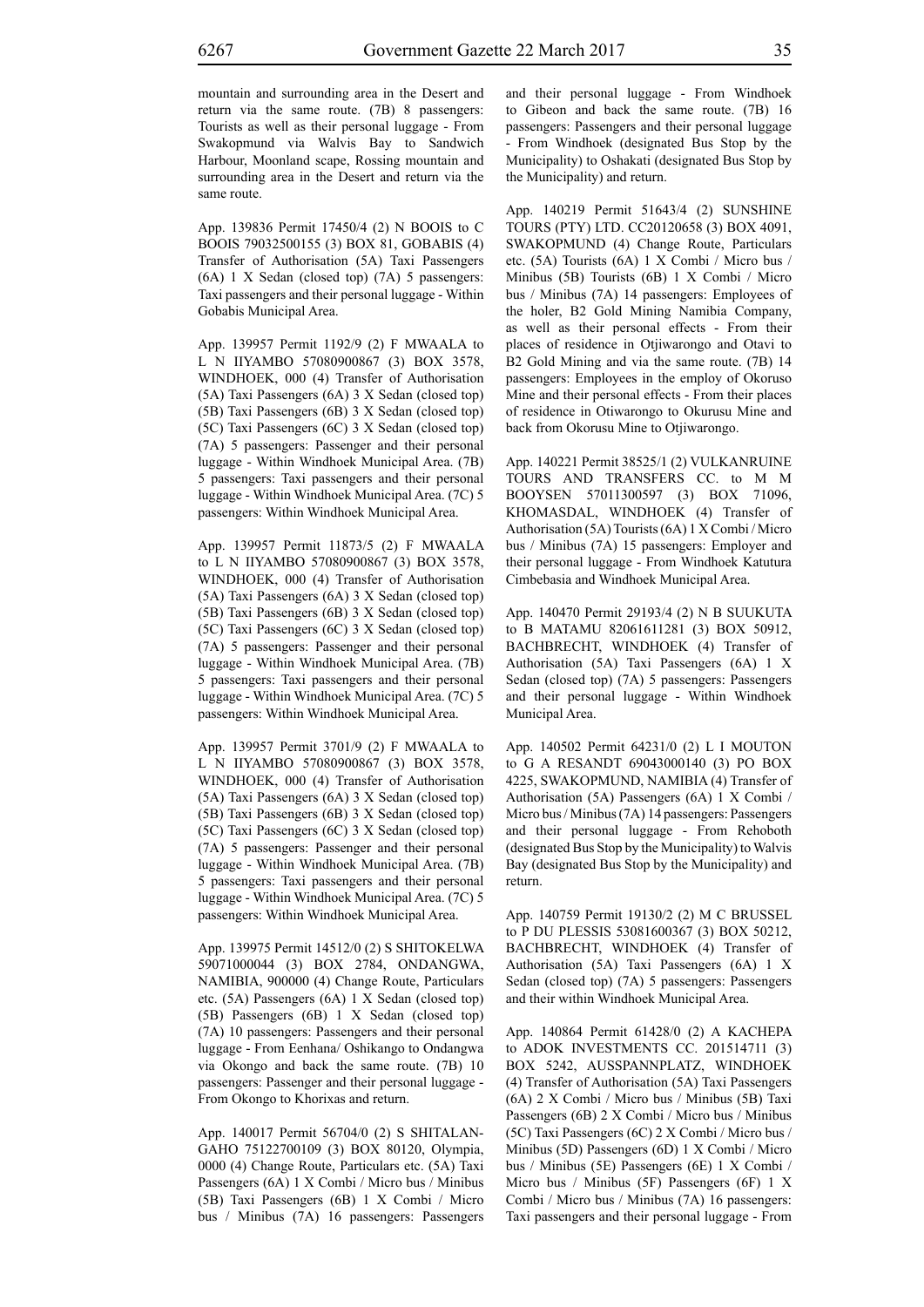mountain and surrounding area in the Desert and return via the same route. (7B) 8 passengers: Tourists as well as their personal luggage - From Swakopmund via Walvis Bay to Sandwich Harbour, Moonland scape, Rossing mountain and surrounding area in the Desert and return via the same route.

App. 139836 Permit 17450/4 (2) N BOOIS to C BOOIS 79032500155 (3) BOX 81, GOBABIS (4) Transfer of Authorisation (5A) Taxi Passengers (6A) 1 X Sedan (closed top) (7A) 5 passengers: Taxi passengers and their personal luggage - Within Gobabis Municipal Area.

App. 139957 Permit 1192/9 (2) F MWAALA to L N IIYAMBO 57080900867 (3) BOX 3578, WINDHOEK, 000 (4) Transfer of Authorisation (5A) Taxi Passengers (6A) 3 X Sedan (closed top) (5B) Taxi Passengers (6B) 3 X Sedan (closed top) (5C) Taxi Passengers (6C) 3 X Sedan (closed top) (7A) 5 passengers: Passenger and their personal luggage - Within Windhoek Municipal Area. (7B) 5 passengers: Taxi passengers and their personal luggage - Within Windhoek Municipal Area. (7C) 5 passengers: Within Windhoek Municipal Area.

App. 139957 Permit 11873/5 (2) F MWAALA to L N IIYAMBO 57080900867 (3) BOX 3578, WINDHOEK, 000 (4) Transfer of Authorisation (5A) Taxi Passengers (6A) 3 X Sedan (closed top) (5B) Taxi Passengers (6B) 3 X Sedan (closed top) (5C) Taxi Passengers (6C) 3 X Sedan (closed top) (7A) 5 passengers: Passenger and their personal luggage - Within Windhoek Municipal Area. (7B) 5 passengers: Taxi passengers and their personal luggage - Within Windhoek Municipal Area. (7C) 5 passengers: Within Windhoek Municipal Area.

App. 139957 Permit 3701/9 (2) F MWAALA to L N IIYAMBO 57080900867 (3) BOX 3578, WINDHOEK, 000 (4) Transfer of Authorisation (5A) Taxi Passengers (6A) 3 X Sedan (closed top) (5B) Taxi Passengers (6B) 3 X Sedan (closed top) (5C) Taxi Passengers (6C) 3 X Sedan (closed top) (7A) 5 passengers: Passenger and their personal luggage - Within Windhoek Municipal Area. (7B) 5 passengers: Taxi passengers and their personal luggage - Within Windhoek Municipal Area. (7C) 5 passengers: Within Windhoek Municipal Area.

App. 139975 Permit 14512/0 (2) S SHITOKELWA 59071000044 (3) BOX 2784, ONDANGWA, NAMIBIA, 900000 (4) Change Route, Particulars etc. (5A) Passengers (6A) 1 X Sedan (closed top) (5B) Passengers (6B) 1 X Sedan (closed top) (7A) 10 passengers: Passengers and their personal luggage - From Eenhana/ Oshikango to Ondangwa via Okongo and back the same route. (7B) 10 passengers: Passenger and their personal luggage - From Okongo to Khorixas and return.

App. 140017 Permit 56704/0 (2) S SHITALAN-GAHO 75122700109 (3) BOX 80120, Olympia, 0000 (4) Change Route, Particulars etc. (5A) Taxi Passengers (6A) 1 X Combi / Micro bus / Minibus (5B) Taxi Passengers (6B) 1 X Combi / Micro bus / Minibus (7A) 16 passengers: Passengers and their personal luggage - From Windhoek to Gibeon and back the same route. (7B) 16 passengers: Passengers and their personal luggage - From Windhoek (designated Bus Stop by the Municipality) to Oshakati (designated Bus Stop by the Municipality) and return.

App. 140219 Permit 51643/4 (2) SUNSHINE TOURS (PTY) LTD. CC20120658 (3) BOX 4091, SWAKOPMUND (4) Change Route, Particulars etc. (5A) Tourists (6A) 1 X Combi / Micro bus / Minibus (5B) Tourists (6B) 1 X Combi / Micro bus / Minibus (7A) 14 passengers: Employees of the holer, B2 Gold Mining Namibia Company, as well as their personal effects - From their places of residence in Otjiwarongo and Otavi to B2 Gold Mining and via the same route. (7B) 14 passengers: Employees in the employ of Okoruso Mine and their personal effects - From their places of residence in Otiwarongo to Okurusu Mine and back from Okorusu Mine to Otjiwarongo.

App. 140221 Permit 38525/1 (2) VULKANRUINE TOURS AND TRANSFERS CC. to M M BOOYSEN 57011300597 (3) BOX 71096, KHOMASDAL, WINDHOEK (4) Transfer of Authorisation (5A) Tourists (6A) 1 X Combi / Micro bus / Minibus (7A) 15 passengers: Employer and their personal luggage - From Windhoek Katutura Cimbebasia and Windhoek Municipal Area.

App. 140470 Permit 29193/4 (2) N B SUUKUTA to B MATAMU 82061611281 (3) BOX 50912, BACHBRECHT, WINDHOEK (4) Transfer of Authorisation (5A) Taxi Passengers (6A) 1 X Sedan (closed top) (7A) 5 passengers: Passengers and their personal luggage - Within Windhoek Municipal Area.

App. 140502 Permit 64231/0 (2) L I MOUTON to G A RESANDT 69043000140 (3) PO BOX 4225, SWAKOPMUND, NAMIBIA (4) Transfer of Authorisation (5A) Passengers (6A) 1 X Combi / Micro bus / Minibus (7A) 14 passengers: Passengers and their personal luggage - From Rehoboth (designated Bus Stop by the Municipality) to Walvis Bay (designated Bus Stop by the Municipality) and return.

App. 140759 Permit 19130/2 (2) M C BRUSSEL to P DU PLESSIS 53081600367 (3) BOX 50212, BACHBRECHT, WINDHOEK (4) Transfer of Authorisation (5A) Taxi Passengers (6A) 1 X Sedan (closed top) (7A) 5 passengers: Passengers and their within Windhoek Municipal Area.

App. 140864 Permit 61428/0 (2) A KACHEPA to ADOK INVESTMENTS CC. 201514711 (3) BOX 5242, AUSSPANNPLATZ, WINDHOEK (4) Transfer of Authorisation (5A) Taxi Passengers (6A) 2 X Combi / Micro bus / Minibus (5B) Taxi Passengers (6B) 2 X Combi / Micro bus / Minibus (5C) Taxi Passengers (6C) 2 X Combi / Micro bus / Minibus (5D) Passengers (6D) 1 X Combi / Micro bus / Minibus (5E) Passengers (6E) 1 X Combi / Micro bus / Minibus (5F) Passengers (6F) 1 X Combi / Micro bus / Minibus (7A) 16 passengers: Taxi passengers and their personal luggage - From